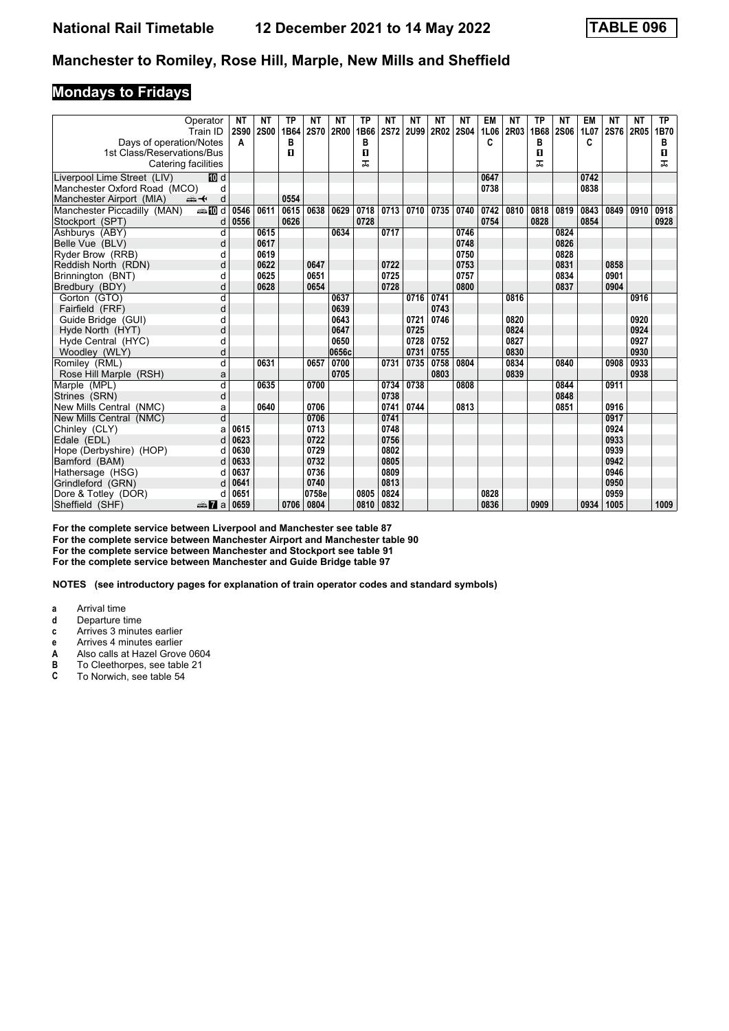## **Mondays to Fridays**

|                               | Operator                | NΤ   | ΝT          | <b>TP</b> | ΝT          | <b>NT</b> | ТP   | <b>NT</b> | ΝT        | ΝT   | NΤ        | <b>EM</b> | ΝT   | <b>TP</b> | ΝT   | EM   | <b>NT</b> | NΤ   | TP.  |
|-------------------------------|-------------------------|------|-------------|-----------|-------------|-----------|------|-----------|-----------|------|-----------|-----------|------|-----------|------|------|-----------|------|------|
|                               | Train ID                | 2S90 | <b>2S00</b> | 1B64      | <b>2S70</b> | 2R00      | 1B66 |           | 2S72 2U99 |      | 2R02 2S04 | 1L06      | 2R03 | 1B68      | 2S06 | 1L07 | 2S76      | 2R05 | 1B70 |
| Days of operation/Notes       |                         | A    |             | в         |             |           | в    |           |           |      |           | C         |      | в         |      | C    |           |      | в    |
| 1st Class/Reservations/Bus    |                         |      |             | 0         |             |           | О    |           |           |      |           |           |      | 0         |      |      |           |      | O    |
| Catering facilities           |                         |      |             |           |             |           | ᠼ    |           |           |      |           |           |      | ᅚ         |      |      |           |      | ㅈ    |
| Liverpool Lime Street (LIV)   | [顶 d                    |      |             |           |             |           |      |           |           |      |           | 0647      |      |           |      | 0742 |           |      |      |
| Manchester Oxford Road (MCO)  | d                       |      |             |           |             |           |      |           |           |      |           | 0738      |      |           |      | 0838 |           |      |      |
| Manchester Airport (MIA)<br>安 | d                       |      |             | 0554      |             |           |      |           |           |      |           |           |      |           |      |      |           |      |      |
| Manchester Piccadilly (MAN)   | <b>entin</b> d          | 0546 | 0611        | 0615      | 0638        | 0629      | 0718 | 0713      | 0710      | 0735 | 0740      | 0742      | 0810 | 0818      | 0819 | 0843 | 0849      | 0910 | 0918 |
| Stockport (SPT)               | d                       | 0556 |             | 0626      |             |           | 0728 |           |           |      |           | 0754      |      | 0828      |      | 0854 |           |      | 0928 |
| Ashburys (ABY)                | d                       |      | 0615        |           |             | 0634      |      | 0717      |           |      | 0746      |           |      |           | 0824 |      |           |      |      |
| Belle Vue (BLV)               | d                       |      | 0617        |           |             |           |      |           |           |      | 0748      |           |      |           | 0826 |      |           |      |      |
| Ryder Brow (RRB)              | d                       |      | 0619        |           |             |           |      |           |           |      | 0750      |           |      |           | 0828 |      |           |      |      |
| Reddish North (RDN)           | d                       |      | 0622        |           | 0647        |           |      | 0722      |           |      | 0753      |           |      |           | 0831 |      | 0858      |      |      |
| Brinnington (BNT)             | d                       |      | 0625        |           | 0651        |           |      | 0725      |           |      | 0757      |           |      |           | 0834 |      | 0901      |      |      |
| Bredbury (BDY)                | d                       |      | 0628        |           | 0654        |           |      | 0728      |           |      | 0800      |           |      |           | 0837 |      | 0904      |      |      |
| Gorton (GTO)                  | d                       |      |             |           |             | 0637      |      |           | 0716      | 0741 |           |           | 0816 |           |      |      |           | 0916 |      |
| Fairfield (FRF)               | d                       |      |             |           |             | 0639      |      |           |           | 0743 |           |           |      |           |      |      |           |      |      |
| Guide Bridge (GUI)            | d                       |      |             |           |             | 0643      |      |           | 0721      | 0746 |           |           | 0820 |           |      |      |           | 0920 |      |
| Hyde North (HYT)              | d                       |      |             |           |             | 0647      |      |           | 0725      |      |           |           | 0824 |           |      |      |           | 0924 |      |
| Hyde Central (HYC)            | d                       |      |             |           |             | 0650      |      |           | 0728      | 0752 |           |           | 0827 |           |      |      |           | 0927 |      |
| Woodley (WLY)                 | d                       |      |             |           |             | 0656c     |      |           | 0731      | 0755 |           |           | 0830 |           |      |      |           | 0930 |      |
| Romiley (RML)                 | d                       |      | 0631        |           | 0657        | 0700      |      | 0731      | 0735      | 0758 | 0804      |           | 0834 |           | 0840 |      | 0908      | 0933 |      |
| Rose Hill Marple (RSH)        | a                       |      |             |           |             | 0705      |      |           |           | 0803 |           |           | 0839 |           |      |      |           | 0938 |      |
| Marple (MPL)                  | $\overline{\mathsf{d}}$ |      | 0635        |           | 0700        |           |      | 0734      | 0738      |      | 0808      |           |      |           | 0844 |      | 0911      |      |      |
| Strines (SRN)                 | d                       |      |             |           |             |           |      | 0738      |           |      |           |           |      |           | 0848 |      |           |      |      |
| New Mills Central (NMC)       | a                       |      | 0640        |           | 0706        |           |      | 0741      | 0744      |      | 0813      |           |      |           | 0851 |      | 0916      |      |      |
| New Mills Central (NMC)       | $\overline{\mathsf{d}}$ |      |             |           | 0706        |           |      | 0741      |           |      |           |           |      |           |      |      | 0917      |      |      |
| Chinley (CLY)                 | a                       | 0615 |             |           | 0713        |           |      | 0748      |           |      |           |           |      |           |      |      | 0924      |      |      |
| Edale (EDL)                   | d                       | 0623 |             |           | 0722        |           |      | 0756      |           |      |           |           |      |           |      |      | 0933      |      |      |
| Hope (Derbyshire) (HOP)       | d                       | 0630 |             |           | 0729        |           |      | 0802      |           |      |           |           |      |           |      |      | 0939      |      |      |
| Bamford (BAM)                 | d                       | 0633 |             |           | 0732        |           |      | 0805      |           |      |           |           |      |           |      |      | 0942      |      |      |
| Hathersage (HSG)              | d                       | 0637 |             |           | 0736        |           |      | 0809      |           |      |           |           |      |           |      |      | 0946      |      |      |
| Grindleford (GRN)             | d                       | 0641 |             |           | 0740        |           |      | 0813      |           |      |           |           |      |           |      |      | 0950      |      |      |
| Dore & Totley (DOR)           | d                       | 0651 |             |           | 0758e       |           | 0805 | 0824      |           |      |           | 0828      |      |           |      |      | 0959      |      |      |
| Sheffield (SHF)               | $\frac{1}{2}$ a         | 0659 |             | 0706      | 0804        |           | 0810 | 0832      |           |      |           | 0836      |      | 0909      |      | 0934 | 1005      |      | 1009 |

**For the complete service between Liverpool and Manchester see table 7 For the complete service between Manchester Airport and Manchester table 0 For the complete service between Manchester and Stockport see table 1 For the complete service between Manchester and Guide Bridge table 7**

**NOTES (see introductory pages for explanation of train operator codes and standard symbols)**

- **a** Arrival time<br>**d** Departure t
- **d** Departure time
- **c** Arrives 3 minutes earlier
- **e** Arrives 4 minutes earlier<br>**A** Also calls at Hazel Grove
- **A** Also calls at Hazel Grove 0604<br>**B** To Cleethorpes, see table 21
- **B** To Cleethorpes, see table 21<br>**C** To Norwich, see table 54
- To Norwich, see table 54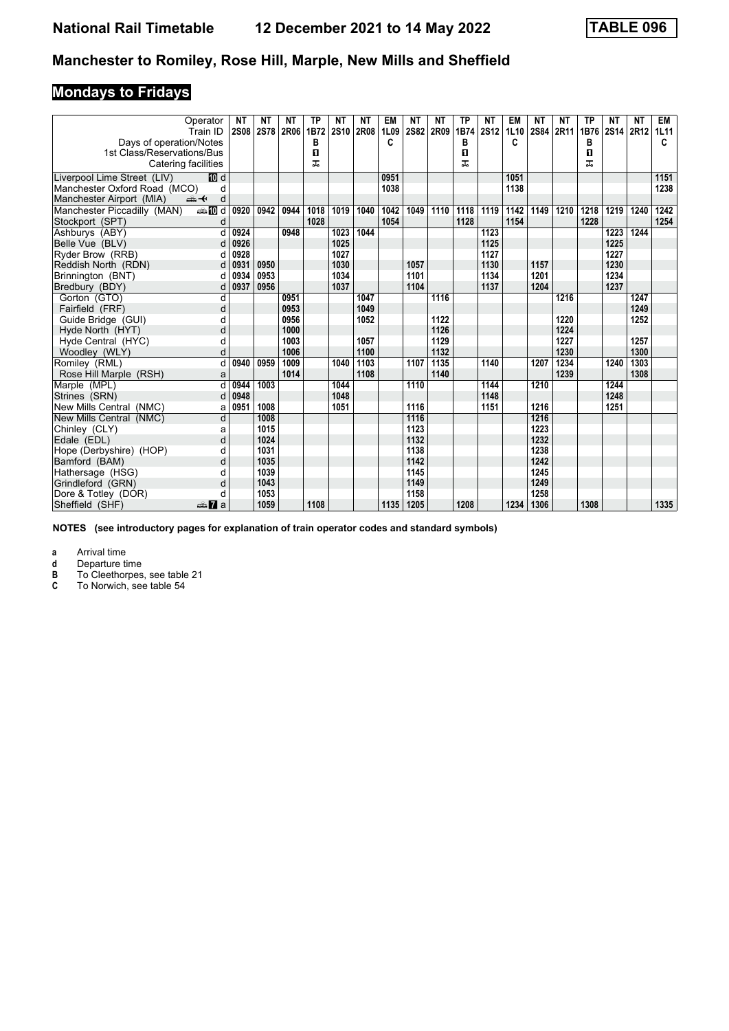# **Mondays to Fridays**

| Operator                                              | <b>NT</b><br><b>2S08</b> | <b>NT</b><br><b>2S78</b> | <b>NT</b><br>2R06 | <b>TP</b><br>1B72 | <b>NT</b><br><b>2S10</b> | <b>NT</b><br>2R08 | <b>EM</b> | <b>NT</b><br><b>2S82</b> | <b>NT</b><br>2R09 | <b>TP</b> | <b>NT</b><br><b>2S12</b> | EM        | NΤ<br>2S84 | ΝT   | <b>TP</b><br>1B76 | <b>NT</b> | <b>NT</b> | EM        |
|-------------------------------------------------------|--------------------------|--------------------------|-------------------|-------------------|--------------------------|-------------------|-----------|--------------------------|-------------------|-----------|--------------------------|-----------|------------|------|-------------------|-----------|-----------|-----------|
| Train ID                                              |                          |                          |                   | в                 |                          |                   | 1L09<br>C |                          |                   | 1B74<br>в |                          | 1L10<br>C |            | 2R11 | в                 | 2S14 2R12 |           | 1L11<br>c |
| Days of operation/Notes<br>1st Class/Reservations/Bus |                          |                          |                   | О                 |                          |                   |           |                          |                   | 0         |                          |           |            |      | О                 |           |           |           |
| Catering facilities                                   |                          |                          |                   | ᠼ                 |                          |                   |           |                          |                   | ᠼ         |                          |           |            |      | ᅚ                 |           |           |           |
|                                                       |                          |                          |                   |                   |                          |                   |           |                          |                   |           |                          |           |            |      |                   |           |           |           |
| iII d<br>Liverpool Lime Street (LIV)                  |                          |                          |                   |                   |                          |                   | 0951      |                          |                   |           |                          | 1051      |            |      |                   |           |           | 1151      |
| Manchester Oxford Road (MCO)                          | d                        |                          |                   |                   |                          |                   | 1038      |                          |                   |           |                          | 1138      |            |      |                   |           |           | 1238      |
| Manchester Airport (MIA)<br>安                         | d                        |                          |                   |                   |                          |                   |           |                          |                   |           |                          |           |            |      |                   |           |           |           |
| <b>⊯Md</b><br>Manchester Piccadilly (MAN)             | 0920                     | 0942                     | 0944              | 1018              | 1019                     | 1040              | 1042      | 1049                     | 1110              | 1118      | 1119                     | 1142      | 1149       | 1210 | 1218              | 1219      | 1240      | 1242      |
| Stockport (SPT)                                       | d                        |                          |                   | 1028              |                          |                   | 1054      |                          |                   | 1128      |                          | 1154      |            |      | 1228              |           |           | 1254      |
| Ashburys (ABY)                                        | 0924<br>d                |                          | 0948              |                   | 1023                     | 1044              |           |                          |                   |           | 1123                     |           |            |      |                   | 1223      | 1244      |           |
| Belle Vue (BLV)                                       | 0926<br>d                |                          |                   |                   | 1025                     |                   |           |                          |                   |           | 1125                     |           |            |      |                   | 1225      |           |           |
| Ryder Brow (RRB)                                      | 0928<br>d                |                          |                   |                   | 1027                     |                   |           |                          |                   |           | 1127                     |           |            |      |                   | 1227      |           |           |
| Reddish North (RDN)                                   | 0931<br>d                | 0950                     |                   |                   | 1030                     |                   |           | 1057                     |                   |           | 1130                     |           | 1157       |      |                   | 1230      |           |           |
| Brinnington (BNT)                                     | 0934<br>d                | 0953                     |                   |                   | 1034                     |                   |           | 1101                     |                   |           | 1134                     |           | 1201       |      |                   | 1234      |           |           |
| Bredbury (BDY)                                        | 0937<br>d                | 0956                     |                   |                   | 1037                     |                   |           | 1104                     |                   |           | 1137                     |           | 1204       |      |                   | 1237      |           |           |
| Gorton (GTO)                                          | d                        |                          | 0951              |                   |                          | 1047              |           |                          | 1116              |           |                          |           |            | 1216 |                   |           | 1247      |           |
| Fairfield (FRF)                                       | d                        |                          | 0953              |                   |                          | 1049              |           |                          |                   |           |                          |           |            |      |                   |           | 1249      |           |
| Guide Bridge (GUI)                                    | d                        |                          | 0956              |                   |                          | 1052              |           |                          | 1122              |           |                          |           |            | 1220 |                   |           | 1252      |           |
| Hyde North (HYT)                                      | d                        |                          | 1000              |                   |                          |                   |           |                          | 1126              |           |                          |           |            | 1224 |                   |           |           |           |
| Hyde Central (HYC)                                    | d                        |                          | 1003              |                   |                          | 1057              |           |                          | 1129              |           |                          |           |            | 1227 |                   |           | 1257      |           |
| Woodley (WLY)                                         | d                        |                          | 1006              |                   |                          | 1100              |           |                          | 1132              |           |                          |           |            | 1230 |                   |           | 1300      |           |
| Romiley (RML)                                         | d<br>0940                | 0959                     | 1009              |                   | 1040                     | 1103              |           | 1107                     | 1135              |           | 1140                     |           | 1207       | 1234 |                   | 1240      | 1303      |           |
| Rose Hill Marple (RSH)                                | a                        |                          | 1014              |                   |                          | 1108              |           |                          | 1140              |           |                          |           |            | 1239 |                   |           | 1308      |           |
| Marple (MPL)                                          | d<br>0944                | 1003                     |                   |                   | 1044                     |                   |           | 1110                     |                   |           | 1144                     |           | 1210       |      |                   | 1244      |           |           |
| Strines (SRN)                                         | 0948<br>d                |                          |                   |                   | 1048                     |                   |           |                          |                   |           | 1148                     |           |            |      |                   | 1248      |           |           |
| New Mills Central (NMC)                               | 0951<br>a                | 1008                     |                   |                   | 1051                     |                   |           | 1116                     |                   |           | 1151                     |           | 1216       |      |                   | 1251      |           |           |
| New Mills Central (NMC)                               | d                        | 1008                     |                   |                   |                          |                   |           | 1116                     |                   |           |                          |           | 1216       |      |                   |           |           |           |
| Chinley (CLY)                                         | a                        | 1015                     |                   |                   |                          |                   |           | 1123                     |                   |           |                          |           | 1223       |      |                   |           |           |           |
| Edale (EDL)                                           | d                        | 1024                     |                   |                   |                          |                   |           | 1132                     |                   |           |                          |           | 1232       |      |                   |           |           |           |
| Hope (Derbyshire) (HOP)                               | d                        | 1031                     |                   |                   |                          |                   |           | 1138                     |                   |           |                          |           | 1238       |      |                   |           |           |           |
| Bamford (BAM)                                         | d                        | 1035                     |                   |                   |                          |                   |           | 1142                     |                   |           |                          |           | 1242       |      |                   |           |           |           |
| Hathersage (HSG)                                      | d                        | 1039                     |                   |                   |                          |                   |           | 1145                     |                   |           |                          |           | 1245       |      |                   |           |           |           |
| Grindleford (GRN)                                     | d                        | 1043                     |                   |                   |                          |                   |           | 1149                     |                   |           |                          |           | 1249       |      |                   |           |           |           |
| Dore & Totley (DOR)                                   | d                        | 1053                     |                   |                   |                          |                   |           | 1158                     |                   |           |                          |           | 1258       |      |                   |           |           |           |
| Sheffield (SHF)<br>dan <b>7</b> a                     |                          | 1059                     |                   | 1108              |                          |                   | 1135      | 1205                     |                   | 1208      |                          | 1234      | 1306       |      | 1308              |           |           | 1335      |

**NOTES (see introductory pages for explanation of train operator codes and standard symbols)**

**a** Arrival time<br>**d** Departure ti

**d** Departure time<br>**B** To Cleethorpes<br>**C** To Norwich, see **B** To Cleethorpes, see table 21

**C** To Norwich, see table 54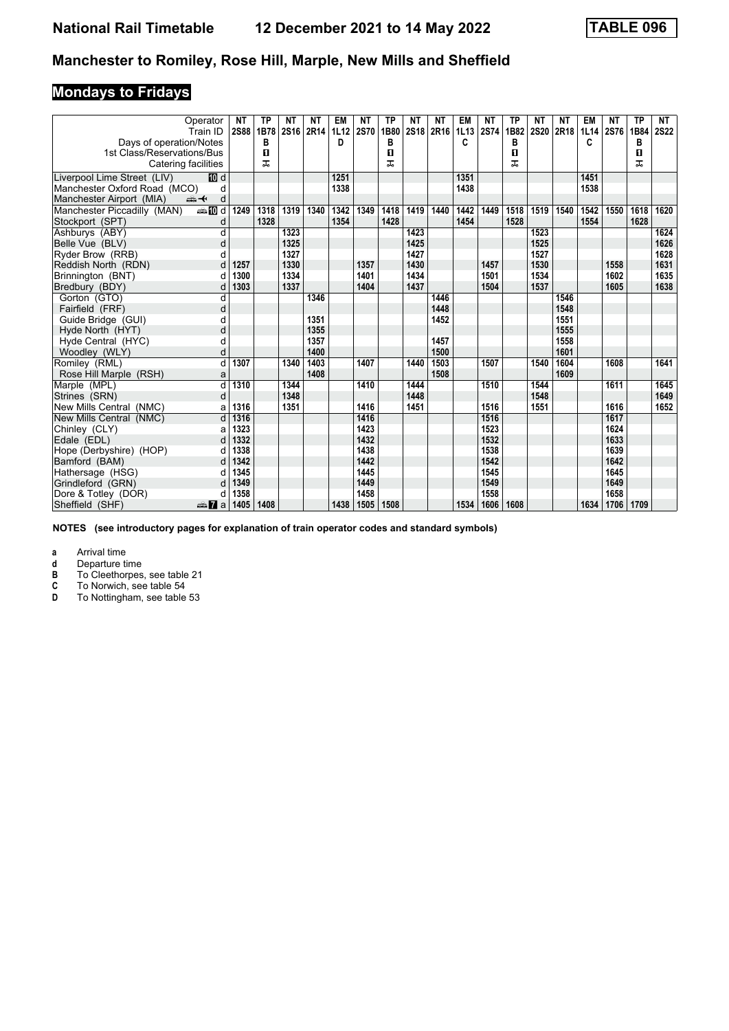# **Mondays to Fridays**

|                                                       | Operator<br>Train ID | <b>NT</b><br><b>2S88</b> | <b>TP</b><br>1B78 | NΤ<br>2S16 | ΝT<br>2R14 | EM<br>1L12 | NΤ<br><b>2S70</b> | ТP<br>1B80 | NΤ<br>2S18 | ΝT<br>2R16 | EM        | NΤ<br><b>2S74</b> | <b>TP</b><br>1B82 | ΝT<br><b>2S20</b> | ΝT<br>2R18 | EM   | ΝT<br>1L14 2S76 | TP<br>1B84 | NT<br><b>2S22</b> |
|-------------------------------------------------------|----------------------|--------------------------|-------------------|------------|------------|------------|-------------------|------------|------------|------------|-----------|-------------------|-------------------|-------------------|------------|------|-----------------|------------|-------------------|
|                                                       |                      |                          |                   |            |            | D          |                   |            |            |            | 1L13<br>C |                   |                   |                   |            | C    |                 |            |                   |
| Days of operation/Notes<br>1st Class/Reservations/Bus |                      |                          | в<br>П            |            |            |            |                   | в<br>O     |            |            |           |                   | в<br>$\mathbf{u}$ |                   |            |      |                 | В<br>п     |                   |
| Catering facilities                                   |                      |                          | ᇁ                 |            |            |            |                   | ᠼ          |            |            |           |                   | ᠼ                 |                   |            |      |                 | ᠼ          |                   |
|                                                       |                      |                          |                   |            |            |            |                   |            |            |            |           |                   |                   |                   |            |      |                 |            |                   |
| Liverpool Lime Street (LIV)                           | [顶 d                 |                          |                   |            |            | 1251       |                   |            |            |            | 1351      |                   |                   |                   |            | 1451 |                 |            |                   |
| Manchester Oxford Road (MCO)                          | d                    |                          |                   |            |            | 1338       |                   |            |            |            | 1438      |                   |                   |                   |            | 1538 |                 |            |                   |
| Manchester Airport (MIA)<br>安                         | d                    |                          |                   |            |            |            |                   |            |            |            |           |                   |                   |                   |            |      |                 |            |                   |
| Manchester Piccadilly (MAN)                           | <b>esi的d</b>         | 1249                     | 1318              | 1319       | 1340       | 1342       | 1349              | 1418       | 1419       | 1440       | 1442      | 1449              | 1518              | 1519              | 1540       | 1542 | 1550            | 1618       | 1620              |
| Stockport (SPT)                                       | d                    |                          | 1328              |            |            | 1354       |                   | 1428       |            |            | 1454      |                   | 1528              |                   |            | 1554 |                 | 1628       |                   |
| Ashburys (ABY)                                        | d                    |                          |                   | 1323       |            |            |                   |            | 1423       |            |           |                   |                   | 1523              |            |      |                 |            | 1624              |
| Belle Vue (BLV)                                       | d                    |                          |                   | 1325       |            |            |                   |            | 1425       |            |           |                   |                   | 1525              |            |      |                 |            | 1626              |
| Ryder Brow (RRB)                                      | d                    |                          |                   | 1327       |            |            |                   |            | 1427       |            |           |                   |                   | 1527              |            |      |                 |            | 1628              |
| Reddish North (RDN)                                   | d                    | 1257                     |                   | 1330       |            |            | 1357              |            | 1430       |            |           | 1457              |                   | 1530              |            |      | 1558            |            | 1631              |
| Brinnington (BNT)                                     | d                    | 1300                     |                   | 1334       |            |            | 1401              |            | 1434       |            |           | 1501              |                   | 1534              |            |      | 1602            |            | 1635              |
| Bredbury (BDY)                                        | d                    | 1303                     |                   | 1337       |            |            | 1404              |            | 1437       |            |           | 1504              |                   | 1537              |            |      | 1605            |            | 1638              |
| Gorton (GTO)                                          | d                    |                          |                   |            | 1346       |            |                   |            |            | 1446       |           |                   |                   |                   | 1546       |      |                 |            |                   |
| Fairfield (FRF)                                       | d                    |                          |                   |            |            |            |                   |            |            | 1448       |           |                   |                   |                   | 1548       |      |                 |            |                   |
| Guide Bridge (GUI)                                    | d                    |                          |                   |            | 1351       |            |                   |            |            | 1452       |           |                   |                   |                   | 1551       |      |                 |            |                   |
| Hyde North (HYT)                                      | d                    |                          |                   |            | 1355       |            |                   |            |            |            |           |                   |                   |                   | 1555       |      |                 |            |                   |
| Hyde Central (HYC)                                    | d                    |                          |                   |            | 1357       |            |                   |            |            | 1457       |           |                   |                   |                   | 1558       |      |                 |            |                   |
| Woodley (WLY)                                         | d                    |                          |                   |            | 1400       |            |                   |            |            | 1500       |           |                   |                   |                   | 1601       |      |                 |            |                   |
| Romiley (RML)                                         | d                    | 1307                     |                   | 1340       | 1403       |            | 1407              |            | 1440       | 1503       |           | 1507              |                   | 1540              | 1604       |      | 1608            |            | 1641              |
| Rose Hill Marple (RSH)                                | a                    |                          |                   |            | 1408       |            |                   |            |            | 1508       |           |                   |                   |                   | 1609       |      |                 |            |                   |
| Marple (MPL)                                          | d                    | 1310                     |                   | 1344       |            |            | 1410              |            | 1444       |            |           | 1510              |                   | 1544              |            |      | 1611            |            | 1645              |
| Strines (SRN)                                         | d                    |                          |                   | 1348       |            |            |                   |            | 1448       |            |           |                   |                   | 1548              |            |      |                 |            | 1649              |
| New Mills Central (NMC)                               | a                    | 1316                     |                   | 1351       |            |            | 1416              |            | 1451       |            |           | 1516              |                   | 1551              |            |      | 1616            |            | 1652              |
| New Mills Central (NMC)                               | d                    | 1316                     |                   |            |            |            | 1416              |            |            |            |           | 1516              |                   |                   |            |      | 1617            |            |                   |
| Chinley (CLY)                                         | a                    | 1323                     |                   |            |            |            | 1423              |            |            |            |           | 1523              |                   |                   |            |      | 1624            |            |                   |
| Edale (EDL)                                           | d                    | 1332                     |                   |            |            |            | 1432              |            |            |            |           | 1532              |                   |                   |            |      | 1633            |            |                   |
| Hope (Derbyshire) (HOP)                               | d                    | 1338                     |                   |            |            |            | 1438              |            |            |            |           | 1538              |                   |                   |            |      | 1639            |            |                   |
| Bamford (BAM)                                         | d                    | 1342                     |                   |            |            |            | 1442              |            |            |            |           | 1542              |                   |                   |            |      | 1642            |            |                   |
| Hathersage (HSG)                                      | d                    | 1345                     |                   |            |            |            | 1445              |            |            |            |           | 1545              |                   |                   |            |      | 1645            |            |                   |
| Grindleford (GRN)                                     | d                    | 1349                     |                   |            |            |            | 1449              |            |            |            |           | 1549              |                   |                   |            |      | 1649            |            |                   |
| Dore & Totley (DOR)                                   | d                    | 1358                     |                   |            |            |            | 1458              |            |            |            |           | 1558              |                   |                   |            |      | 1658            |            |                   |
| Sheffield (SHF)                                       | anna Maria           | 1405                     | 1408              |            |            | 1438       | 1505              | 1508       |            |            | 1534      | 1606              | 1608              |                   |            | 1634 | 1706            | 1709       |                   |

**NOTES (see introductory pages for explanation of train operator codes and standard symbols)**

**a** Arrival time<br>**d** Departure ti

**d** Departure time<br>**B** To Cleethorpes<br>**C** To Norwich, see

**B** To Cleethorpes, see table 21

**C** To Norwich, see table 54

**D** To Nottingham, see table 53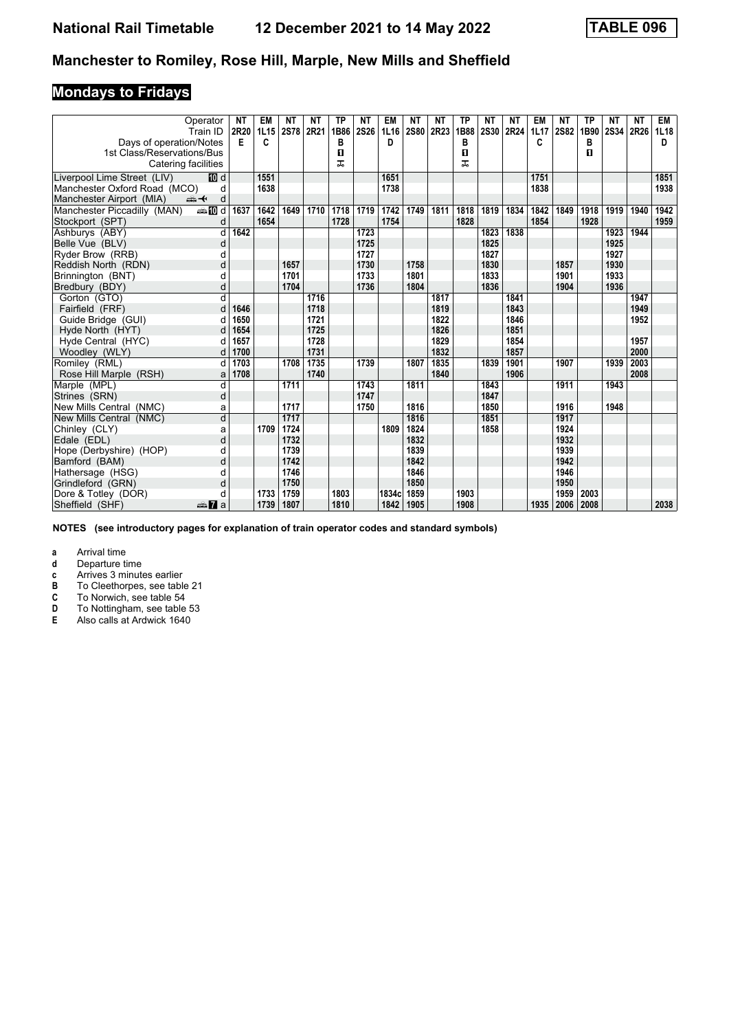# **Mondays to Fridays**

|                              | Operator<br>Train ID | <b>NT</b><br>2R20 | <b>EM</b><br>1L15 | <b>NT</b><br><b>2S78</b> | <b>NT</b><br>2R21 | <b>TP</b><br>1B86 | <b>NT</b><br><b>2S26</b> | <b>EM</b><br>1L16 | <b>NT</b><br>2S80 | <b>NT</b><br>2R23 | ТP<br>1B88 | NΤ<br><b>2S30</b> | ΝT<br>2R24 | <b>EM</b><br>1L17 | ΝT<br><b>2S82</b> | <b>TP</b><br>1B90 | <b>NT</b><br>2S34 | <b>NT</b><br>2R26 | EM<br>1L18 |
|------------------------------|----------------------|-------------------|-------------------|--------------------------|-------------------|-------------------|--------------------------|-------------------|-------------------|-------------------|------------|-------------------|------------|-------------------|-------------------|-------------------|-------------------|-------------------|------------|
| Days of operation/Notes      |                      | Е                 | C                 |                          |                   | в                 |                          | D                 |                   |                   | в          |                   |            | C                 |                   | в                 |                   |                   | D          |
| 1st Class/Reservations/Bus   |                      |                   |                   |                          |                   | $\mathbf{u}$      |                          |                   |                   |                   | 0          |                   |            |                   |                   | п                 |                   |                   |            |
| Catering facilities          |                      |                   |                   |                          |                   | ᠼ                 |                          |                   |                   |                   | ᅚ          |                   |            |                   |                   |                   |                   |                   |            |
| Liverpool Lime Street (LIV)  | III d                |                   | 1551              |                          |                   |                   |                          | 1651              |                   |                   |            |                   |            | 1751              |                   |                   |                   |                   | 1851       |
| Manchester Oxford Road (MCO) | d                    |                   | 1638              |                          |                   |                   |                          | 1738              |                   |                   |            |                   |            | 1838              |                   |                   |                   |                   | 1938       |
| Manchester Airport (MIA)     | ⇜✦<br>d              |                   |                   |                          |                   |                   |                          |                   |                   |                   |            |                   |            |                   |                   |                   |                   |                   |            |
| Manchester Piccadilly (MAN)  | <b>⊯M</b> d          | 1637              | 1642              | 1649                     | 1710              | 1718              | 1719                     | 1742              | 1749              | 1811              | 1818       | 1819              | 1834       | 1842              | 1849              | 1918              | 1919              | 1940              | 1942       |
| Stockport (SPT)              | d                    |                   | 1654              |                          |                   | 1728              |                          | 1754              |                   |                   | 1828       |                   |            | 1854              |                   | 1928              |                   |                   | 1959       |
| Ashburys (ABY)               | d                    | 1642              |                   |                          |                   |                   | 1723                     |                   |                   |                   |            | 1823              | 1838       |                   |                   |                   | 1923              | 1944              |            |
| Belle Vue (BLV)              | d                    |                   |                   |                          |                   |                   | 1725                     |                   |                   |                   |            | 1825              |            |                   |                   |                   | 1925              |                   |            |
| Ryder Brow (RRB)             | d                    |                   |                   |                          |                   |                   | 1727                     |                   |                   |                   |            | 1827              |            |                   |                   |                   | 1927              |                   |            |
| Reddish North (RDN)          | d                    |                   |                   | 1657                     |                   |                   | 1730                     |                   | 1758              |                   |            | 1830              |            |                   | 1857              |                   | 1930              |                   |            |
| Brinnington (BNT)            | d                    |                   |                   | 1701                     |                   |                   | 1733                     |                   | 1801              |                   |            | 1833              |            |                   | 1901              |                   | 1933              |                   |            |
| Bredbury (BDY)               | d                    |                   |                   | 1704                     |                   |                   | 1736                     |                   | 1804              |                   |            | 1836              |            |                   | 1904              |                   | 1936              |                   |            |
| Gorton (GTO)                 | d                    |                   |                   |                          | 1716              |                   |                          |                   |                   | 1817              |            |                   | 1841       |                   |                   |                   |                   | 1947              |            |
| Fairfield (FRF)              | d                    | 1646              |                   |                          | 1718              |                   |                          |                   |                   | 1819              |            |                   | 1843       |                   |                   |                   |                   | 1949              |            |
| Guide Bridge (GUI)           | d                    | 1650              |                   |                          | 1721              |                   |                          |                   |                   | 1822              |            |                   | 1846       |                   |                   |                   |                   | 1952              |            |
| Hyde North (HYT)             | d                    | 1654              |                   |                          | 1725              |                   |                          |                   |                   | 1826              |            |                   | 1851       |                   |                   |                   |                   |                   |            |
| Hyde Central (HYC)           | d                    | 1657              |                   |                          | 1728              |                   |                          |                   |                   | 1829              |            |                   | 1854       |                   |                   |                   |                   | 1957              |            |
| Woodley (WLY)                | d                    | 1700              |                   |                          | 1731              |                   |                          |                   |                   | 1832              |            |                   | 1857       |                   |                   |                   |                   | 2000              |            |
| Romiley (RML)                | d                    | 1703              |                   | 1708                     | 1735              |                   | 1739                     |                   | 1807              | 1835              |            | 1839              | 1901       |                   | 1907              |                   | 1939              | 2003              |            |
| Rose Hill Marple (RSH)       | a                    | 1708              |                   |                          | 1740              |                   |                          |                   |                   | 1840              |            |                   | 1906       |                   |                   |                   |                   | 2008              |            |
| Marple (MPL)                 | d                    |                   |                   | 1711                     |                   |                   | 1743                     |                   | 1811              |                   |            | 1843              |            |                   | 1911              |                   | 1943              |                   |            |
| Strines (SRN)                | d                    |                   |                   |                          |                   |                   | 1747                     |                   |                   |                   |            | 1847              |            |                   |                   |                   |                   |                   |            |
| New Mills Central (NMC)      | a                    |                   |                   | 1717                     |                   |                   | 1750                     |                   | 1816              |                   |            | 1850              |            |                   | 1916              |                   | 1948              |                   |            |
| New Mills Central (NMC)      | d                    |                   |                   | 1717                     |                   |                   |                          |                   | 1816              |                   |            | 1851              |            |                   | 1917              |                   |                   |                   |            |
| Chinley (CLY)                | a                    |                   | 1709              | 1724                     |                   |                   |                          | 1809              | 1824              |                   |            | 1858              |            |                   | 1924              |                   |                   |                   |            |
| Edale (EDL)                  | d                    |                   |                   | 1732                     |                   |                   |                          |                   | 1832              |                   |            |                   |            |                   | 1932              |                   |                   |                   |            |
| Hope (Derbyshire) (HOP)      | d                    |                   |                   | 1739                     |                   |                   |                          |                   | 1839              |                   |            |                   |            |                   | 1939              |                   |                   |                   |            |
| Bamford (BAM)                | d                    |                   |                   | 1742                     |                   |                   |                          |                   | 1842              |                   |            |                   |            |                   | 1942              |                   |                   |                   |            |
| Hathersage (HSG)             | d                    |                   |                   | 1746                     |                   |                   |                          |                   | 1846              |                   |            |                   |            |                   | 1946              |                   |                   |                   |            |
| Grindleford (GRN)            | d                    |                   |                   | 1750                     |                   |                   |                          |                   | 1850              |                   |            |                   |            |                   | 1950              |                   |                   |                   |            |
| Dore & Totley (DOR)          | d                    |                   | 1733              | 1759                     |                   | 1803              |                          | 1834c             | 1859              |                   | 1903       |                   |            |                   | 1959              | 2003              |                   |                   |            |
| Sheffield (SHF)              | <del>⊯</del> Па      |                   | 1739              | 1807                     |                   | 1810              |                          | 1842              | 1905              |                   | 1908       |                   |            | 1935              | 2006              | 2008              |                   |                   | 2038       |

**NOTES (see introductory pages for explanation of train operator codes and standard symbols)**

**a** Arrival time<br>**d** Departure ti

**d** Departure time<br>**c** Arrives 3 minute<br>**B** To Cleethorpes

**c** Arrives 3 minutes earlier

**B** To Cleethorpes, see table 21<br>**C** To Norwich, see table 54

**C** To Norwich, see table 54<br>**D** To Nottingham, see table

**D** To Nottingham, see table 53<br>**E** Also calls at Ardwick 1640

**E** Also calls at Ardwick 1640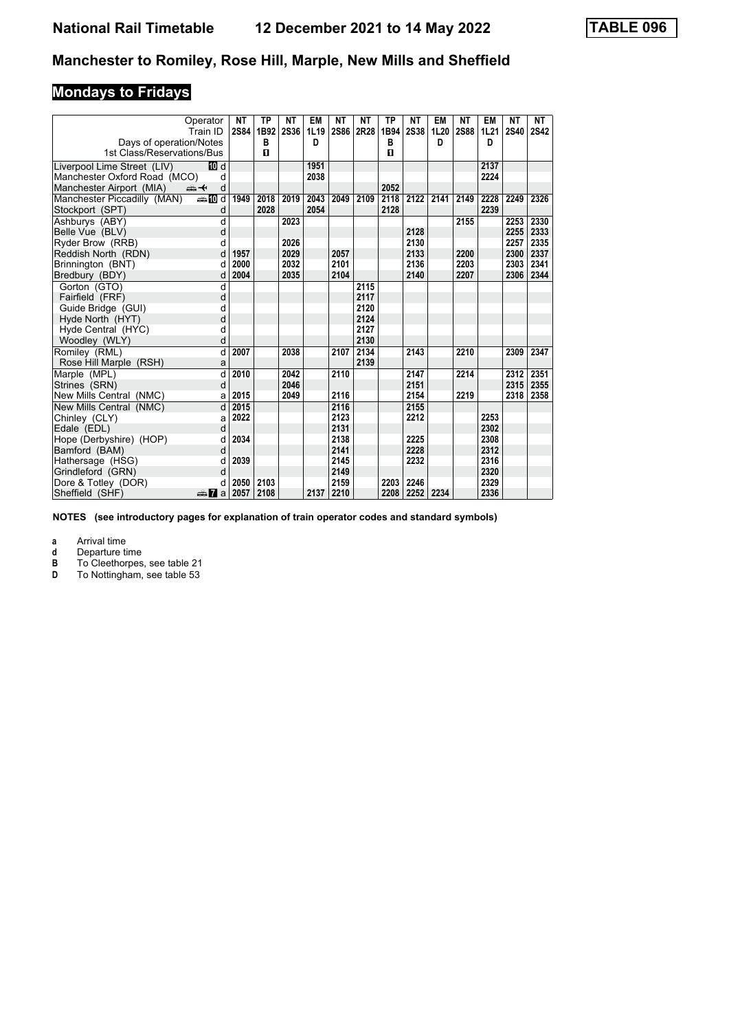# **Mondays to Fridays**

| Operator<br>Train ID                                        | NΤ<br><b>2S84</b> | ТP<br>1B92 | NΤ<br><b>2S36</b> | EM<br>1L19 | ΝT<br>2S86 | NΤ<br>2R28 | ТP<br>1B94 | NΤ<br><b>2S38</b> | EM<br>1L20 | NΤ<br><b>2S88</b> | EM<br>1L21 | NΤ<br><b>2S40</b> | <b>NT</b><br>2S42 |
|-------------------------------------------------------------|-------------------|------------|-------------------|------------|------------|------------|------------|-------------------|------------|-------------------|------------|-------------------|-------------------|
| Days of operation/Notes                                     |                   | в          |                   | D          |            |            | в          |                   | D          |                   | D          |                   |                   |
| 1st Class/Reservations/Bus                                  |                   | п          |                   |            |            |            | п          |                   |            |                   |            |                   |                   |
| Liverpool Lime Street (LIV)<br>[10] d                       |                   |            |                   | 1951       |            |            |            |                   |            |                   | 2137       |                   |                   |
| Manchester Oxford Road (MCO)<br>d                           |                   |            |                   | 2038       |            |            |            |                   |            |                   | 2224       |                   |                   |
| Manchester Airport (MIA)<br>$\Rightarrow$ $\leftarrow$<br>d |                   |            |                   |            |            |            | 2052       |                   |            |                   |            |                   |                   |
| Manchester Piccadilly (MAN)<br><b>⊯Md</b>                   | 1949              | 2018       | 2019              | 2043       | 2049       | 2109       | 2118       | 2122              | 2141       | 2149              | 2228       | 2249              | 2326              |
| Stockport (SPT)<br>d                                        |                   | 2028       |                   | 2054       |            |            | 2128       |                   |            |                   | 2239       |                   |                   |
| Ashburys (ABY)<br>d                                         |                   |            | 2023              |            |            |            |            |                   |            | 2155              |            | 2253              | 2330              |
| Belle Vue (BLV)<br>d                                        |                   |            |                   |            |            |            |            | 2128              |            |                   |            | 2255              | 2333              |
| Ryder Brow (RRB)<br>d                                       |                   |            | 2026              |            |            |            |            | 2130              |            |                   |            | 2257              | 2335              |
| Reddish North (RDN)<br>d                                    | 1957              |            | 2029              |            | 2057       |            |            | 2133              |            | 2200              |            | 2300              | 2337              |
| Brinnington (BNT)<br>d                                      | 2000              |            | 2032              |            | 2101       |            |            | 2136              |            | 2203              |            | 2303              | 2341              |
| Bredbury (BDY)<br>d                                         | 2004              |            | 2035              |            | 2104       |            |            | 2140              |            | 2207              |            | 2306              | 2344              |
| Gorton (GTO)<br>d                                           |                   |            |                   |            |            | 2115       |            |                   |            |                   |            |                   |                   |
| Fairfield (FRF)<br>d                                        |                   |            |                   |            |            | 2117       |            |                   |            |                   |            |                   |                   |
| Guide Bridge (GUI)<br>d                                     |                   |            |                   |            |            | 2120       |            |                   |            |                   |            |                   |                   |
| Hyde North (HYT)<br>d                                       |                   |            |                   |            |            | 2124       |            |                   |            |                   |            |                   |                   |
| Hyde Central (HYC)<br>d                                     |                   |            |                   |            |            | 2127       |            |                   |            |                   |            |                   |                   |
| Woodley (WLY)<br>d                                          |                   |            |                   |            |            | 2130       |            |                   |            |                   |            |                   |                   |
| Romiley (RML)<br>d                                          | 2007              |            | 2038              |            | 2107       | 2134       |            | 2143              |            | 2210              |            | 2309              | 2347              |
| Rose Hill Marple (RSH)<br>a                                 |                   |            |                   |            |            | 2139       |            |                   |            |                   |            |                   |                   |
| Marple (MPL)<br>d                                           | 2010              |            | 2042              |            | 2110       |            |            | 2147              |            | 2214              |            | 2312              | 2351              |
| Strines (SRN)<br>d                                          |                   |            | 2046              |            |            |            |            | 2151              |            |                   |            | 2315              | 2355              |
| New Mills Central (NMC)<br>a                                | 2015              |            | 2049              |            | 2116       |            |            | 2154              |            | 2219              |            | 2318              | 2358              |
| New Mills Central (NMC)<br>d                                | 2015              |            |                   |            | 2116       |            |            | 2155              |            |                   |            |                   |                   |
| Chinley (CLY)<br>a                                          | 2022              |            |                   |            | 2123       |            |            | 2212              |            |                   | 2253       |                   |                   |
| d<br>Edale (EDL)                                            |                   |            |                   |            | 2131       |            |            |                   |            |                   | 2302       |                   |                   |
| Hope (Derbyshire) (HOP)<br>d                                | 2034              |            |                   |            | 2138       |            |            | 2225              |            |                   | 2308       |                   |                   |
| Bamford (BAM)<br>d                                          |                   |            |                   |            | 2141       |            |            | 2228              |            |                   | 2312       |                   |                   |
| Hathersage (HSG)<br>d                                       | 2039              |            |                   |            | 2145       |            |            | 2232              |            |                   | 2316       |                   |                   |
| Grindleford (GRN)<br>d                                      |                   |            |                   |            | 2149       |            |            |                   |            |                   | 2320       |                   |                   |
| Dore & Totley (DOR)<br>d                                    | 2050              | 2103       |                   |            | 2159       |            | 2203       | 2246              |            |                   | 2329       |                   |                   |
| Sheffield (SHF)<br>⊯ 77 a                                   | 2057              | 2108       |                   | 2137       | 2210       |            | 2208       | 2252              | 2234       |                   | 2336       |                   |                   |

**NOTES (see introductory pages for explanation of train operator codes and standard symbols)**

**a** Arrival time<br>**d** Departure time

**d** Departure time<br>**B** To Cleethorpes

**B** To Cleethorpes, see table 21<br>**D** To Nottingham, see table 53

To Nottingham, see table 53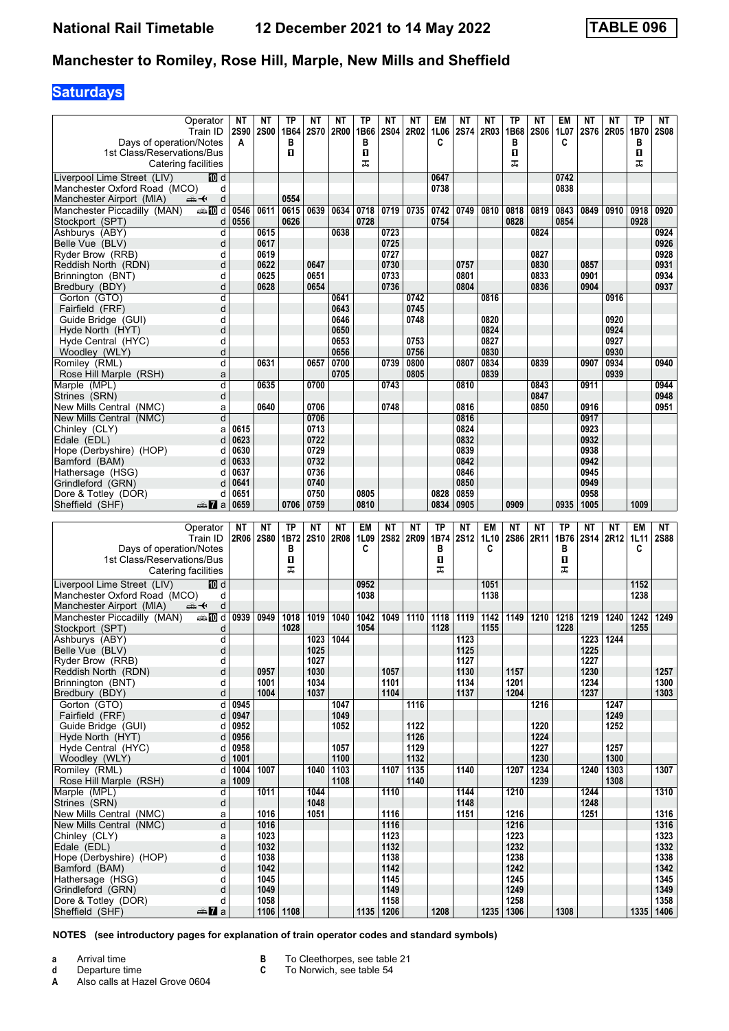# **Saturdays**

| Operator<br>Train ID<br>Days of operation/Notes                                                                | NΤ<br><b>2S90</b><br>A | NΤ<br><b>2S00</b> | ТP<br>1B64<br>в | NΤ<br><b>2S70</b> | ΝT<br>2R00   | TP<br>1B66<br>в | NΤ<br><b>2S04</b>   | NΤ<br>2R02   | EM<br>1L06<br>C | NΤ<br>2S74   | NΤ<br>2R03   | TP<br>1B68<br>в   | NΤ<br><b>2S06</b> | EM<br>1L07<br>C | ΝT           | NΤ<br>2S76 2R05 | TP<br>1B70<br>B | NT<br><b>2S08</b>   |
|----------------------------------------------------------------------------------------------------------------|------------------------|-------------------|-----------------|-------------------|--------------|-----------------|---------------------|--------------|-----------------|--------------|--------------|-------------------|-------------------|-----------------|--------------|-----------------|-----------------|---------------------|
| 1st Class/Reservations/Bus<br>Catering facilities                                                              |                        |                   | п               |                   |              | п<br>ᠼ          |                     |              |                 |              |              | 0<br>ᠼ            |                   |                 |              |                 | П<br>ᠼ          |                     |
| Liverpool Lime Street (LIV)<br>100 d                                                                           |                        |                   |                 |                   |              |                 |                     |              | 0647            |              |              |                   |                   | 0742            |              |                 |                 |                     |
| Manchester Oxford Road (MCO)<br>d                                                                              |                        |                   |                 |                   |              |                 |                     |              | 0738            |              |              |                   |                   | 0838            |              |                 |                 |                     |
| Manchester Airport (MIA)<br>d<br><del>∰ ≮</del><br>Manchester Piccadilly (MAN)<br>dan <mark>an</mark> d        | 0546                   | 0611              | 0554<br>0615    | 0639              | 0634         | 0718            | 0719                | 0735         | 0742            | 0749         | 0810         | 0818              | 0819              | 0843            | 0849         | 0910            | 0918            | 0920                |
| Stockport (SPT)<br>d                                                                                           | 0556                   |                   | 0626            |                   |              | 0728            |                     |              | 0754            |              |              | 0828              |                   | 0854            |              |                 | 0928            |                     |
| Ashburys (ABY)<br>d                                                                                            |                        | 0615              |                 |                   | 0638         |                 | 0723                |              |                 |              |              |                   | 0824              |                 |              |                 |                 | 0924                |
| Belle Vue (BLV)<br>d                                                                                           |                        | 0617              |                 |                   |              |                 | 0725                |              |                 |              |              |                   |                   |                 |              |                 |                 | 0926<br>0928        |
| Ryder Brow (RRB)<br>d<br>Reddish North (RDN)<br>d                                                              |                        | 0619<br>0622      |                 | 0647              |              |                 | 0727<br>0730        |              |                 | 0757         |              |                   | 0827<br>0830      |                 | 0857         |                 |                 | 0931                |
| Brinnington (BNT)<br>d                                                                                         |                        | 0625              |                 | 0651              |              |                 | 0733                |              |                 | 0801         |              |                   | 0833              |                 | 0901         |                 |                 | 0934                |
| Bredbury (BDY)<br>d                                                                                            |                        | 0628              |                 | 0654              |              |                 | 0736                |              |                 | 0804         |              |                   | 0836              |                 | 0904         |                 |                 | 0937                |
| Gorton (GTO)<br>d<br>d<br>Fairfield (FRF)                                                                      |                        |                   |                 |                   | 0641<br>0643 |                 |                     | 0742<br>0745 |                 |              | 0816         |                   |                   |                 |              | 0916            |                 |                     |
| Guide Bridge (GUI)<br>d                                                                                        |                        |                   |                 |                   | 0646         |                 |                     | 0748         |                 |              | 0820         |                   |                   |                 |              | 0920            |                 |                     |
| d<br>Hyde North (HYT)                                                                                          |                        |                   |                 |                   | 0650         |                 |                     |              |                 |              | 0824         |                   |                   |                 |              | 0924            |                 |                     |
| Hyde Central (HYC)<br>d<br>Woodley (WLY)<br>d                                                                  |                        |                   |                 |                   | 0653<br>0656 |                 |                     | 0753<br>0756 |                 |              | 0827<br>0830 |                   |                   |                 |              | 0927<br>0930    |                 |                     |
| Romiley (RML)<br>d                                                                                             |                        | 0631              |                 | 0657              | 0700         |                 | 0739                | 0800         |                 | 0807         | 0834         |                   | 0839              |                 | 0907         | 0934            |                 | 0940                |
| Rose Hill Marple (RSH)<br>a                                                                                    |                        |                   |                 |                   | 0705         |                 |                     | 0805         |                 |              | 0839         |                   |                   |                 |              | 0939            |                 |                     |
| Marple (MPL)<br>d                                                                                              |                        | 0635              |                 | 0700              |              |                 | 0743                |              |                 | 0810         |              |                   | 0843              |                 | 0911         |                 |                 | 0944                |
| d<br>Strines (SRN)<br>New Mills Central (NMC)<br>a                                                             |                        | 0640              |                 | 0706              |              |                 | 0748                |              |                 | 0816         |              |                   | 0847<br>0850      |                 | 0916         |                 |                 | 0948<br>0951        |
| New Mills Central (NMC)<br>d                                                                                   |                        |                   |                 | 0706              |              |                 |                     |              |                 | 0816         |              |                   |                   |                 | 0917         |                 |                 |                     |
| Chinley (CLY)<br>a                                                                                             | 0615                   |                   |                 | 0713              |              |                 |                     |              |                 | 0824         |              |                   |                   |                 | 0923         |                 |                 |                     |
| Edale (EDL)<br>d                                                                                               | 0623                   |                   |                 | 0722              |              |                 |                     |              |                 | 0832         |              |                   |                   |                 | 0932         |                 |                 |                     |
| Hope (Derbyshire) (HOP)<br>d<br>Bamford (BAM)<br>d                                                             | 0630<br>0633           |                   |                 | 0729<br>0732      |              |                 |                     |              |                 | 0839<br>0842 |              |                   |                   |                 | 0938<br>0942 |                 |                 |                     |
| Hathersage (HSG)<br>d                                                                                          | 0637                   |                   |                 | 0736              |              |                 |                     |              |                 | 0846         |              |                   |                   |                 | 0945         |                 |                 |                     |
| Grindleford (GRN)<br>d                                                                                         | 0641                   |                   |                 | 0740              |              |                 |                     |              |                 | 0850         |              |                   |                   |                 | 0949         |                 |                 |                     |
| Dore & Totley (DOR)<br>d<br>Sheffield (SHF)<br>dan <mark>zi</mark> a                                           | 0651<br>0659           |                   | 0706            | 0750<br>0759      |              | 0805<br>0810    |                     |              | 0828<br>0834    | 0859<br>0905 |              | 0909              |                   | 0935            | 0958<br>1005 |                 | 1009            |                     |
|                                                                                                                |                        |                   |                 |                   |              |                 |                     |              |                 |              |              |                   |                   |                 |              |                 |                 |                     |
|                                                                                                                |                        |                   |                 |                   |              |                 |                     |              |                 |              |              |                   |                   |                 |              |                 |                 |                     |
| Operator                                                                                                       | <b>NT</b>              | NΤ                | <b>TP</b>       | <b>NT</b>         | NΤ           | EM              | <b>NT</b>           | <b>NT</b>    | <b>TP</b>       | <b>NT</b>    | EM           | <b>NT</b>         | NΤ                | <b>TP</b>       | NΤ           | NΤ              | <b>EM</b>       | NT                  |
| Train ID                                                                                                       | 2R06                   | <b>2S80</b>       | 1B72            | <b>2S10</b>       | <b>2R08</b>  | 1L09            | <b>2S82</b>         | 2R09         | 1B74            | <b>2S12</b>  | 1L10         |                   | 2S86 2R11         | 1B76            |              | 2S14 2R12       | 1L11            | <b>2S88</b>         |
| Days of operation/Notes<br>1st Class/Reservations/Bus                                                          |                        |                   | в<br>П          |                   |              | C               |                     |              | в<br>п          |              | C            |                   |                   | в<br>п          |              |                 | C               |                     |
| Catering facilities                                                                                            |                        |                   | ᠼ               |                   |              |                 |                     |              | ᠼ               |              |              |                   |                   | ᠼ               |              |                 |                 |                     |
| Liverpool Lime Street (LIV)<br>100 d                                                                           |                        |                   |                 |                   |              | 0952            |                     |              |                 |              | 1051         |                   |                   |                 |              |                 | 1152            |                     |
| Manchester Oxford Road (MCO)<br>d                                                                              |                        |                   |                 |                   |              | 1038            |                     |              |                 |              | 1138         |                   |                   |                 |              |                 | 1238            |                     |
| Manchester Airport (MIA)<br>d<br>⇜✦<br>Manchester Piccadilly (MAN)<br>d≣ <mark>a</mark> na <mark>a</mark> na d | 0939                   | 0949              | 1018            | 1019              | 1040         | 1042            | 1049                | 1110         | 1118            | 1119         | 1142         | 1149              | 1210              | 1218            | 1219         | 1240            | 1242            | 1249                |
| Stockport (SPT)<br>d                                                                                           |                        |                   | 1028            |                   |              | 1054            |                     |              | 1128            |              | 1155         |                   |                   | 1228            |              |                 | 1255            |                     |
| d<br>Ashburvs (ABY)                                                                                            |                        |                   |                 | 1023              | 1044         |                 |                     |              |                 | 1123         |              |                   |                   |                 | 1223         | 1244            |                 |                     |
| d<br>Belle Vue (BLV)<br>Ryder Brow (RRB)<br>d                                                                  |                        |                   |                 | 1025<br>1027      |              |                 |                     |              |                 | 1125<br>1127 |              |                   |                   |                 | 1225<br>1227 |                 |                 |                     |
| d<br>Reddish North (RDN)                                                                                       |                        | 0957              |                 | 1030              |              |                 | 1057                |              |                 | 1130         |              | 1157              |                   |                 | 1230         |                 |                 | 1257                |
| Brinnington (BNT)<br>d                                                                                         |                        | 1001              |                 | 1034              |              |                 | 1101                |              |                 | 1134         |              | 1201              |                   |                 | 1234         |                 |                 | 1300                |
| Bredbury (BDY)<br>d<br>d                                                                                       | 0945                   | 1004              |                 | 1037              | 1047         |                 | 1104                | 1116         |                 | 1137         |              | 1204              | 1216              |                 | 1237         | 1247            |                 | 1303                |
| Gorton (GTO)<br>Fairfield (FRF)<br>d                                                                           | 0947                   |                   |                 |                   | 1049         |                 |                     |              |                 |              |              |                   |                   |                 |              | 1249            |                 |                     |
| Guide Bridge (GUI)<br>d                                                                                        | 0952                   |                   |                 |                   | 1052         |                 |                     | 1122         |                 |              |              |                   | 1220              |                 |              | 1252            |                 |                     |
| d<br>Hyde North (HYT)<br>d                                                                                     | 0956                   |                   |                 |                   |              |                 |                     | 1126         |                 |              |              |                   | 1224              |                 |              |                 |                 |                     |
| Hyde Central (HYC)<br>d<br>Woodley (WLY)                                                                       | 0958<br>1001           |                   |                 |                   | 1057<br>1100 |                 |                     | 1129<br>1132 |                 |              |              |                   | 1227<br>1230      |                 |              | 1257<br>1300    |                 |                     |
| Romiley (RML)<br>d                                                                                             | 1004                   | 1007              |                 | 1040              | 1103         |                 | 1107                | 1135         |                 | 1140         |              | 1207              | 1234              |                 | 1240         | 1303            |                 | 1307                |
| Rose Hill Marple (RSH)<br>$\mathsf{a}$                                                                         | 1009                   |                   |                 |                   | 1108         |                 |                     | 1140         |                 |              |              |                   | 1239              |                 |              | 1308            |                 |                     |
| Marple (MPL)<br>d<br>d<br>Strines (SRN)                                                                        |                        | 1011              |                 | 1044<br>1048      |              |                 | 1110                |              |                 | 1144<br>1148 |              | 1210              |                   |                 | 1244<br>1248 |                 |                 | 1310                |
| New Mills Central (NMC)<br>a                                                                                   |                        | 1016              |                 | 1051              |              |                 | 1116                |              |                 | 1151         |              | 1216              |                   |                 | 1251         |                 |                 | 1316                |
| New Mills Central (NMC)<br>d                                                                                   |                        | 1016              |                 |                   |              |                 | 1116                |              |                 |              |              | 1216              |                   |                 |              |                 |                 | 1316                |
| Chinley (CLY)<br>a<br>d<br>Edale (EDL)                                                                         |                        | 1023<br>1032      |                 |                   |              |                 | 1123<br>1132        |              |                 |              |              | 1223<br>1232      |                   |                 |              |                 |                 | 1323<br>1332        |
| d<br>Hope (Derbyshire) (HOP)                                                                                   |                        | 1038              |                 |                   |              |                 | 1138                |              |                 |              |              | 1238              |                   |                 |              |                 |                 | 1338                |
| d<br>Bamford (BAM)                                                                                             |                        | 1042              |                 |                   |              |                 | 1142                |              |                 |              |              | 1242              |                   |                 |              |                 |                 | 1342                |
| Hathersage (HSG)<br>d<br>d                                                                                     |                        | 1045<br>1049      |                 |                   |              |                 | 1145<br>1149        |              |                 |              |              | 1245<br>1249      |                   |                 |              |                 |                 | 1345<br>1349        |
| Grindleford (GRN)<br>Dore & Totley (DOR)<br>d<br>Sheffield (SHF)<br><del>⊯</del> ∎a                            |                        | 1058              | 1106 1108       |                   |              |                 | 1158<br>1135   1206 |              | 1208            |              |              | 1258<br>1235 1306 |                   | 1308            |              |                 |                 | 1358<br>1335   1406 |

**NOTES (see introductory pages for explanation of train operator codes and standard symbols)**

**a** Arrival time

**d** Departure time<br>**A** Also calls at Ha Also calls at Hazel Grove 0604

- **B** To Cleethorpes, see table 21<br>**C** To Norwich, see table 54
	- To Norwich, see table 54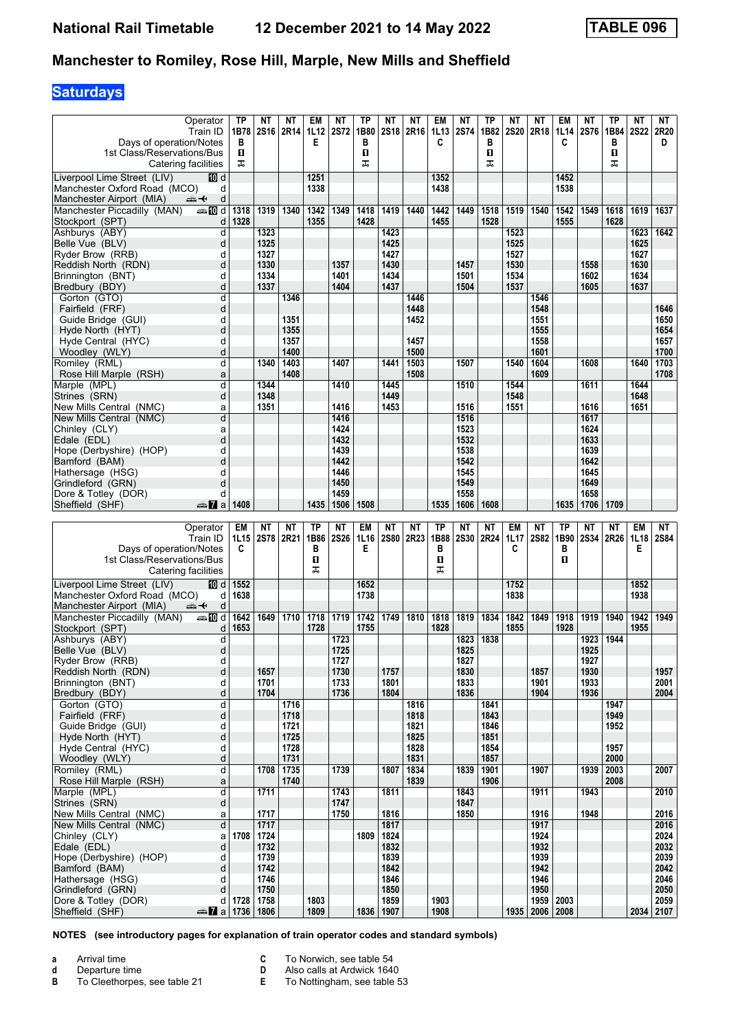## **Saturdays**

| Operator<br>Train ID<br>Days of operation/Notes<br>1st Class/Reservations/Bus<br>Catering facilities | <b>TP</b><br>1B78<br>в<br>O.<br>ᠼ | NΤ<br><b>2S16</b> | NΤ<br>2R14   | EM<br>1L12<br>Е   | ΝT<br><b>2S72</b>        | TP<br>1B80<br>в<br>п<br>ᠼ | NΤ<br>2S <sub>18</sub>   | NΤ<br>2R <sub>16</sub> | EM<br>1L13<br>C   | NΤ<br><b>2S74</b> | TP<br>1B82<br>в<br>O<br>ᠼ | NΤ<br><b>2S20</b> | NΤ<br>2R18         | EM<br>1L14<br>C   | NΤ<br><b>2S76</b> | ТP<br>1B84<br>в<br>О<br>ᠼ | NΤ<br><b>2S22</b> | NT<br>2R20<br>D   |
|------------------------------------------------------------------------------------------------------|-----------------------------------|-------------------|--------------|-------------------|--------------------------|---------------------------|--------------------------|------------------------|-------------------|-------------------|---------------------------|-------------------|--------------------|-------------------|-------------------|---------------------------|-------------------|-------------------|
| Liverpool Lime Street (LIV)<br>100 d                                                                 |                                   |                   |              | 1251              |                          |                           |                          |                        | 1352              |                   |                           |                   |                    | 1452              |                   |                           |                   |                   |
| Manchester Oxford Road (MCO)<br>d                                                                    |                                   |                   |              | 1338              |                          |                           |                          |                        | 1438              |                   |                           |                   |                    | 1538              |                   |                           |                   |                   |
| Manchester Airport (MIA)<br>d<br>安                                                                   |                                   |                   |              |                   |                          |                           |                          |                        |                   |                   |                           |                   |                    |                   |                   |                           |                   |                   |
| Manchester Piccadilly (MAN)<br>dannam d                                                              | 1318                              | 1319              | 1340         | 1342              | 1349                     | 1418                      | 1419                     | 1440                   | 1442              | 1449              | 1518                      | 1519              | 1540               | 1542              | 1549              | 1618                      | 1619              | 1637              |
| Stockport (SPT)<br>d<br>d                                                                            | 1328                              | 1323              |              | 1355              |                          | 1428                      | 1423                     |                        | 1455              |                   | 1528                      | 1523              |                    | 1555              |                   | 1628                      | 1623              | 1642              |
| Ashburys (ABY)<br>Belle Vue (BLV)<br>d                                                               |                                   | 1325              |              |                   |                          |                           | 1425                     |                        |                   |                   |                           | 1525              |                    |                   |                   |                           | 1625              |                   |
| Ryder Brow (RRB)<br>d                                                                                |                                   | 1327              |              |                   |                          |                           | 1427                     |                        |                   |                   |                           | 1527              |                    |                   |                   |                           | 1627              |                   |
| Reddish North (RDN)<br>d                                                                             |                                   | 1330              |              |                   | 1357                     |                           | 1430                     |                        |                   | 1457              |                           | 1530              |                    |                   | 1558              |                           | 1630              |                   |
| Brinnington (BNT)<br>d                                                                               |                                   | 1334              |              |                   | 1401                     |                           | 1434                     |                        |                   | 1501              |                           | 1534              |                    |                   | 1602              |                           | 1634              |                   |
| Bredbury (BDY)<br>d                                                                                  |                                   | 1337              |              |                   | 1404                     |                           | 1437                     | 1446                   |                   | 1504              |                           | 1537              |                    |                   | 1605              |                           | 1637              |                   |
| Gorton (GTO)<br>d<br>d<br>Fairfield (FRF)                                                            |                                   |                   | 1346         |                   |                          |                           |                          | 1448                   |                   |                   |                           |                   | 1546<br>1548       |                   |                   |                           |                   | 1646              |
| Guide Bridge (GUI)<br>d                                                                              |                                   |                   | 1351         |                   |                          |                           |                          | 1452                   |                   |                   |                           |                   | 1551               |                   |                   |                           |                   | 1650              |
| Hyde North (HYT)<br>d                                                                                |                                   |                   | 1355         |                   |                          |                           |                          |                        |                   |                   |                           |                   | 1555               |                   |                   |                           |                   | 1654              |
| Hyde Central (HYC)<br>d                                                                              |                                   |                   | 1357         |                   |                          |                           |                          | 1457                   |                   |                   |                           |                   | 1558               |                   |                   |                           |                   | 1657              |
| Woodley (WLY)<br>d                                                                                   |                                   |                   | 1400         |                   |                          |                           |                          | 1500                   |                   |                   |                           |                   | 1601               |                   |                   |                           |                   | 1700              |
| Romiley (RML)<br>d<br>Rose Hill Marple (RSH)<br>a                                                    |                                   | 1340              | 1403<br>1408 |                   | 1407                     |                           | 1441                     | 1503<br>1508           |                   | 1507              |                           | 1540              | 1604<br>1609       |                   | 1608              |                           | 1640              | 1703<br>1708      |
| Marple (MPL)<br>d                                                                                    |                                   | 1344              |              |                   | 1410                     |                           | 1445                     |                        |                   | 1510              |                           | 1544              |                    |                   | 1611              |                           | 1644              |                   |
| Strines (SRN)<br>d                                                                                   |                                   | 1348              |              |                   |                          |                           | 1449                     |                        |                   |                   |                           | 1548              |                    |                   |                   |                           | 1648              |                   |
| New Mills Central (NMC)<br>a                                                                         |                                   | 1351              |              |                   | 1416                     |                           | 1453                     |                        |                   | 1516              |                           | 1551              |                    |                   | 1616              |                           | 1651              |                   |
| New Mills Central (NMC)<br>d                                                                         |                                   |                   |              |                   | 1416                     |                           |                          |                        |                   | 1516              |                           |                   |                    |                   | 1617              |                           |                   |                   |
| Chinley (CLY)<br>a<br>Edale (EDL)<br>d                                                               |                                   |                   |              |                   | 1424<br>1432             |                           |                          |                        |                   | 1523<br>1532      |                           |                   |                    |                   | 1624<br>1633      |                           |                   |                   |
| Hope (Derbyshire) (HOP)<br>d                                                                         |                                   |                   |              |                   | 1439                     |                           |                          |                        |                   | 1538              |                           |                   |                    |                   | 1639              |                           |                   |                   |
| d<br>Bamford (BAM)                                                                                   |                                   |                   |              |                   | 1442                     |                           |                          |                        |                   | 1542              |                           |                   |                    |                   | 1642              |                           |                   |                   |
| d<br>Hathersage (HSG)                                                                                |                                   |                   |              |                   | 1446                     |                           |                          |                        |                   | 1545              |                           |                   |                    |                   | 1645              |                           |                   |                   |
| Grindleford (GRN)<br>d                                                                               |                                   |                   |              |                   | 1450                     |                           |                          |                        |                   | 1549              |                           |                   |                    |                   | 1649              |                           |                   |                   |
| Dore & Totley (DOR)<br>d<br>Sheffield (SHF)<br>dan 7a                                                | 1408                              |                   |              | 1435              | 1459<br>1506             | 1508                      |                          |                        | 1535              | 1558<br>1606      | 1608                      |                   |                    | 1635              | 1658<br>1706      | 1709                      |                   |                   |
|                                                                                                      |                                   |                   |              |                   |                          |                           |                          |                        |                   |                   |                           |                   |                    |                   |                   |                           |                   |                   |
|                                                                                                      |                                   |                   |              |                   |                          |                           |                          |                        |                   |                   |                           |                   |                    |                   |                   |                           |                   |                   |
| Operator<br>Train ID                                                                                 | EM<br>1L15                        | NΤ<br>2S78 2R21   | ΝT           | <b>TP</b><br>1B86 | <b>NT</b><br><b>2S26</b> | EM<br>1L16                | <b>NT</b><br><b>2S80</b> | <b>NT</b><br>2R23      | <b>TP</b><br>1B88 | NΤ<br><b>2S30</b> | NΤ<br>2R24                | EM<br>1L17        | ΝT<br><b>2S82</b>  | <b>TP</b><br>1B90 | NΤ<br>2S34        | NΤ<br>2R26                | EM<br>1L18        | NT<br><b>2S84</b> |
| Days of operation/Notes<br>1st Class/Reservations/Bus<br>Catering facilities                         | C                                 |                   |              | в<br>п<br>ᠼ       |                          | Е                         |                          |                        | в<br>п<br>ᠼ       |                   |                           | C                 |                    | в<br>п            |                   |                           | Е                 |                   |
| Liverpool Lime Street (LIV)<br>100 d                                                                 | 1552                              |                   |              |                   |                          | 1652                      |                          |                        |                   |                   |                           | 1752              |                    |                   |                   |                           | 1852              |                   |
| Manchester Oxford Road (MCO)<br>d                                                                    | 1638                              |                   |              |                   |                          | 1738                      |                          |                        |                   |                   |                           | 1838              |                    |                   |                   |                           | 1938              |                   |
| Manchester Airport (MIA)<br>d<br>⇜✦                                                                  |                                   |                   |              |                   |                          |                           |                          |                        |                   |                   |                           |                   |                    |                   |                   |                           |                   |                   |
| Manchester Piccadilly (MAN)<br>⇔mDd<br>Stockport (SPT)<br>d                                          | 1642<br>1653                      | 1649              | 1710         | 1718<br>1728      | 1719                     | 1742<br>1755              | 1749                     | 1810                   | 1818<br>1828      | 1819              | 1834                      | 1842<br>1855      | 1849               | 1918<br>1928      | 1919              | 1940                      | 1942<br>1955      | 1949              |
| d<br>Ashburvs (ABY)                                                                                  |                                   |                   |              |                   | 1723                     |                           |                          |                        |                   | 1823              | 1838                      |                   |                    |                   | 1923              | 1944                      |                   |                   |
| d<br>Belle Vue (BLV)                                                                                 |                                   |                   |              |                   | 1725                     |                           |                          |                        |                   | 1825              |                           |                   |                    |                   | 1925              |                           |                   |                   |
| Ryder Brow (RRB)<br>d                                                                                |                                   |                   |              |                   | 1727                     |                           |                          |                        |                   | 1827              |                           |                   |                    |                   | 1927              |                           |                   |                   |
| d<br>Reddish North (RDN)<br>Brinnington (BNT)<br>d                                                   |                                   | 1657<br>1701      |              |                   | 1730<br>1733             |                           | 1757<br>1801             |                        |                   | 1830<br>1833      |                           |                   | 1857<br>1901       |                   | 1930<br>1933      |                           |                   | 1957<br>2001      |
| Bredbury (BDY)<br>d                                                                                  |                                   | 1704              |              |                   | 1736                     |                           | 1804                     |                        |                   | 1836              |                           |                   | 1904               |                   | 1936              |                           |                   | 2004              |
| Gorton (GTO)<br>d                                                                                    |                                   |                   | 1716         |                   |                          |                           |                          | 1816                   |                   |                   | 1841                      |                   |                    |                   |                   | 1947                      |                   |                   |
| Fairfield (FRF)<br>d                                                                                 |                                   |                   | 1718         |                   |                          |                           |                          | 1818                   |                   |                   | 1843                      |                   |                    |                   |                   | 1949                      |                   |                   |
| Guide Bridge (GUI)<br>d                                                                              |                                   |                   | 1721<br>1725 |                   |                          |                           |                          | 1821<br>1825           |                   |                   | 1846<br>1851              |                   |                    |                   |                   | 1952                      |                   |                   |
| d<br>Hyde North (HYT)<br>Hyde Central (HYC)<br>d                                                     |                                   |                   | 1728         |                   |                          |                           |                          | 1828                   |                   |                   | 1854                      |                   |                    |                   |                   | 1957                      |                   |                   |
| d<br>Woodley (WLY)                                                                                   |                                   |                   | 1731         |                   |                          |                           |                          | 1831                   |                   |                   | 1857                      |                   |                    |                   |                   | 2000                      |                   |                   |
| $\overline{\mathsf{d}}$<br>Romiley (RML)                                                             |                                   | 1708              | 1735         |                   | 1739                     |                           | 1807                     | 1834                   |                   | 1839              | 1901                      |                   | 1907               |                   | 1939              | 2003                      |                   | 2007              |
| Rose Hill Marple (RSH)<br>$\mathsf{a}$                                                               |                                   |                   | 1740         |                   |                          |                           |                          | 1839                   |                   |                   | 1906                      |                   |                    |                   |                   | 2008                      |                   |                   |
| d<br>Marple (MPL)<br>d                                                                               |                                   | 1711              |              |                   | 1743<br>1747             |                           | 1811                     |                        |                   | 1843<br>1847      |                           |                   | 1911               |                   | 1943              |                           |                   | 2010              |
| Strines (SRN)<br>New Mills Central (NMC)<br>a                                                        |                                   | 1717              |              |                   | 1750                     |                           | 1816                     |                        |                   | 1850              |                           |                   | 1916               |                   | 1948              |                           |                   | 2016              |
| New Mills Central (NMC)<br>d                                                                         |                                   | 1717              |              |                   |                          |                           | 1817                     |                        |                   |                   |                           |                   | 1917               |                   |                   |                           |                   | 2016              |
| Chinley (CLY)<br>a                                                                                   | 1708                              | 1724              |              |                   |                          | 1809                      | 1824                     |                        |                   |                   |                           |                   | 1924               |                   |                   |                           |                   | 2024              |
| Edale (EDL)<br>d                                                                                     |                                   | 1732              |              |                   |                          |                           | 1832                     |                        |                   |                   |                           |                   | 1932               |                   |                   |                           |                   | 2032              |
| d<br>Hope (Derbyshire) (HOP)<br>d                                                                    |                                   | 1739              |              |                   |                          |                           | 1839                     |                        |                   |                   |                           |                   | 1939               |                   |                   |                           |                   | 2039              |
| Bamford (BAM)<br>Hathersage (HSG)<br>d                                                               |                                   | 1742<br>1746      |              |                   |                          |                           | 1842<br>1846             |                        |                   |                   |                           |                   | 1942<br>1946       |                   |                   |                           |                   | 2042<br>2046      |
| Grindleford (GRN)<br>d                                                                               |                                   | 1750              |              |                   |                          |                           | 1850                     |                        |                   |                   |                           |                   | 1950               |                   |                   |                           |                   | 2050              |
| Dore & Totley (DOR)<br>d<br>a 1736 1806<br>Sheffield (SHF)                                           |                                   | 1728   1758       |              | 1803<br>1809      |                          |                           | 1859<br>1836   1907      |                        | 1903<br>1908      |                   |                           |                   | 1935   2006   2008 | 1959 2003         |                   |                           |                   | 2059<br>2034 2107 |

**NOTES (see introductory pages for explanation of train operator codes and standard symbols)**

**a** Arrival time

**d** Departure time<br>**B** To Cleethorpes To Cleethorpes, see table 21 **C** To Norwich, see table 54<br>**D** Also calls at Ardwick 1640

**D** Also calls at Ardwick 1640<br>**E** To Nottingham, see table 5 To Nottingham, see table 53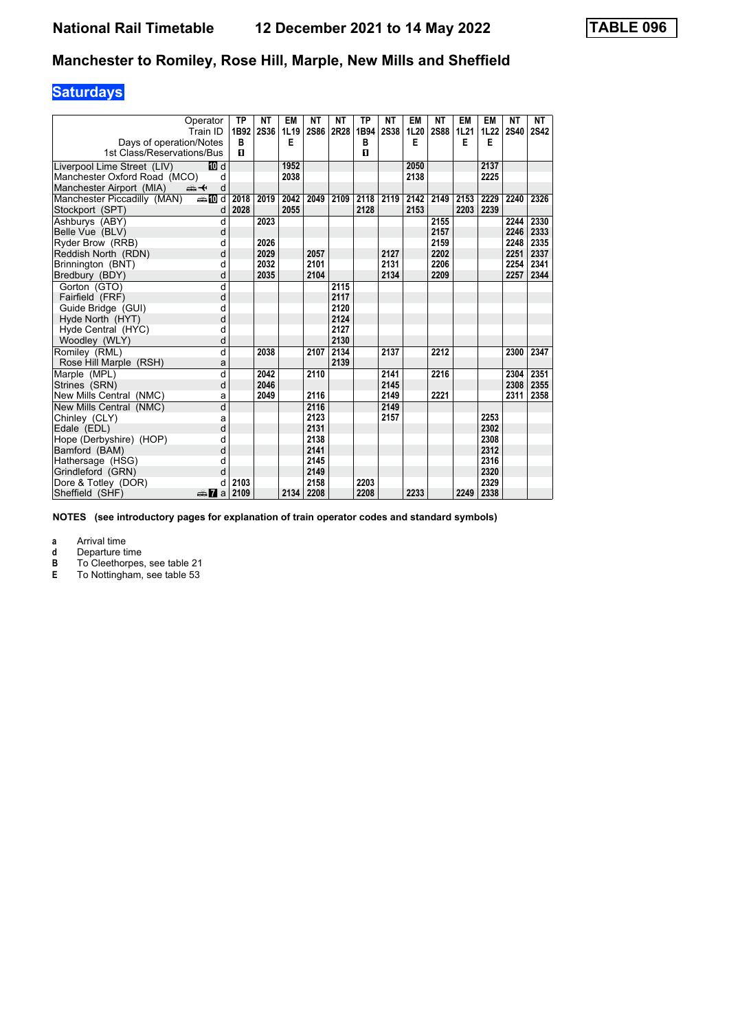# **Saturdays**

| Operator                                   | <b>TP</b> | <b>NT</b> | EM   | <b>NT</b>   | <b>NT</b> | <b>TP</b> | NΤ          | EM   | <b>NT</b>   | EM   | EM   | NΤ          | NT          |
|--------------------------------------------|-----------|-----------|------|-------------|-----------|-----------|-------------|------|-------------|------|------|-------------|-------------|
| Train ID                                   | 1B92      | 2S36      | 1L19 | <b>2S86</b> | 2R28      | 1B94      | <b>2S38</b> | 1L20 | <b>2S88</b> | 1L21 | 1L22 | <b>2S40</b> | <b>2S42</b> |
| Days of operation/Notes                    | B         |           | E    |             |           | B         |             | E    |             | E    | E    |             |             |
| 1st Class/Reservations/Bus                 | п         |           |      |             |           | п         |             |      |             |      |      |             |             |
| <b>ID</b> d<br>Liverpool Lime Street (LIV) |           |           | 1952 |             |           |           |             | 2050 |             |      | 2137 |             |             |
| Manchester Oxford Road (MCO)<br>d          |           |           | 2038 |             |           |           |             | 2138 |             |      | 2225 |             |             |
| Manchester Airport (MIA)<br>安<br>d         |           |           |      |             |           |           |             |      |             |      |      |             |             |
| <b>⊯Md</b><br>Manchester Piccadilly (MAN)  | 2018      | 2019      | 2042 | 2049        | 2109      |           | 2118 2119   | 2142 | 2149        | 2153 | 2229 | 2240        | 2326        |
| Stockport (SPT)<br>d                       | 2028      |           | 2055 |             |           | 2128      |             | 2153 |             | 2203 | 2239 |             |             |
| Ashburys (ABY)<br>d                        |           | 2023      |      |             |           |           |             |      | 2155        |      |      | 2244        | 2330        |
| Belle Vue (BLV)<br>d                       |           |           |      |             |           |           |             |      | 2157        |      |      | 2246        | 2333        |
| Ryder Brow (RRB)<br>d                      |           | 2026      |      |             |           |           |             |      | 2159        |      |      | 2248        | 2335        |
| Reddish North (RDN)<br>d                   |           | 2029      |      | 2057        |           |           | 2127        |      | 2202        |      |      | 2251        | 2337        |
| Brinnington (BNT)<br>d                     |           | 2032      |      | 2101        |           |           | 2131        |      | 2206        |      |      | 2254        | 2341        |
| Bredbury (BDY)<br>d                        |           | 2035      |      | 2104        |           |           | 2134        |      | 2209        |      |      | 2257        | 2344        |
| Gorton (GTO)<br>d                          |           |           |      |             | 2115      |           |             |      |             |      |      |             |             |
| Fairfield (FRF)<br>d                       |           |           |      |             | 2117      |           |             |      |             |      |      |             |             |
| Guide Bridge (GUI)<br>d                    |           |           |      |             | 2120      |           |             |      |             |      |      |             |             |
| Hyde North (HYT)<br>d                      |           |           |      |             | 2124      |           |             |      |             |      |      |             |             |
| Hyde Central (HYC)<br>d                    |           |           |      |             | 2127      |           |             |      |             |      |      |             |             |
| Woodley (WLY)<br>d                         |           |           |      |             | 2130      |           |             |      |             |      |      |             |             |
| d<br>Romiley (RML)                         |           | 2038      |      | 2107        | 2134      |           | 2137        |      | 2212        |      |      | 2300        | 2347        |
| Rose Hill Marple (RSH)<br>a                |           |           |      |             | 2139      |           |             |      |             |      |      |             |             |
| Marple (MPL)<br>d                          |           | 2042      |      | 2110        |           |           | 2141        |      | 2216        |      |      | 2304        | 2351        |
| Strines (SRN)<br>d                         |           | 2046      |      |             |           |           | 2145        |      |             |      |      | 2308        | 2355        |
| New Mills Central (NMC)<br>a               |           | 2049      |      | 2116        |           |           | 2149        |      | 2221        |      |      | 2311        | 2358        |
| d<br>New Mills Central (NMC)               |           |           |      | 2116        |           |           | 2149        |      |             |      |      |             |             |
| Chinley (CLY)<br>a                         |           |           |      | 2123        |           |           | 2157        |      |             |      | 2253 |             |             |
| Edale (EDL)<br>d                           |           |           |      | 2131        |           |           |             |      |             |      | 2302 |             |             |
| Hope (Derbyshire) (HOP)<br>d               |           |           |      | 2138        |           |           |             |      |             |      | 2308 |             |             |
| Bamford (BAM)<br>d                         |           |           |      | 2141        |           |           |             |      |             |      | 2312 |             |             |
| Hathersage (HSG)<br>d                      |           |           |      | 2145        |           |           |             |      |             |      | 2316 |             |             |
| Grindleford (GRN)<br>d                     |           |           |      | 2149        |           |           |             |      |             |      | 2320 |             |             |
| Dore & Totley (DOR)<br>d                   | 2103      |           |      | 2158        |           | 2203      |             |      |             |      | 2329 |             |             |
| Sheffield (SHF)<br>$\frac{1}{2}$ a         | 2109      |           | 2134 | 2208        |           | 2208      |             | 2233 |             | 2249 | 2338 |             |             |

**NOTES (see introductory pages for explanation of train operator codes and standard symbols)**

**a** Arrival time<br>**d** Departure time

**d** Departure time<br>**B** To Cleethorpes

**B** To Cleethorpes, see table 21<br>**E** To Nottingham, see table 53

To Nottingham, see table 53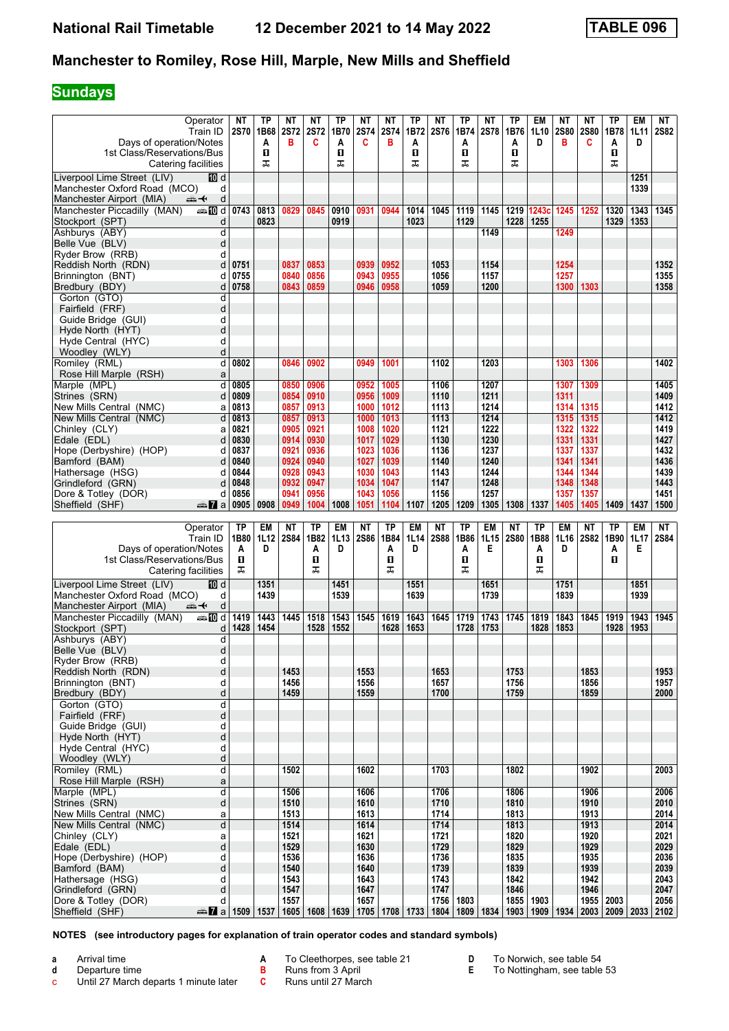### **Sundays**

| Operator<br>Train ID<br>Days of operation/Notes<br>1st Class/Reservations/Bus<br>Catering facilities | NΤ<br><b>2S70</b> | ТP<br>1B68<br>A<br>O<br>ᠼ | NΤ<br><b>2S72</b><br>в   | NΤ<br><b>2S72</b><br>C | ТP<br>1B70<br>A<br>п<br>ᠼ | ΝT<br><b>2S74</b><br>C   | NΤ<br><b>2S74</b><br>в | TP<br>1B72<br>A<br>0<br>ᠼ | ΝT<br><b>2S76</b>        | ΤP<br>1B74<br>Α<br>п<br>ᠼ | NΤ<br><b>2S78</b> | ТP<br>1B76<br>A<br>O<br>ᠼ | EM<br>1L10<br>D   | ΝT<br><b>2S80</b><br>в | NΤ<br><b>2S80</b><br>C   | ТP<br>1B78<br>A<br>П<br>ᠼ                                     | EM<br>1L11<br>D | NT<br><b>2S82</b> |
|------------------------------------------------------------------------------------------------------|-------------------|---------------------------|--------------------------|------------------------|---------------------------|--------------------------|------------------------|---------------------------|--------------------------|---------------------------|-------------------|---------------------------|-------------------|------------------------|--------------------------|---------------------------------------------------------------|-----------------|-------------------|
| Liverpool Lime Street (LIV)<br>[[] d                                                                 |                   |                           |                          |                        |                           |                          |                        |                           |                          |                           |                   |                           |                   |                        |                          |                                                               | 1251            |                   |
| Manchester Oxford Road (MCO)<br>d<br>d<br>Manchester Airport (MIA)<br>⇜✦                             |                   |                           |                          |                        |                           |                          |                        |                           |                          |                           |                   |                           |                   |                        |                          |                                                               | 1339            |                   |
| Manchester Piccadilly (MAN)<br><b>and</b> d                                                          | 0743              | 0813                      | 0829                     | 0845                   | 0910                      | 0931                     | 0944                   | 1014                      | $\frac{1}{1045}$         | 1119                      | 1145              |                           | 1219 1243c        | 1245                   | 1252                     | 1320                                                          | 1343            | 1345              |
| Stockport (SPT)<br>d                                                                                 |                   | 0823                      |                          |                        | 0919                      |                          |                        | 1023                      |                          | 1129                      |                   | 1228                      | 1255              |                        |                          | 1329                                                          | 1353            |                   |
| Ashburys (ABY)<br>d<br>Belle Vue (BLV)<br>d                                                          |                   |                           |                          |                        |                           |                          |                        |                           |                          |                           | 1149              |                           |                   | 1249                   |                          |                                                               |                 |                   |
| Ryder Brow (RRB)<br>d                                                                                |                   |                           |                          |                        |                           |                          |                        |                           |                          |                           |                   |                           |                   |                        |                          |                                                               |                 |                   |
| d<br>Reddish North (RDN)<br>Brinnington (BNT)<br>d                                                   | 0751<br>0755      |                           | 0837<br>0840             | 0853<br>0856           |                           | 0939<br>0943             | 0952<br>0955           |                           | 1053<br>1056             |                           | 1154<br>1157      |                           |                   | 1254<br>1257           |                          |                                                               |                 | 1352<br>1355      |
| Bredbury (BDY)<br>d                                                                                  | 0758              |                           | 0843                     | 0859                   |                           | 0946                     | 0958                   |                           | 1059                     |                           | 1200              |                           |                   | 1300                   | 1303                     |                                                               |                 | 1358              |
| Gorton (GTO)<br>d                                                                                    |                   |                           |                          |                        |                           |                          |                        |                           |                          |                           |                   |                           |                   |                        |                          |                                                               |                 |                   |
| d<br>Fairfield (FRF)<br>Guide Bridge (GUI)<br>d                                                      |                   |                           |                          |                        |                           |                          |                        |                           |                          |                           |                   |                           |                   |                        |                          |                                                               |                 |                   |
| d<br>Hyde North (HYT)                                                                                |                   |                           |                          |                        |                           |                          |                        |                           |                          |                           |                   |                           |                   |                        |                          |                                                               |                 |                   |
| Hyde Central (HYC)<br>d                                                                              |                   |                           |                          |                        |                           |                          |                        |                           |                          |                           |                   |                           |                   |                        |                          |                                                               |                 |                   |
| d<br>Woodley (WLY)<br>d<br>Romiley (RML)                                                             | 0802              |                           | 0846                     | 0902                   |                           | 0949                     | 1001                   |                           | 1102                     |                           | 1203              |                           |                   | 1303                   | 1306                     |                                                               |                 | 1402              |
| Rose Hill Marple (RSH)<br>a                                                                          |                   |                           |                          |                        |                           |                          |                        |                           |                          |                           |                   |                           |                   |                        |                          |                                                               |                 |                   |
| Marple (MPL)<br>d                                                                                    | 0805              |                           | 0850                     | 0906                   |                           | 0952                     | 1005                   |                           | 1106                     |                           | 1207              |                           |                   | 1307                   | 1309                     |                                                               |                 | 1405              |
| Strines (SRN)<br>d<br>New Mills Central (NMC)<br>a                                                   | 0809<br>0813      |                           | 0854<br>0857             | 0910<br>0913           |                           | 0956<br>1000             | 1009<br>1012           |                           | 1110<br>1113             |                           | 1211<br>1214      |                           |                   | 1311<br>1314           | 1315                     |                                                               |                 | 1409<br>1412      |
| New Mills Central (NMC)<br>d                                                                         | 0813              |                           | 0857                     | 0913                   |                           | 1000                     | 1013                   |                           | 1113                     |                           | 1214              |                           |                   | 1315                   | 1315                     |                                                               |                 | 1412              |
| Chinley (CLY)<br>a                                                                                   | 0821              |                           | 0905                     | 0921                   |                           | 1008                     | 1020                   |                           | 1121                     |                           | 1222              |                           |                   | 1322                   | 1322                     |                                                               |                 | 1419              |
| d<br>Edale (EDL)<br>Hope (Derbyshire) (HOP)<br>d                                                     | 0830<br>0837      |                           | 0914<br>0921             | 0930<br>0936           |                           | 1017<br>1023             | 1029<br>1036           |                           | 1130<br>1136             |                           | 1230<br>1237      |                           |                   | 1331<br>1337           | 1331<br>1337             |                                                               |                 | 1427<br>1432      |
| Bamford (BAM)<br>d                                                                                   | 0840              |                           | 0924                     | 0940                   |                           | 1027                     | 1039                   |                           | 1140                     |                           | 1240              |                           |                   | 1341                   | 1341                     |                                                               |                 | 1436              |
| Hathersage (HSG)<br>d<br>Grindleford (GRN)<br>d                                                      | 0844<br>0848      |                           | 0928<br>0932             | 0943<br>0947           |                           | 1030<br>1034             | 1043<br>1047           |                           | 1143<br>1147             |                           | 1244<br>1248      |                           |                   | 1344<br>1348           | 1344<br>1348             |                                                               |                 | 1439<br>1443      |
| Dore & Totley (DOR)<br>d                                                                             | 0856              |                           | 0941                     | 0956                   |                           | 1043                     | 1056                   |                           | 1156                     |                           | 1257              |                           |                   | 1357                   | 1357                     |                                                               |                 | 1451              |
| Sheffield (SHF)<br>den <b>7</b> a                                                                    | 0905              | 0908                      | 0949                     | 1004                   | 1008                      | 1051                     | 1104                   | 1107                      | 1205                     | 1209                      | 1305              | 1308                      | 1337              | 1405                   | 1405                     | 1409                                                          | 1437            | 1500              |
|                                                                                                      |                   |                           |                          |                        |                           |                          |                        |                           |                          |                           |                   |                           |                   |                        |                          |                                                               |                 |                   |
|                                                                                                      |                   |                           |                          |                        |                           |                          |                        |                           |                          |                           |                   |                           |                   |                        |                          |                                                               |                 |                   |
| Operator<br>Train ID                                                                                 | <b>TP</b><br>1B80 | EM<br>1L12                | <b>NT</b><br><b>2S84</b> | <b>TP</b><br>1B82      | <b>EM</b><br>1L13         | <b>NT</b><br><b>2S86</b> | <b>TP</b><br>1B84      | <b>EM</b><br>1L14         | <b>NT</b><br><b>2S88</b> | <b>TP</b><br>1B86         | <b>EM</b><br>1L15 | <b>NT</b><br><b>2S80</b>  | <b>TP</b><br>1B88 | EM<br>1L16             | <b>NT</b><br><b>2S82</b> | TP<br>1B90                                                    | EM<br>1L17      | NΤ<br>2S84        |
| Days of operation/Notes                                                                              | A                 | D                         |                          | A                      | D                         |                          | Α                      | D                         |                          | Α                         | Е                 |                           | A                 | D                      |                          | A                                                             | Е               |                   |
| 1st Class/Reservations/Bus<br>Catering facilities                                                    | O<br>ᅚ            |                           |                          | п<br>ᠼ                 |                           |                          | O<br>ᠼ                 |                           |                          | п<br>ᠼ                    |                   |                           | п<br>ᠼ            |                        |                          | O.                                                            |                 |                   |
| Liverpool Lime Street (LIV)<br>10 d                                                                  |                   | 1351                      |                          |                        | 1451                      |                          |                        | 1551                      |                          |                           | 1651              |                           |                   | 1751                   |                          |                                                               | 1851            |                   |
| Manchester Oxford Road (MCO)<br>d                                                                    |                   | 1439                      |                          |                        | 1539                      |                          |                        | 1639                      |                          |                           | 1739              |                           |                   | 1839                   |                          |                                                               | 1939            |                   |
| Manchester Airport (MIA)<br>d<br><del>∰</del> ≁<br>Manchester Piccadilly (MAN)<br>anna nDid          | 1419              | 1443                      | 1445                     | 1518                   | 1543                      | 1545                     | 1619                   | 1643                      | 1645                     | 1719                      | 1743              | 1745                      | 1819              | 1843                   | 1845                     | 1919                                                          | 1943            | 1945              |
| Stockport (SPT)<br>d                                                                                 | 1428              | 1454                      |                          | 1528                   | 1552                      |                          | 1628                   | 1653                      |                          | 1728                      | 1753              |                           | 1828              | 1853                   |                          | 1928                                                          | 1953            |                   |
| Ashburys (ABY)<br>d                                                                                  |                   |                           |                          |                        |                           |                          |                        |                           |                          |                           |                   |                           |                   |                        |                          |                                                               |                 |                   |
| d<br>Belle Vue (BLV)<br>Ryder Brow (RRB)<br>d                                                        |                   |                           |                          |                        |                           |                          |                        |                           |                          |                           |                   |                           |                   |                        |                          |                                                               |                 |                   |
| d<br>Reddish North (RDN)                                                                             |                   |                           | 1453                     |                        |                           | 1553                     |                        |                           | 1653                     |                           |                   | 1753                      |                   |                        | 1853                     |                                                               |                 | 1953              |
| Brinnington (BNT)<br>d<br>d<br>Bredbury (BDY)                                                        |                   |                           | 1456<br>1459             |                        |                           | 1556<br>1559             |                        |                           | 1657<br>1700             |                           |                   | 1756<br>1759              |                   |                        | 1856<br>1859             |                                                               |                 | 1957<br>2000      |
| $\mathsf{d}$<br>Gorton (GTO)                                                                         |                   |                           |                          |                        |                           |                          |                        |                           |                          |                           |                   |                           |                   |                        |                          |                                                               |                 |                   |
| d<br>Fairfield (FRF)                                                                                 |                   |                           |                          |                        |                           |                          |                        |                           |                          |                           |                   |                           |                   |                        |                          |                                                               |                 |                   |
| d<br>Guide Bridge (GUI)<br>d<br>Hyde North (HYT)                                                     |                   |                           |                          |                        |                           |                          |                        |                           |                          |                           |                   |                           |                   |                        |                          |                                                               |                 |                   |
| d<br>Hyde Central (HYC)                                                                              |                   |                           |                          |                        |                           |                          |                        |                           |                          |                           |                   |                           |                   |                        |                          |                                                               |                 |                   |
| d<br>Woodley (WLY)                                                                                   |                   |                           |                          |                        |                           |                          |                        |                           |                          |                           |                   |                           |                   |                        |                          |                                                               |                 |                   |
| Romiley (RML)<br>d<br>Rose Hill Marple (RSH)<br>$\mathsf{a}$                                         |                   |                           | 1502                     |                        |                           | 1602                     |                        |                           | 1703                     |                           |                   | 1802                      |                   |                        | 1902                     |                                                               |                 | 2003              |
| d<br>Marple (MPL)                                                                                    |                   |                           | 1506                     |                        |                           | 1606                     |                        |                           | 1706                     |                           |                   | 1806                      |                   |                        | 1906                     |                                                               |                 | 2006              |
| d<br>Strines (SRN)<br>New Mills Central (NMC)                                                        |                   |                           | 1510<br>1513             |                        |                           | 1610<br>1613             |                        |                           | 1710<br>1714             |                           |                   | 1810<br>1813              |                   |                        | 1910<br>1913             |                                                               |                 | 2010<br>2014      |
| a<br>$\overline{\mathsf{d}}$<br>New Mills Central (NMC)                                              |                   |                           | 1514                     |                        |                           | 1614                     |                        |                           | 1714                     |                           |                   | 1813                      |                   |                        | 1913                     |                                                               |                 | 2014              |
| Chinley (CLY)<br>a                                                                                   |                   |                           | 1521                     |                        |                           | 1621                     |                        |                           | 1721                     |                           |                   | 1820                      |                   |                        | 1920                     |                                                               |                 | 2021              |
| d<br>Edale (EDL)<br>Hope (Derbyshire) (HOP)<br>d                                                     |                   |                           | 1529<br>1536             |                        |                           | 1630<br>1636             |                        |                           | 1729<br>1736             |                           |                   | 1829<br>1835              |                   |                        | 1929<br>1935             |                                                               |                 | 2029<br>2036      |
| d<br>Bamford (BAM)                                                                                   |                   |                           | 1540                     |                        |                           | 1640                     |                        |                           | 1739                     |                           |                   | 1839                      |                   |                        | 1939                     |                                                               |                 | 2039              |
| Hathersage (HSG)<br>d                                                                                |                   |                           | 1543                     |                        |                           | 1643                     |                        |                           | 1743                     |                           |                   | 1842                      |                   |                        | 1942                     |                                                               |                 | 2043              |
| d<br>Grindleford (GRN)<br>Dore & Totley (DOR)<br>d<br>Sheffield (SHF)<br><b>at 2</b> a 1509 1537     |                   |                           | 1547<br>1557<br>1605     | 1608                   | 1639                      | 1647<br>1657             |                        | 1705   1708   1733        | 1747<br>1756<br>1804     | 1803                      | 1809   1834       | 1846                      | 1855   1903       |                        | 1946                     | 1955   2003<br>1903   1909   1934   2003   2009   2033   2102 |                 | 2047<br>2056      |

**NOTES (see introductory pages for explanation of train operator codes and standard symbols)**

**a** Arrival time

- **d** Departure time<br>**c** Until 27 March Until 27 March departs 1 minute later
- **A** To Cleethorpes, see table 21
- **B** Runs from 3 April
- **C** Runs until 27 March
- **D** To Norwich, see table 54<br>**E** To Nottingham, see table
	- To Nottingham, see table 53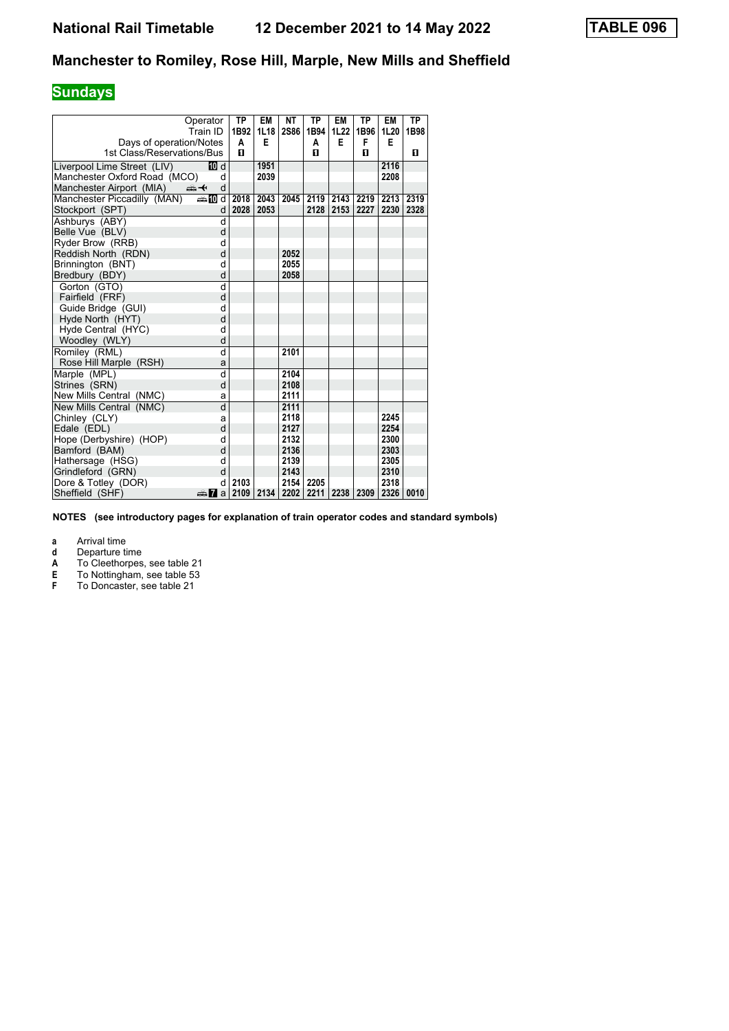# **Sundays**

|                              | Operator                | <b>TP</b> | EM   | <b>NT</b>   | <b>TP</b> | EM   | <b>TP</b> | EM   | <b>TP</b> |
|------------------------------|-------------------------|-----------|------|-------------|-----------|------|-----------|------|-----------|
|                              | Train ID                | 1B92      | 1L18 | <b>2S86</b> | 1B94      | 1L22 | 1B96      | 1L20 | 1B98      |
| Days of operation/Notes      |                         | A         | E    |             | A         | E    | F         | Е    |           |
| 1st Class/Reservations/Bus   |                         | п         |      |             | п         |      | п         |      | 0         |
| Liverpool Lime Street (LIV)  | <b>ID</b> d             |           | 1951 |             |           |      |           | 2116 |           |
| Manchester Oxford Road (MCO) | d                       |           | 2039 |             |           |      |           | 2208 |           |
| Manchester Airport (MIA)     | ⇜✦<br>d                 |           |      |             |           |      |           |      |           |
| Manchester Piccadilly (MAN)  | d≣name.                 | 2018      | 2043 | 2045        | 2119      | 2143 | 2219      | 2213 | 2319      |
| Stockport (SPT)              | d                       | 2028      | 2053 |             | 2128      | 2153 | 2227      | 2230 | 2328      |
| Ashburys (ABY)               | d                       |           |      |             |           |      |           |      |           |
| Belle Vue (BLV)              | d                       |           |      |             |           |      |           |      |           |
| Ryder Brow (RRB)             | d                       |           |      |             |           |      |           |      |           |
| Reddish North (RDN)          | d                       |           |      | 2052        |           |      |           |      |           |
| Brinnington (BNT)            | d                       |           |      | 2055        |           |      |           |      |           |
| Bredbury (BDY)               | d                       |           |      | 2058        |           |      |           |      |           |
| Gorton (GTO)                 | $\overline{\mathsf{d}}$ |           |      |             |           |      |           |      |           |
| Fairfield (FRF)              | d                       |           |      |             |           |      |           |      |           |
| Guide Bridge (GUI)           | d                       |           |      |             |           |      |           |      |           |
| Hyde North (HYT)             | d                       |           |      |             |           |      |           |      |           |
| Hyde Central (HYC)           | d                       |           |      |             |           |      |           |      |           |
| Woodley (WLY)                | d                       |           |      |             |           |      |           |      |           |
| Romiley (RML)                | $\overline{\mathsf{d}}$ |           |      | 2101        |           |      |           |      |           |
| Rose Hill Marple (RSH)       | a                       |           |      |             |           |      |           |      |           |
| Marple (MPL)                 | d                       |           |      | 2104        |           |      |           |      |           |
| Strines (SRN)                | d                       |           |      | 2108        |           |      |           |      |           |
| New Mills Central (NMC)      | a                       |           |      | 2111        |           |      |           |      |           |
| New Mills Central (NMC)      | d                       |           |      | 2111        |           |      |           |      |           |
| Chinley (CLY)                | a                       |           |      | 2118        |           |      |           | 2245 |           |
| Edale (EDL)                  | d                       |           |      | 2127        |           |      |           | 2254 |           |
| Hope (Derbyshire) (HOP)      | d                       |           |      | 2132        |           |      |           | 2300 |           |
| Bamford (BAM)                | d                       |           |      | 2136        |           |      |           | 2303 |           |
| Hathersage (HSG)             | d                       |           |      | 2139        |           |      |           | 2305 |           |
| Grindleford (GRN)            | d                       |           |      | 2143        |           |      |           | 2310 |           |
| Dore & Totley (DOR)          | d                       | 2103      |      | 2154        | 2205      |      |           | 2318 |           |
| Sheffield (SHF)              | anna Ma                 | 2109      | 2134 | 2202        | 2211      | 2238 | 2309      | 2326 | 0010      |

**NOTES (see introductory pages for explanation of train operator codes and standard symbols)**

**a** Arrival time<br>**d** Departure time

**d** Departure time<br>**A** To Cleethorpes

**A** To Cleethorpes, see table 21<br> **E** To Nottingham, see table 53<br> **F** To Doncaster, see table 21

**E** To Nottingham, see table 53

**F** To Doncaster, see table 21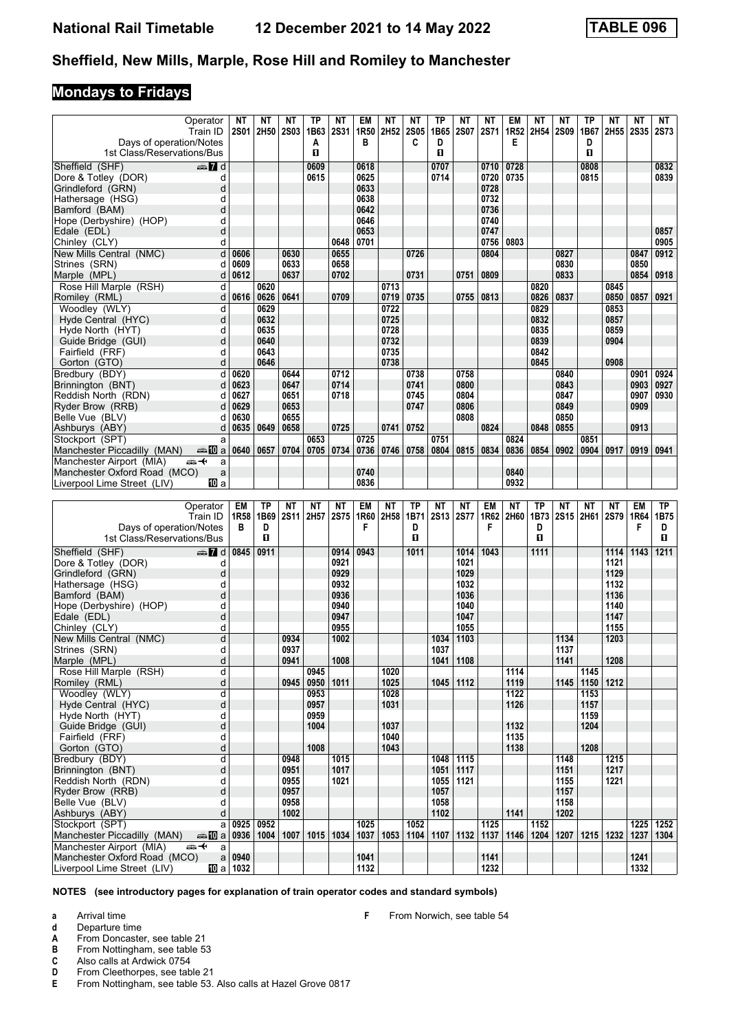## **Mondays to Fridays**

| Days of operation/Notes<br>1st Class/Reservations/Bus       | Operator<br>Train ID    | ΝT<br><b>2S01</b>            | ΝT<br>2H50    | NΤ<br><b>2S03</b> | TP<br>1B63<br>A<br>п | ΝT<br><b>2S31</b> | EM<br>1R50<br>в | ΝT<br>2H <sub>52</sub> | NΤ<br><b>2S05</b><br>C | ΤP<br>1B65<br>D<br>п | NΤ<br><b>2S07</b> | <b>NT</b><br><b>2S71</b> | EM<br>1R52<br>Е | ΝT<br>2H54   | NΤ<br>2S09 | ТP<br>1B67<br>D<br>п | ΝT<br>2H55                | NΤ<br><b>2S35</b> | NT<br><b>2S73</b>      |
|-------------------------------------------------------------|-------------------------|------------------------------|---------------|-------------------|----------------------|-------------------|-----------------|------------------------|------------------------|----------------------|-------------------|--------------------------|-----------------|--------------|------------|----------------------|---------------------------|-------------------|------------------------|
| Sheffield (SHF)                                             | $\oplus \blacksquare$ d |                              |               |                   | 0609                 |                   | 0618            |                        |                        | 0707                 |                   | 0710                     | 0728            |              |            | 0808                 |                           |                   | 0832                   |
| Dore & Totley (DOR)                                         | d                       |                              |               |                   | 0615                 |                   | 0625            |                        |                        | 0714                 |                   | 0720                     | 0735            |              |            | 0815                 |                           |                   | 0839                   |
| Grindleford (GRN)                                           | d                       |                              |               |                   |                      |                   | 0633            |                        |                        |                      |                   | 0728                     |                 |              |            |                      |                           |                   |                        |
| Hathersage (HSG)                                            | d                       |                              |               |                   |                      |                   | 0638            |                        |                        |                      |                   | 0732                     |                 |              |            |                      |                           |                   |                        |
| Bamford (BAM)                                               | d                       |                              |               |                   |                      |                   | 0642            |                        |                        |                      |                   | 0736                     |                 |              |            |                      |                           |                   |                        |
| Hope (Derbyshire) (HOP)                                     | d                       |                              |               |                   |                      |                   | 0646            |                        |                        |                      |                   | 0740                     |                 |              |            |                      |                           |                   |                        |
| Edale (EDL)                                                 | d                       |                              |               |                   |                      |                   | 0653            |                        |                        |                      |                   | 0747                     |                 |              |            |                      |                           |                   | 0857                   |
| Chinley (CLY)                                               | d                       |                              |               |                   |                      | 0648              | 0701            |                        |                        |                      |                   | 0756                     | 0803            |              |            |                      |                           |                   | 0905                   |
| New Mills Central (NMC)                                     | d                       | 0606                         |               | 0630              |                      | 0655              |                 |                        | 0726                   |                      |                   | 0804                     |                 |              | 0827       |                      |                           | 0847              | 0912                   |
| Strines (SRN)                                               | d                       | 0609                         |               | 0633              |                      | 0658              |                 |                        |                        |                      |                   |                          |                 |              | 0830       |                      |                           | 0850              |                        |
| Marple (MPL)                                                | d                       | 0612                         |               | 0637              |                      | 0702              |                 |                        | 0731                   |                      | 0751              | 0809                     |                 |              | 0833       |                      |                           | 0854              | 0918                   |
| Rose Hill Marple (RSH)                                      | d                       |                              | 0620          |                   |                      |                   |                 | 0713                   |                        |                      |                   |                          |                 | 0820         |            |                      | 0845                      |                   |                        |
|                                                             | d                       | 0616                         |               | 0641              |                      |                   |                 |                        |                        |                      |                   |                          |                 |              |            |                      |                           |                   |                        |
| Romiley (RML)                                               |                         |                              | 0626<br>0629  |                   |                      | 0709              |                 | 0719                   | 0735                   |                      | 0755              | 0813                     |                 | 0826<br>0829 | 0837       |                      | 0850                      | 0857              | 0921                   |
| Woodley (WLY)                                               | d                       |                              |               |                   |                      |                   |                 | 0722                   |                        |                      |                   |                          |                 |              |            |                      | 0853                      |                   |                        |
| Hyde Central (HYC)                                          | d                       |                              | 0632          |                   |                      |                   |                 | 0725                   |                        |                      |                   |                          |                 | 0832         |            |                      | 0857                      |                   |                        |
| Hyde North (HYT)                                            | d                       |                              | 0635          |                   |                      |                   |                 | 0728                   |                        |                      |                   |                          |                 | 0835         |            |                      | 0859                      |                   |                        |
| Guide Bridge (GUI)                                          | d                       |                              | 0640          |                   |                      |                   |                 | 0732                   |                        |                      |                   |                          |                 | 0839         |            |                      | 0904                      |                   |                        |
| Fairfield (FRF)                                             | d                       |                              | 0643          |                   |                      |                   |                 | 0735                   |                        |                      |                   |                          |                 | 0842         |            |                      |                           |                   |                        |
| Gorton (GTO)                                                | d                       |                              | 0646          |                   |                      |                   |                 | 0738                   |                        |                      |                   |                          |                 | 0845         |            |                      | 0908                      |                   |                        |
| Bredbury (BDY)                                              | d                       | 0620                         |               | 0644              |                      | 0712              |                 |                        | 0738                   |                      | 0758              |                          |                 |              | 0840       |                      |                           | 0901              | 0924                   |
| Brinnington (BNT)                                           | d                       | 0623                         |               | 0647              |                      | 0714              |                 |                        | 0741                   |                      | 0800              |                          |                 |              | 0843       |                      |                           | 0903              | 0927                   |
| Reddish North (RDN)                                         | d                       | 0627                         |               | 0651              |                      | 0718              |                 |                        | 0745                   |                      | 0804              |                          |                 |              | 0847       |                      |                           | 0907              | 0930                   |
| Ryder Brow (RRB)                                            | d                       | 0629                         |               | 0653              |                      |                   |                 |                        | 0747                   |                      | 0806              |                          |                 |              | 0849       |                      |                           | 0909              |                        |
| Belle Vue (BLV)                                             | d                       | 0630                         |               | 0655              |                      |                   |                 |                        |                        |                      | 0808              |                          |                 |              | 0850       |                      |                           |                   |                        |
| Ashburys (ABY)                                              | d                       | 0635                         | 0649          | 0658              |                      | 0725              |                 | 0741                   | 0752                   |                      |                   | 0824                     |                 | 0848         | 0855       |                      |                           | 0913              |                        |
| Stockport (SPT)                                             | a                       |                              |               |                   | 0653                 |                   | 0725            |                        |                        | 0751                 |                   |                          | 0824            |              |            | 0851                 |                           |                   |                        |
| Manchester Piccadilly (MAN)                                 | den 10 a                | 0640                         | 0657          | 0704              | 0705                 | 0734              | 0736            | 0746                   | 0758                   | 0804                 | 0815              | 0834                     | 0836            | 0854         | 0902       | 0904                 | 0917                      | 0919              | 0941                   |
| Manchester Airport (MIA)                                    | ക+<br>a                 |                              |               |                   |                      |                   |                 |                        |                        |                      |                   |                          |                 |              |            |                      |                           |                   |                        |
| Manchester Oxford Road (MCO)                                | a                       |                              |               |                   |                      |                   | 0740            |                        |                        |                      |                   |                          | 0840            |              |            |                      |                           |                   |                        |
| Liverpool Lime Street (LIV)                                 | 100 a                   |                              |               |                   |                      |                   | 0836            |                        |                        |                      |                   |                          | 0932            |              |            |                      |                           |                   |                        |
|                                                             |                         |                              |               |                   |                      |                   |                 |                        |                        |                      |                   |                          |                 |              |            |                      |                           |                   |                        |
|                                                             |                         |                              |               |                   |                      |                   |                 |                        |                        |                      |                   |                          |                 |              |            |                      |                           |                   |                        |
|                                                             | Operator                | EM                           | <b>TP</b>     | <b>NT</b>         | ΝT                   | ΝT                | EM              | ΝT                     | TP                     | ΝT                   | ΝT                | EM                       | ΝT              | ТP           | ΝT         | ΝT                   | ΝT                        | EM                | ТP                     |
|                                                             | Train ID                | 1R <sub>58</sub>             | 1B69          | <b>2S11</b>       | 2H57                 | 2S75              | 1R60            | 2H58                   | 1B71                   | <b>2S13</b>          | <b>2S77</b>       |                          | 1R62   2H60     | 1B73         |            |                      | 2S15 2H61 2S79            | 1R64              | 1B75                   |
| Days of operation/Notes                                     |                         | в                            | D             |                   |                      |                   | F               |                        | D                      |                      |                   | F                        |                 | D            |            |                      |                           | F                 | D                      |
| 1st Class/Reservations/Bus                                  |                         |                              | О             |                   |                      |                   |                 |                        | O                      |                      |                   |                          |                 | п            |            |                      |                           |                   | 0                      |
|                                                             |                         |                              |               |                   |                      |                   |                 |                        |                        |                      |                   |                          |                 |              |            |                      |                           |                   |                        |
| Sheffield (SHF)                                             | $\mathbb{Z}$ d          | 0845                         | 0911          |                   |                      | 0914              | 0943            |                        | 1011                   |                      | 1014              | 1043                     |                 | 1111         |            |                      | 1114                      | 1143              | 1211                   |
| Dore & Totley (DOR)                                         | d                       |                              |               |                   |                      | 0921              |                 |                        |                        |                      | 1021              |                          |                 |              |            |                      | 1121                      |                   |                        |
| Grindleford (GRN)                                           | d                       |                              |               |                   |                      | 0929              |                 |                        |                        |                      | 1029              |                          |                 |              |            |                      | 1129                      |                   |                        |
| Hathersage (HSG)                                            | d                       |                              |               |                   |                      | 0932              |                 |                        |                        |                      | 1032              |                          |                 |              |            |                      | 1132                      |                   |                        |
| Bamford (BAM)                                               | d                       |                              |               |                   |                      | 0936              |                 |                        |                        |                      | 1036              |                          |                 |              |            |                      | 1136                      |                   |                        |
| Hope (Derbyshire) (HOP)                                     | d                       |                              |               |                   |                      | 0940              |                 |                        |                        |                      | 1040              |                          |                 |              |            |                      | 1140                      |                   |                        |
| Edale (EDL)                                                 | d                       |                              |               |                   |                      | 0947              |                 |                        |                        |                      | 1047              |                          |                 |              |            |                      | 1147                      |                   |                        |
| Chinley (CLY)                                               | d                       |                              |               |                   |                      | 0955              |                 |                        |                        |                      | 1055              |                          |                 |              |            |                      | 1155                      |                   |                        |
| New Mills Central (NMC)                                     | d                       |                              |               | 0934              |                      | 1002              |                 |                        |                        | 1034                 | 1103              |                          |                 |              | 1134       |                      | 1203                      |                   |                        |
| Strines (SRN)                                               | d                       |                              |               | 0937              |                      |                   |                 |                        |                        | 1037                 |                   |                          |                 |              | 1137       |                      |                           |                   |                        |
| Marple (MPL)                                                | d                       |                              |               | 0941              |                      | 1008              |                 |                        |                        |                      | 1041 1108         |                          |                 |              | 1141       |                      | 1208                      |                   |                        |
| Rose Hill Marple (RSH)                                      | d                       |                              |               |                   | 0945                 |                   |                 | 1020                   |                        |                      |                   |                          | 1114            |              |            | 1145                 |                           |                   |                        |
| Romiley (RML)                                               | d                       |                              |               | 0945              | 0950                 | 1011              |                 | 1025                   |                        |                      | 1045 1112         |                          | 1119            |              |            | 1145 1150 1212       |                           |                   |                        |
| Woodley (WLY)                                               | d                       |                              |               |                   | 0953                 |                   |                 | 1028                   |                        |                      |                   |                          | 1122            |              |            | 1153                 |                           |                   |                        |
| Hyde Central (HYC)                                          | d                       |                              |               |                   | 0957                 |                   |                 | 1031                   |                        |                      |                   |                          | 1126            |              |            | 1157                 |                           |                   |                        |
| Hyde North (HYT)                                            | d                       |                              |               |                   | 0959                 |                   |                 |                        |                        |                      |                   |                          |                 |              |            | 1159                 |                           |                   |                        |
| Guide Bridge (GUI)                                          | d                       |                              |               |                   | 1004                 |                   |                 | 1037                   |                        |                      |                   |                          | 1132            |              |            | 1204                 |                           |                   |                        |
| Fairfield (FRF)                                             | d                       |                              |               |                   |                      |                   |                 | 1040                   |                        |                      |                   |                          | 1135            |              |            |                      |                           |                   |                        |
| Gorton (GTO)                                                | d                       |                              |               |                   | 1008                 |                   |                 | 1043                   |                        |                      |                   |                          | 1138            |              |            | 1208                 |                           |                   |                        |
| Bredbury (BDY)                                              | d                       |                              |               | 0948              |                      | 1015              |                 |                        |                        | 1048                 | 1115              |                          |                 |              | 1148       |                      | 1215                      |                   |                        |
| Brinnington (BNT)                                           | d                       |                              |               | 0951              |                      | 1017              |                 |                        |                        | 1051                 | 1117              |                          |                 |              | 1151       |                      | 1217                      |                   |                        |
| Reddish North (RDN)                                         | d                       |                              |               | 0955              |                      | 1021              |                 |                        |                        | 1055                 | 1121              |                          |                 |              | 1155       |                      | 1221                      |                   |                        |
| Ryder Brow (RRB)                                            | d                       |                              |               | 0957              |                      |                   |                 |                        |                        | 1057                 |                   |                          |                 |              | 1157       |                      |                           |                   |                        |
| Belle Vue (BLV)                                             | d                       |                              |               | 0958              |                      |                   |                 |                        |                        | 1058                 |                   |                          |                 |              | 1158       |                      |                           |                   |                        |
| Ashburys (ABY)                                              | d                       |                              |               | 1002              |                      |                   |                 |                        |                        | 1102                 |                   |                          | 1141            |              | 1202       |                      |                           |                   |                        |
| Stockport (SPT)                                             | a                       | 0925                         | 0952          |                   |                      |                   | 1025            |                        | 1052                   |                      |                   | 1125                     |                 | 1152         |            |                      |                           |                   | $\overline{1225}$ 1252 |
| Manchester Piccadilly (MAN)                                 | <del>⊯</del> ∎Da        |                              | $0936$   1004 | 1007              | 1015                 | 1034              | 1037            | 1053                   | 1104                   | 1107                 | 1132              | 1137                     | 1146            | 1204         |            |                      | 1207   1215   1232   1237 |                   | 1304                   |
| Manchester Airport (MIA)                                    | ⇜↞<br>a                 |                              |               |                   |                      |                   |                 |                        |                        |                      |                   |                          |                 |              |            |                      |                           |                   |                        |
| Manchester Oxford Road (MCO)<br>Liverpool Lime Street (LIV) |                         | $a$ 0940<br><b>10</b> a 1032 |               |                   |                      |                   | 1041<br>1132    |                        |                        |                      |                   | 1141<br>1232             |                 |              |            |                      |                           | 1241<br>1332      |                        |

**NOTES (see introductory pages for explanation of train operator codes and standard symbols)**

**a** Arrival time

**d** Departure time<br> **A** From Doncaste<br> **B** From Nottingha From Doncaster, see table 21

**B** From Nottingham, see table 53<br>**C** Also calls at Ardwick 0754

**C** Also calls at Ardwick 0754<br>**D** From Cleethorpes, see tab

**D** From Cleethorpes, see table 21<br>**E** From Nottingham, see table 53. From Nottingham, see table 53. Also calls at Hazel Grove 0817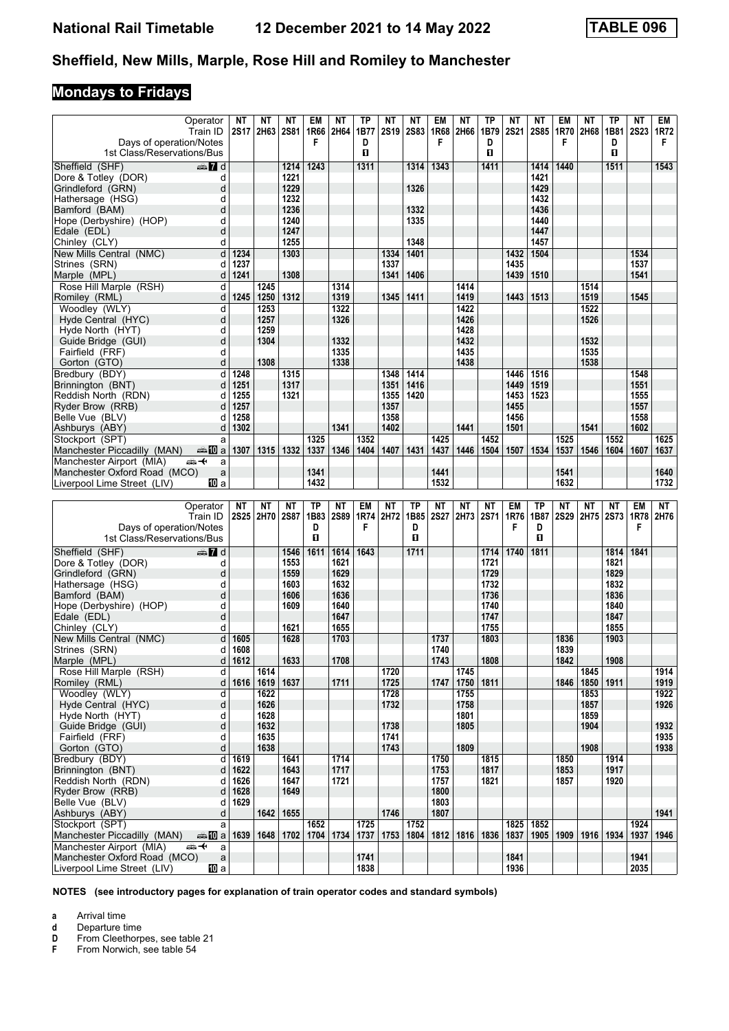# **Mondays to Fridays**

| Operator<br>Train ID<br>Days of operation/Notes<br>1st Class/Reservations/Bus | ΝT<br><b>2S17</b> | NΤ<br>2H63  | NΤ<br><b>2S81</b> | EM<br>1R66<br>F | ΝT<br>2H64  | TP<br>1B77<br>D<br>п | ΝT<br><b>2S19</b> | NΤ<br><b>2S83</b> | EM<br>1R68<br>F | NΤ<br>2H66 | ТP<br>1B79<br>D<br>п | NΤ<br><b>2S21</b> | ΝT<br><b>2S85</b> | EM<br>1R70<br>F | NΤ<br>2H68         | ΤP<br>1B81<br>D<br>П | ΝT<br><b>2S23</b> | EM<br>1R72<br>F |
|-------------------------------------------------------------------------------|-------------------|-------------|-------------------|-----------------|-------------|----------------------|-------------------|-------------------|-----------------|------------|----------------------|-------------------|-------------------|-----------------|--------------------|----------------------|-------------------|-----------------|
| Sheffield (SHF)<br>$\mathbf{Z}$ of $\mathbf{Z}$ d                             |                   |             | 1214              | 1243            |             | 1311                 |                   | 1314              | 1343            |            | 1411                 |                   | 1414              | 1440            |                    | 1511                 |                   | 1543            |
| Dore & Totley (DOR)<br>d                                                      |                   |             | 1221              |                 |             |                      |                   |                   |                 |            |                      |                   | 1421              |                 |                    |                      |                   |                 |
| Grindleford (GRN)<br>d                                                        |                   |             | 1229              |                 |             |                      |                   | 1326              |                 |            |                      |                   | 1429              |                 |                    |                      |                   |                 |
| Hathersage (HSG)<br>d                                                         |                   |             | 1232              |                 |             |                      |                   |                   |                 |            |                      |                   | 1432              |                 |                    |                      |                   |                 |
| Bamford (BAM)<br>d                                                            |                   |             | 1236              |                 |             |                      |                   | 1332              |                 |            |                      |                   | 1436              |                 |                    |                      |                   |                 |
| Hope (Derbyshire) (HOP)<br>d                                                  |                   |             | 1240              |                 |             |                      |                   | 1335              |                 |            |                      |                   | 1440              |                 |                    |                      |                   |                 |
| Edale (EDL)<br>d                                                              |                   |             | 1247              |                 |             |                      |                   |                   |                 |            |                      |                   | 1447              |                 |                    |                      |                   |                 |
| Chinley (CLY)<br>d                                                            |                   |             | 1255              |                 |             |                      |                   | 1348              |                 |            |                      |                   | 1457              |                 |                    |                      |                   |                 |
| d<br>New Mills Central (NMC)                                                  | 1234              |             | 1303              |                 |             |                      | 1334              | 1401              |                 |            |                      | 1432              | 1504              |                 |                    |                      | 1534              |                 |
| Strines (SRN)<br>d                                                            | 1237              |             |                   |                 |             |                      | 1337              |                   |                 |            |                      | 1435              |                   |                 |                    |                      | 1537              |                 |
| d<br>Marple (MPL)                                                             | 1241              |             | 1308              |                 |             |                      | 1341              | 1406              |                 |            |                      | 1439              | 1510              |                 |                    |                      | 1541              |                 |
| d<br>Rose Hill Marple (RSH)                                                   |                   | 1245        |                   |                 | 1314        |                      |                   |                   |                 | 1414       |                      |                   |                   |                 | 1514               |                      |                   |                 |
| Romiley (RML)<br>d                                                            | 1245              | 1250        | 1312              |                 | 1319        |                      | 1345              | 1411              |                 | 1419       |                      | 1443              | 1513              |                 | 1519               |                      | 1545              |                 |
| Woodley (WLY)<br>d                                                            |                   | 1253        |                   |                 | 1322        |                      |                   |                   |                 | 1422       |                      |                   |                   |                 | 1522               |                      |                   |                 |
| Hyde Central (HYC)<br>d                                                       |                   | 1257        |                   |                 | 1326        |                      |                   |                   |                 | 1426       |                      |                   |                   |                 | 1526               |                      |                   |                 |
| d<br>Hyde North (HYT)                                                         |                   | 1259        |                   |                 |             |                      |                   |                   |                 | 1428       |                      |                   |                   |                 |                    |                      |                   |                 |
| d<br>Guide Bridge (GUI)                                                       |                   | 1304        |                   |                 | 1332        |                      |                   |                   |                 | 1432       |                      |                   |                   |                 | 1532               |                      |                   |                 |
| Fairfield (FRF)<br>d                                                          |                   |             |                   |                 | 1335        |                      |                   |                   |                 | 1435       |                      |                   |                   |                 | 1535               |                      |                   |                 |
| d<br>Gorton (GTO)                                                             |                   | 1308        |                   |                 | 1338        |                      |                   |                   |                 | 1438       |                      |                   |                   |                 | 1538               |                      |                   |                 |
| d<br>Bredbury (BDY)                                                           | 1248              |             | 1315              |                 |             |                      | 1348              | 1414              |                 |            |                      | 1446              | 1516              |                 |                    |                      | 1548              |                 |
| Brinnington (BNT)<br>d                                                        | 1251              |             | 1317              |                 |             |                      | 1351              | 1416              |                 |            |                      | 1449              | 1519              |                 |                    |                      | 1551              |                 |
| Reddish North (RDN)<br>d                                                      | 1255              |             | 1321              |                 |             |                      | 1355              | 1420              |                 |            |                      | 1453              | 1523              |                 |                    |                      | 1555              |                 |
| Ryder Brow (RRB)<br>d                                                         | 1257              |             |                   |                 |             |                      | 1357              |                   |                 |            |                      | 1455              |                   |                 |                    |                      | 1557              |                 |
| Belle Vue (BLV)<br>d                                                          | 1258              |             |                   |                 |             |                      | 1358              |                   |                 |            |                      | 1456              |                   |                 |                    |                      | 1558              |                 |
| Ashburys (ABY)<br>d                                                           | 1302              |             |                   |                 | 1341        |                      | 1402              |                   |                 | 1441       |                      | 1501              |                   |                 | 1541               |                      | 1602              |                 |
| Stockport (SPT)                                                               |                   |             |                   | 1325            |             | 1352                 |                   |                   | 1425            |            | 1452                 |                   |                   | 1525            |                    | 1552                 |                   | 1625            |
| a                                                                             |                   |             | 1332              | 1337            | 1346        |                      |                   | 1431              | 1437            | 1446       |                      |                   |                   | 1537            | 1546               | 1604                 | 1607              |                 |
| Manchester Piccadilly (MAN)<br>dan <mark>in</mark> a                          | 1307              | 1315        |                   |                 |             | 1404                 | 1407              |                   |                 |            | 1504                 | 1507              | 1534              |                 |                    |                      |                   | 1637            |
| Manchester Airport (MIA)<br>ക+<br>a                                           |                   |             |                   |                 |             |                      |                   |                   |                 |            |                      |                   |                   |                 |                    |                      |                   |                 |
| Manchester Oxford Road (MCO)<br>a                                             |                   |             |                   | 1341            |             |                      |                   |                   | 1441            |            |                      |                   |                   | 1541            |                    |                      |                   | 1640            |
| Liverpool Lime Street (LIV)<br>100 a                                          |                   |             |                   | 1432            |             |                      |                   |                   | 1532            |            |                      |                   |                   | 1632            |                    |                      |                   | 1732            |
|                                                                               |                   |             |                   |                 |             |                      |                   |                   |                 |            |                      |                   |                   |                 |                    |                      |                   |                 |
|                                                                               |                   |             |                   |                 |             |                      |                   |                   |                 |            |                      |                   |                   |                 |                    |                      |                   |                 |
| Operator                                                                      | <b>NT</b>         | <b>NT</b>   | <b>NT</b>         | <b>TP</b>       | NΤ          | <b>EM</b>            | ΝT                | <b>TP</b>         | <b>NT</b>       | <b>NT</b>  | ΝT                   | EM                | ТP                | <b>NT</b>       | NΤ                 | NΤ                   | EM                | NT              |
| Train ID                                                                      |                   | 2S25 2H70   | <b>2S87</b>       | 1B83            | <b>2S89</b> | 1R74                 | 2H72              | 1B85              | <b>2S27</b>     | 2H73       | <b>2S71</b>          | 1R76              | 1B87              | 2S29            |                    | 2H75 2S73            | 1R78              | 2H76            |
| Days of operation/Notes                                                       |                   |             |                   | D               |             | F                    |                   | D                 |                 |            |                      | F                 | D                 |                 |                    |                      | F                 |                 |
| 1st Class/Reservations/Bus                                                    |                   |             |                   | $\mathbf{u}$    |             |                      |                   | O                 |                 |            |                      |                   | п                 |                 |                    |                      |                   |                 |
| Sheffield (SHF)<br>$\mathbb{Z}$ d                                             |                   |             | 1546              | 1611            | 1614        | 1643                 |                   | 1711              |                 |            | 1714                 | 1740              | 1811              |                 |                    | 1814                 | 1841              |                 |
| Dore & Totley (DOR)<br>d                                                      |                   |             | 1553              |                 | 1621        |                      |                   |                   |                 |            | 1721                 |                   |                   |                 |                    | 1821                 |                   |                 |
| Grindleford (GRN)<br>d                                                        |                   |             | 1559              |                 | 1629        |                      |                   |                   |                 |            | 1729                 |                   |                   |                 |                    | 1829                 |                   |                 |
| Hathersage (HSG)<br>d                                                         |                   |             | 1603              |                 | 1632        |                      |                   |                   |                 |            | 1732                 |                   |                   |                 |                    | 1832                 |                   |                 |
| Bamford (BAM)<br>d                                                            |                   |             | 1606              |                 | 1636        |                      |                   |                   |                 |            | 1736                 |                   |                   |                 |                    | 1836                 |                   |                 |
| Hope (Derbyshire) (HOP)<br>d                                                  |                   |             | 1609              |                 | 1640        |                      |                   |                   |                 |            | 1740                 |                   |                   |                 |                    | 1840                 |                   |                 |
| Edale (EDL)<br>d                                                              |                   |             |                   |                 | 1647        |                      |                   |                   |                 |            | 1747                 |                   |                   |                 |                    | 1847                 |                   |                 |
| Chinley (CLY)<br>d                                                            |                   |             | 1621              |                 | 1655        |                      |                   |                   |                 |            | 1755                 |                   |                   |                 |                    | 1855                 |                   |                 |
| d<br>New Mills Central (NMC)                                                  | 1605              |             | 1628              |                 | 1703        |                      |                   |                   | 1737            |            | 1803                 |                   |                   | 1836            |                    | 1903                 |                   |                 |
| Strines (SRN)<br>d                                                            | 1608              |             |                   |                 |             |                      |                   |                   | 1740            |            |                      |                   |                   | 1839            |                    |                      |                   |                 |
| Marple (MPL)<br>d                                                             | 1612              |             | 1633              |                 | 1708        |                      |                   |                   | 1743            |            | 1808                 |                   |                   | 1842            |                    | 1908                 |                   |                 |
| Rose Hill Marple (RSH)<br>d                                                   |                   | 1614        |                   |                 |             |                      | 1720              |                   |                 | 1745       |                      |                   |                   |                 | 1845               |                      |                   | 1914            |
| Romiley (RML)<br>d                                                            | 1616              | 1619   1637 |                   |                 | 1711        |                      | 1725              |                   | 1747            |            | 1750 1811            |                   |                   |                 | 1846   1850   1911 |                      |                   | 1919            |
| Woodley (WLY)<br>d                                                            |                   | 1622        |                   |                 |             |                      | 1728              |                   |                 | 1755       |                      |                   |                   |                 | 1853               |                      |                   | 1922            |
| d<br>Hyde Central (HYC)                                                       |                   | 1626        |                   |                 |             |                      | 1732              |                   |                 | 1758       |                      |                   |                   |                 | 1857               |                      |                   | 1926            |
| Hyde North (HYT)<br>d                                                         |                   | 1628        |                   |                 |             |                      |                   |                   |                 | 1801       |                      |                   |                   |                 | 1859               |                      |                   |                 |
| d<br>Guide Bridge (GUI)                                                       |                   | 1632        |                   |                 |             |                      | 1738              |                   |                 | 1805       |                      |                   |                   |                 | 1904               |                      |                   | 1932            |
| Fairfield (FRF)<br>d                                                          |                   | 1635        |                   |                 |             |                      | 1741              |                   |                 |            |                      |                   |                   |                 |                    |                      |                   | 1935            |
| Gorton (GTO)<br>d                                                             |                   | 1638        |                   |                 |             |                      | 1743              |                   |                 | 1809       |                      |                   |                   |                 | 1908               |                      |                   | 1938            |
| Bredbury (BDY)<br>d                                                           | 1619              |             | 1641              |                 | 1714        |                      |                   |                   | 1750            |            | 1815                 |                   |                   | 1850            |                    | 1914                 |                   |                 |
| Brinnington (BNT)<br>d                                                        | 1622              |             | 1643              |                 | 1717        |                      |                   |                   | 1753            |            | 1817                 |                   |                   | 1853            |                    | 1917                 |                   |                 |
| Reddish North (RDN)<br>d                                                      | 1626              |             | 1647              |                 | 1721        |                      |                   |                   | 1757            |            | 1821                 |                   |                   | 1857            |                    | 1920                 |                   |                 |
| Ryder Brow (RRB)<br>d                                                         | 1628              |             | 1649              |                 |             |                      |                   |                   | 1800            |            |                      |                   |                   |                 |                    |                      |                   |                 |
| Belle Vue (BLV)<br>d                                                          | 1629              |             |                   |                 |             |                      |                   |                   | 1803            |            |                      |                   |                   |                 |                    |                      |                   |                 |
| Ashburys (ABY)<br>d                                                           |                   | 1642        | 1655              |                 |             |                      | 1746              |                   | 1807            |            |                      |                   |                   |                 |                    |                      |                   | 1941            |
| Stockport (SPT)<br>a                                                          |                   |             |                   | 1652            |             | 1725                 |                   | 1752              |                 |            |                      | 1825              | 1852              |                 |                    |                      | 1924              |                 |
| Manchester Piccadilly (MAN)<br><b>en 10</b> a                                 | 1639              | 1648        | 1702              | 1704            | 1734        | 1737                 | 1753              | 1804              | 1812            | 1816       | 1836                 | 1837              | 1905              | 1909            |                    | 1916   1934          | 1937              | 1946            |
| Manchester Airport (MIA)<br>⇜↞<br>a                                           |                   |             |                   |                 |             |                      |                   |                   |                 |            |                      |                   |                   |                 |                    |                      |                   |                 |
| Manchester Oxford Road (MCO)<br>$\mathsf{a}$                                  |                   |             |                   |                 |             | 1741<br>1838         |                   |                   |                 |            |                      | 1841              |                   |                 |                    |                      | 1941<br>2035      |                 |

**NOTES (see introductory pages for explanation of train operator codes and standard symbols)**

**a** Arrival time

**d** Departure time<br> **D** From Cleethorp<br> **F** From Norwich, **D** From Cleethorpes, see table 21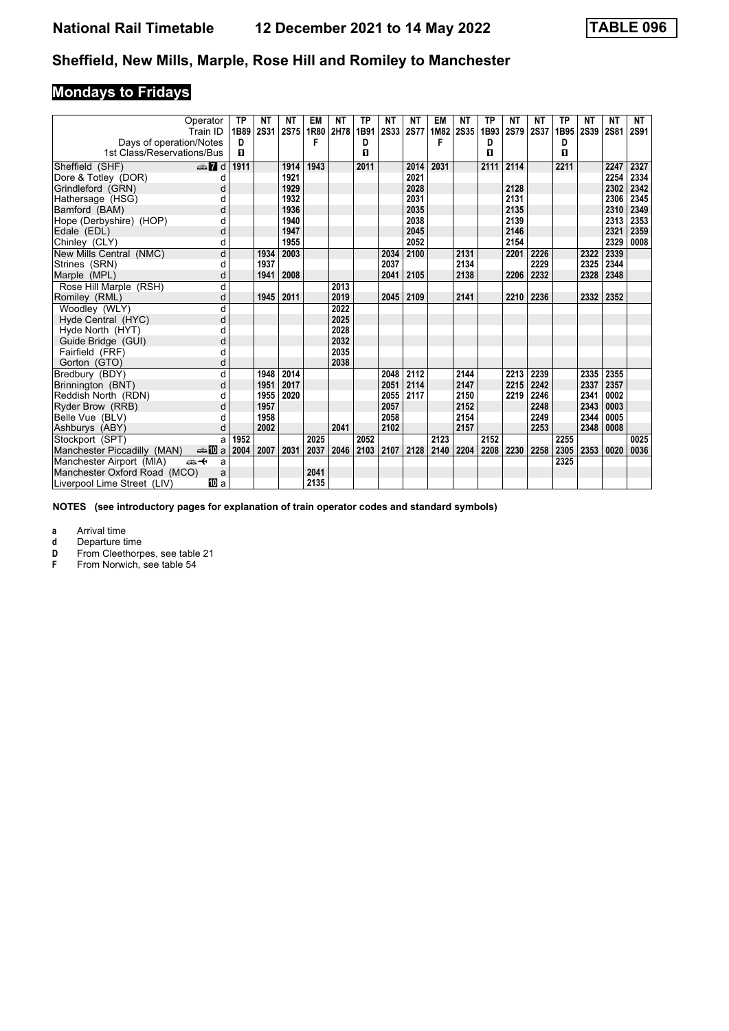# **Mondays to Fridays**

|                              | Operator<br>Train ID | <b>TP</b><br>1B89 | <b>NT</b><br><b>2S31</b> | ΝT<br>2S75   | EM<br>1R80 | <b>NT</b><br>2H78 | ТP<br>1B91 | <b>NT</b><br>2S33 | <b>NT</b><br><b>2S77</b> | <b>EM</b><br>1M82 | <b>NT</b><br><b>2S35</b> | <b>TP</b><br>1B93 | <b>NT</b><br><b>2S79</b> | <b>NT</b><br><b>2S37</b> | <b>TP</b><br>1B95 | NΤ<br><b>2S39</b> | <b>NT</b><br><b>2S81</b> | NT<br><b>2S91</b> |
|------------------------------|----------------------|-------------------|--------------------------|--------------|------------|-------------------|------------|-------------------|--------------------------|-------------------|--------------------------|-------------------|--------------------------|--------------------------|-------------------|-------------------|--------------------------|-------------------|
| Days of operation/Notes      |                      | D                 |                          |              | F          |                   | D          |                   |                          | F                 |                          | D                 |                          |                          | D                 |                   |                          |                   |
| 1st Class/Reservations/Bus   |                      | п                 |                          |              |            |                   | п          |                   |                          |                   |                          | 0                 |                          |                          | п                 |                   |                          |                   |
|                              |                      |                   |                          |              |            |                   |            |                   |                          |                   |                          |                   |                          |                          |                   |                   |                          |                   |
| Sheffield (SHF)              | $\oplus$ 7 d         | 1911              |                          | 1914         | 1943       |                   | 2011       |                   | 2014                     | 2031              |                          | 2111              | 2114                     |                          | 2211              |                   | 2247                     | 2327              |
| Dore & Totley (DOR)          | d                    |                   |                          | 1921<br>1929 |            |                   |            |                   | 2021<br>2028             |                   |                          |                   |                          |                          |                   |                   | 2254                     | 2334              |
| Grindleford (GRN)            | d                    |                   |                          |              |            |                   |            |                   |                          |                   |                          |                   | 2128<br>2131             |                          |                   |                   | 2302                     | 2342              |
| Hathersage (HSG)             | d<br>d               |                   |                          | 1932<br>1936 |            |                   |            |                   | 2031<br>2035             |                   |                          |                   | 2135                     |                          |                   |                   | 2306                     | 2345              |
| Bamford (BAM)                |                      |                   |                          |              |            |                   |            |                   |                          |                   |                          |                   |                          |                          |                   |                   | 2310                     | 2349              |
| Hope (Derbyshire) (HOP)      | d<br>d               |                   |                          | 1940<br>1947 |            |                   |            |                   | 2038<br>2045             |                   |                          |                   | 2139<br>2146             |                          |                   |                   | 2313<br>2321             | 2353<br>2359      |
| Edale (EDL)                  |                      |                   |                          | 1955         |            |                   |            |                   | 2052                     |                   |                          |                   | 2154                     |                          |                   |                   | 2329                     | 0008              |
| Chinley (CLY)                | d                    |                   |                          |              |            |                   |            |                   |                          |                   |                          |                   |                          |                          |                   |                   |                          |                   |
| New Mills Central (NMC)      | d                    |                   | 1934                     | 2003         |            |                   |            | 2034              | 2100                     |                   | 2131<br>2134             |                   | 2201                     | 2226                     |                   | 2322              | 2339                     |                   |
| Strines (SRN)                | d                    |                   | 1937                     |              |            |                   |            | 2037              |                          |                   |                          |                   |                          | 2229                     |                   | 2325<br>2328      | 2344<br>2348             |                   |
| Marple (MPL)                 | d                    |                   | 1941                     | 2008         |            |                   |            | 2041              | 2105                     |                   | 2138                     |                   | 2206                     | 2232                     |                   |                   |                          |                   |
| Rose Hill Marple (RSH)       | d                    |                   |                          |              |            | 2013              |            |                   |                          |                   |                          |                   |                          |                          |                   |                   |                          |                   |
| Romiley (RML)                | d                    |                   | 1945                     | 2011         |            | 2019              |            | 2045              | 2109                     |                   | 2141                     |                   | 2210                     | 2236                     |                   | 2332              | 2352                     |                   |
| Woodley (WLY)                | d                    |                   |                          |              |            | 2022              |            |                   |                          |                   |                          |                   |                          |                          |                   |                   |                          |                   |
| Hyde Central (HYC)           | d                    |                   |                          |              |            | 2025              |            |                   |                          |                   |                          |                   |                          |                          |                   |                   |                          |                   |
| Hyde North (HYT)             | d                    |                   |                          |              |            | 2028              |            |                   |                          |                   |                          |                   |                          |                          |                   |                   |                          |                   |
| Guide Bridge (GUI)           | d                    |                   |                          |              |            | 2032              |            |                   |                          |                   |                          |                   |                          |                          |                   |                   |                          |                   |
| Fairfield (FRF)              | d                    |                   |                          |              |            | 2035              |            |                   |                          |                   |                          |                   |                          |                          |                   |                   |                          |                   |
| Gorton (GTO)                 | d                    |                   |                          |              |            | 2038              |            |                   |                          |                   |                          |                   |                          |                          |                   |                   |                          |                   |
| Bredbury (BDY)               | d                    |                   | 1948                     | 2014         |            |                   |            | 2048              | 2112                     |                   | 2144                     |                   | 2213                     | 2239                     |                   | 2335              | 2355                     |                   |
| Brinnington (BNT)            | d                    |                   | 1951                     | 2017         |            |                   |            | 2051              | 2114                     |                   | 2147                     |                   | 2215                     | 2242                     |                   | 2337              | 2357                     |                   |
| Reddish North (RDN)          | d                    |                   | 1955                     | 2020         |            |                   |            | 2055              | 2117                     |                   | 2150                     |                   | 2219                     | 2246                     |                   | 2341              | 0002                     |                   |
| Ryder Brow (RRB)             | d                    |                   | 1957                     |              |            |                   |            | 2057              |                          |                   | 2152                     |                   |                          | 2248                     |                   | 2343              | 0003                     |                   |
| Belle Vue (BLV)              | d                    |                   | 1958                     |              |            |                   |            | 2058              |                          |                   | 2154                     |                   |                          | 2249                     |                   | 2344              | 0005                     |                   |
| Ashburys (ABY)               | d                    |                   | 2002                     |              |            | 2041              |            | 2102              |                          |                   | 2157                     |                   |                          | 2253                     |                   | 2348              | 0008                     |                   |
| Stockport (SPT)              | a                    | 1952              |                          |              | 2025       |                   | 2052       |                   |                          | 2123              |                          | 2152              |                          |                          | 2255              |                   |                          | 0025              |
| Manchester Piccadilly (MAN)  | anna main            | 2004              | 2007                     | 2031         | 2037       | 2046              | 2103       | 2107              | 2128                     | 2140              | 2204                     | 2208              | 2230                     | 2258                     | 2305              | 2353              | 0020                     | 0036              |
| Manchester Airport (MIA)     | <del>مگ</del> د<br>a |                   |                          |              |            |                   |            |                   |                          |                   |                          |                   |                          |                          | 2325              |                   |                          |                   |
| Manchester Oxford Road (MCO) | a                    |                   |                          |              | 2041       |                   |            |                   |                          |                   |                          |                   |                          |                          |                   |                   |                          |                   |
| Liverpool Lime Street (LIV)  | <b>iD</b> a          |                   |                          |              | 2135       |                   |            |                   |                          |                   |                          |                   |                          |                          |                   |                   |                          |                   |

**NOTES (see introductory pages for explanation of train operator codes and standard symbols)**

**a** Arrival time<br>**d** Departure ti

**d** Departure time<br>**D** From Cleethorp

**D** From Cleethorpes, see table 21<br>**F** From Norwich, see table 54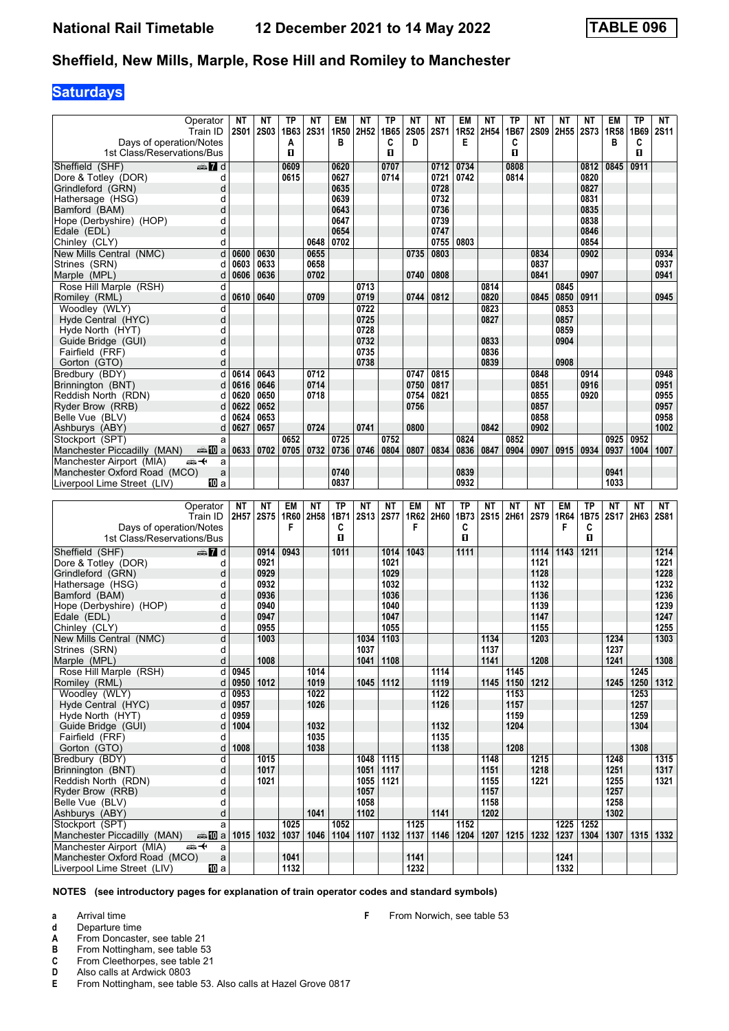## **Saturdays**

| Days of operation/Notes                                                   | Operator<br>Train ID  | NΤ<br>2S01             | NΤ<br>2S03               | ТP<br>1B63<br>A | ΝT<br><b>2S31</b> | EM<br>1R <sub>50</sub><br>В | <b>NT</b><br>2H52 | ТP<br>1B65<br>C          | NΤ<br><b>2S05</b><br>D | <b>NT</b><br><b>2S71</b> | EM<br>Е      | <b>NT</b><br>1R52 2H54 | ТP<br>1B67<br>C | ΝT<br><b>2S09</b> | NΤ<br>2H55   | <b>NT</b><br><b>2S73</b> | EM<br>1R <sub>58</sub><br>в | <b>TP</b><br>1B69<br>C | NT<br><b>2S11</b> |
|---------------------------------------------------------------------------|-----------------------|------------------------|--------------------------|-----------------|-------------------|-----------------------------|-------------------|--------------------------|------------------------|--------------------------|--------------|------------------------|-----------------|-------------------|--------------|--------------------------|-----------------------------|------------------------|-------------------|
| 1st Class/Reservations/Bus                                                |                       |                        |                          | O               |                   |                             |                   | O                        |                        |                          |              |                        | O               |                   |              |                          |                             | O.                     |                   |
| Sheffield (SHF)                                                           | $\frac{1}{2}$ d       |                        |                          | 0609            |                   | 0620                        |                   | 0707                     |                        | 0712                     | 0734         |                        | 0808            |                   |              | 0812                     | 0845                        | 0911                   |                   |
| Dore & Totley (DOR)                                                       | d                     |                        |                          | 0615            |                   | 0627                        |                   | 0714                     |                        | 0721                     | 0742         |                        | 0814            |                   |              | 0820                     |                             |                        |                   |
| Grindleford (GRN)                                                         | d                     |                        |                          |                 |                   | 0635                        |                   |                          |                        | 0728                     |              |                        |                 |                   |              | 0827                     |                             |                        |                   |
| Hathersage (HSG)                                                          | d                     |                        |                          |                 |                   | 0639                        |                   |                          |                        | 0732                     |              |                        |                 |                   |              | 0831                     |                             |                        |                   |
| Bamford (BAM)                                                             | d                     |                        |                          |                 |                   | 0643                        |                   |                          |                        | 0736                     |              |                        |                 |                   |              | 0835                     |                             |                        |                   |
| Hope (Derbyshire) (HOP)<br>Edale (EDL)                                    | d<br>d                |                        |                          |                 |                   | 0647<br>0654                |                   |                          |                        | 0739<br>0747             |              |                        |                 |                   |              | 0838<br>0846             |                             |                        |                   |
| Chinley (CLY)                                                             | d                     |                        |                          |                 | 0648              | 0702                        |                   |                          |                        | 0755                     | 0803         |                        |                 |                   |              | 0854                     |                             |                        |                   |
| New Mills Central (NMC)                                                   | d                     | 0600                   | 0630                     |                 | 0655              |                             |                   |                          | 0735                   | 0803                     |              |                        |                 | 0834              |              | 0902                     |                             |                        | 0934              |
| Strines (SRN)                                                             | d                     | 0603                   | 0633                     |                 | 0658              |                             |                   |                          |                        |                          |              |                        |                 | 0837              |              |                          |                             |                        | 0937              |
| Marple (MPL)                                                              | d                     | 0606                   | 0636                     |                 | 0702              |                             |                   |                          | 0740                   | 0808                     |              |                        |                 | 0841              |              | 0907                     |                             |                        | 0941              |
| Rose Hill Marple (RSH)                                                    | d                     |                        |                          |                 |                   |                             | 0713              |                          |                        |                          |              | 0814                   |                 |                   | 0845         |                          |                             |                        |                   |
| Romiley (RML)                                                             | d                     | 0610                   | 0640                     |                 | 0709              |                             | 0719              |                          | 0744                   | 0812                     |              | 0820                   |                 | 0845              | 0850         | 0911                     |                             |                        | 0945              |
| Woodley (WLY)                                                             | d                     |                        |                          |                 |                   |                             | 0722              |                          |                        |                          |              | 0823                   |                 |                   | 0853         |                          |                             |                        |                   |
| Hyde Central (HYC)                                                        | d                     |                        |                          |                 |                   |                             | 0725              |                          |                        |                          |              | 0827                   |                 |                   | 0857         |                          |                             |                        |                   |
| Hyde North (HYT)                                                          | d                     |                        |                          |                 |                   |                             | 0728              |                          |                        |                          |              |                        |                 |                   | 0859         |                          |                             |                        |                   |
| Guide Bridge (GUI)                                                        | d                     |                        |                          |                 |                   |                             | 0732              |                          |                        |                          |              | 0833                   |                 |                   | 0904         |                          |                             |                        |                   |
| Fairfield (FRF)                                                           | d<br>d                |                        |                          |                 |                   |                             | 0735              |                          |                        |                          |              | 0836                   |                 |                   | 0908         |                          |                             |                        |                   |
| Gorton (GTO)<br>Bredbury (BDY)                                            | d                     | 0614                   | 0643                     |                 | 0712              |                             | 0738              |                          | 0747                   | 0815                     |              | 0839                   |                 | 0848              |              | 0914                     |                             |                        | 0948              |
| Brinnington (BNT)                                                         | d                     | 0616                   | 0646                     |                 | 0714              |                             |                   |                          | 0750                   | 0817                     |              |                        |                 | 0851              |              | 0916                     |                             |                        | 0951              |
| Reddish North (RDN)                                                       | d                     | 0620                   | 0650                     |                 | 0718              |                             |                   |                          | 0754                   | 0821                     |              |                        |                 | 0855              |              | 0920                     |                             |                        | 0955              |
| Ryder Brow (RRB)                                                          | d                     | 0622                   | 0652                     |                 |                   |                             |                   |                          | 0756                   |                          |              |                        |                 | 0857              |              |                          |                             |                        | 0957              |
| Belle Vue (BLV)                                                           | d                     | 0624                   | 0653                     |                 |                   |                             |                   |                          |                        |                          |              |                        |                 | 0858              |              |                          |                             |                        | 0958              |
| Ashburys (ABY)                                                            | d                     | 0627                   | 0657                     |                 | 0724              |                             | 0741              |                          | 0800                   |                          |              | 0842                   |                 | 0902              |              |                          |                             |                        | 1002              |
| Stockport (SPT)                                                           | a                     |                        |                          | 0652            |                   | 0725                        |                   | 0752                     |                        |                          | 0824         |                        | 0852            |                   |              |                          | 0925                        | 0952                   |                   |
| Manchester Piccadilly (MAN)                                               | dan 10 a              | 0633                   | 0702                     | 0705            | 0732              | 0736                        | 0746              | 0804                     | 0807                   | 0834                     | 0836         | 0847                   | 0904            | 0907              | 0915         | 0934                     | 0937                        | 1004                   | 1007              |
| Manchester Airport (MIA)<br>安                                             | a                     |                        |                          |                 |                   | 0740                        |                   |                          |                        |                          |              |                        |                 |                   |              |                          | 0941                        |                        |                   |
| Manchester Oxford Road (MCO)<br>Liverpool Lime Street (LIV)               | a<br>100 a            |                        |                          |                 |                   | 0837                        |                   |                          |                        |                          | 0839<br>0932 |                        |                 |                   |              |                          | 1033                        |                        |                   |
|                                                                           |                       |                        |                          |                 |                   |                             |                   |                          |                        |                          |              |                        |                 |                   |              |                          |                             |                        |                   |
|                                                                           |                       |                        |                          |                 |                   |                             |                   |                          |                        |                          |              |                        |                 |                   |              |                          |                             |                        |                   |
|                                                                           |                       | NT                     |                          |                 | ΝT                | <b>TP</b>                   | <b>NT</b>         |                          |                        | <b>NT</b>                | <b>TP</b>    | ΝT                     | NΤ              | NΤ                |              | <b>TP</b>                |                             | NΤ                     | NT                |
|                                                                           | Operator<br>Train ID  | 2H57                   | <b>NT</b><br><b>2S75</b> | EM<br>1R60      | 2H58              | 1B71                        | 2S13              | <b>NT</b><br><b>2S77</b> | EM<br>1R62             | 2H60                     | 1B73         |                        | 2S15 2H61       | 2S79              | EM<br>1R64   | 1B75                     | ΝT<br>2S17 2H63             |                        | <b>2S81</b>       |
| Days of operation/Notes                                                   |                       |                        |                          | F               |                   | C                           |                   |                          | F                      |                          | C            |                        |                 |                   | F            | C                        |                             |                        |                   |
| 1st Class/Reservations/Bus                                                |                       |                        |                          |                 |                   | п                           |                   |                          |                        |                          | п            |                        |                 |                   |              | О                        |                             |                        |                   |
| Sheffield (SHF)                                                           | dan 7d                |                        | 0914                     | 0943            |                   | 1011                        |                   | 1014                     | 1043                   |                          | 1111         |                        |                 | 1114              | 1143         | 1211                     |                             |                        | 1214              |
| Dore & Totley (DOR)                                                       | d                     |                        | 0921                     |                 |                   |                             |                   | 1021                     |                        |                          |              |                        |                 | 1121              |              |                          |                             |                        | 1221              |
| Grindleford (GRN)                                                         | d                     |                        | 0929                     |                 |                   |                             |                   | 1029                     |                        |                          |              |                        |                 | 1128              |              |                          |                             |                        | 1228              |
| Hathersage (HSG)                                                          | d                     |                        | 0932                     |                 |                   |                             |                   | 1032                     |                        |                          |              |                        |                 | 1132              |              |                          |                             |                        | 1232              |
| Bamford (BAM)                                                             | d                     |                        | 0936                     |                 |                   |                             |                   | 1036                     |                        |                          |              |                        |                 | 1136              |              |                          |                             |                        | 1236              |
| Hope (Derbyshire) (HOP)                                                   | d                     |                        | 0940                     |                 |                   |                             |                   | 1040                     |                        |                          |              |                        |                 | 1139              |              |                          |                             |                        | 1239              |
| Edale (EDL)<br>Chinley (CLY)                                              | d<br>d                |                        | 0947<br>0955             |                 |                   |                             |                   | 1047<br>1055             |                        |                          |              |                        |                 | 1147<br>1155      |              |                          |                             |                        | 1247<br>1255      |
| New Mills Central (NMC)                                                   | d                     |                        | 1003                     |                 |                   |                             | 1034              | 1103                     |                        |                          |              | 1134                   |                 | 1203              |              |                          | 1234                        |                        | 1303              |
| Strines (SRN)                                                             | d                     |                        |                          |                 |                   |                             | 1037              |                          |                        |                          |              | 1137                   |                 |                   |              |                          | 1237                        |                        |                   |
| Marple (MPL)                                                              | d                     |                        | 1008                     |                 |                   |                             |                   | 1041 1108                |                        |                          |              | 1141                   |                 | 1208              |              |                          | 1241                        |                        | 1308              |
| Rose Hill Marple (RSH)                                                    |                       | d 0945                 |                          |                 | 1014              |                             |                   |                          |                        | 1114                     |              |                        | 1145            |                   |              |                          |                             | 1245                   |                   |
| Romiley (RML)                                                             |                       | $d$ 0950 1012          |                          |                 | 1019              |                             |                   | 1045 1112                |                        | 1119                     |              | 1145                   | 1150            | 1212              |              |                          |                             | $1245$   1250          | 1312              |
| Woodley (WLY)                                                             | d                     | 0953                   |                          |                 | 1022              |                             |                   |                          |                        | 1122                     |              |                        | 1153            |                   |              |                          |                             | 1253                   |                   |
| Hyde Central (HYC)                                                        | d                     | 0957                   |                          |                 | 1026              |                             |                   |                          |                        | 1126                     |              |                        | 1157            |                   |              |                          |                             | 1257                   |                   |
| Hyde North (HYT)                                                          | d                     | 0959                   |                          |                 |                   |                             |                   |                          |                        |                          |              |                        | 1159            |                   |              |                          |                             | 1259                   |                   |
| Guide Bridge (GUI)<br>Fairfield (FRF)                                     | d<br>d                | 1004                   |                          |                 | 1032<br>1035      |                             |                   |                          |                        | 1132<br>1135             |              |                        | 1204            |                   |              |                          |                             | 1304                   |                   |
| Gorton (GTO)                                                              | d                     | 1008                   |                          |                 | 1038              |                             |                   |                          |                        | 1138                     |              |                        | 1208            |                   |              |                          |                             | 1308                   |                   |
| Bredbury (BDY)                                                            | d                     |                        | 1015                     |                 |                   |                             | 1048              | 1115                     |                        |                          |              | 1148                   |                 | 1215              |              |                          | 1248                        |                        | 1315              |
| Brinnington (BNT)                                                         | d                     |                        | 1017                     |                 |                   |                             |                   | 1051 1117                |                        |                          |              | 1151                   |                 | 1218              |              |                          | 1251                        |                        | 1317              |
| Reddish North (RDN)                                                       | d                     |                        | 1021                     |                 |                   |                             | 1055              | 1121                     |                        |                          |              | 1155                   |                 | 1221              |              |                          | 1255                        |                        | 1321              |
| Ryder Brow (RRB)                                                          | d                     |                        |                          |                 |                   |                             | 1057              |                          |                        |                          |              | 1157                   |                 |                   |              |                          | 1257                        |                        |                   |
| Belle Vue (BLV)                                                           | d                     |                        |                          |                 |                   |                             | 1058              |                          |                        |                          |              | 1158                   |                 |                   |              |                          | 1258                        |                        |                   |
| Ashburys (ABY)                                                            | d                     |                        |                          |                 | 1041              |                             | 1102              |                          |                        | 1141                     |              | 1202                   |                 |                   |              |                          | 1302                        |                        |                   |
| Stockport (SPT)                                                           | a                     |                        |                          | 1025            |                   | 1052                        |                   |                          | 1125                   |                          | 1152         |                        |                 |                   | 1225         | 1252                     |                             |                        |                   |
| Manchester Piccadilly (MAN)<br>Manchester Airport (MIA)<br><del>∰∽⊀</del> | a                     | <b>● 图 a 1015 1032</b> |                          | 1037            | 1046              | 1104                        | 1107              | 1132                     | 1137                   | 1146                     | 1204         | 1207                   | 1215            | 1232              | 1237         |                          | 1304   1307   1315   1332   |                        |                   |
| Manchester Oxford Road (MCO)<br>Liverpool Lime Street (LIV)               | $\mathsf a$<br>[10] a |                        |                          | 1041<br>1132    |                   |                             |                   |                          | 1141<br>1232           |                          |              |                        |                 |                   | 1241<br>1332 |                          |                             |                        |                   |

**NOTES (see introductory pages for explanation of train operator codes and standard symbols)**

**a** Arrival time

**d** Departure time<br> **A** From Doncaste<br> **B** From Nottingha From Doncaster, see table 21

**B** From Nottingham, see table 53<br>**C** From Cleethorpes, see table 21

**C** From Cleethorpes, see table 21<br>**D** Also calls at Ardwick 0803

**D** Also calls at Ardwick 0803<br>**E** From Nottingham, see table

From Nottingham, see table 53. Also calls at Hazel Grove 0817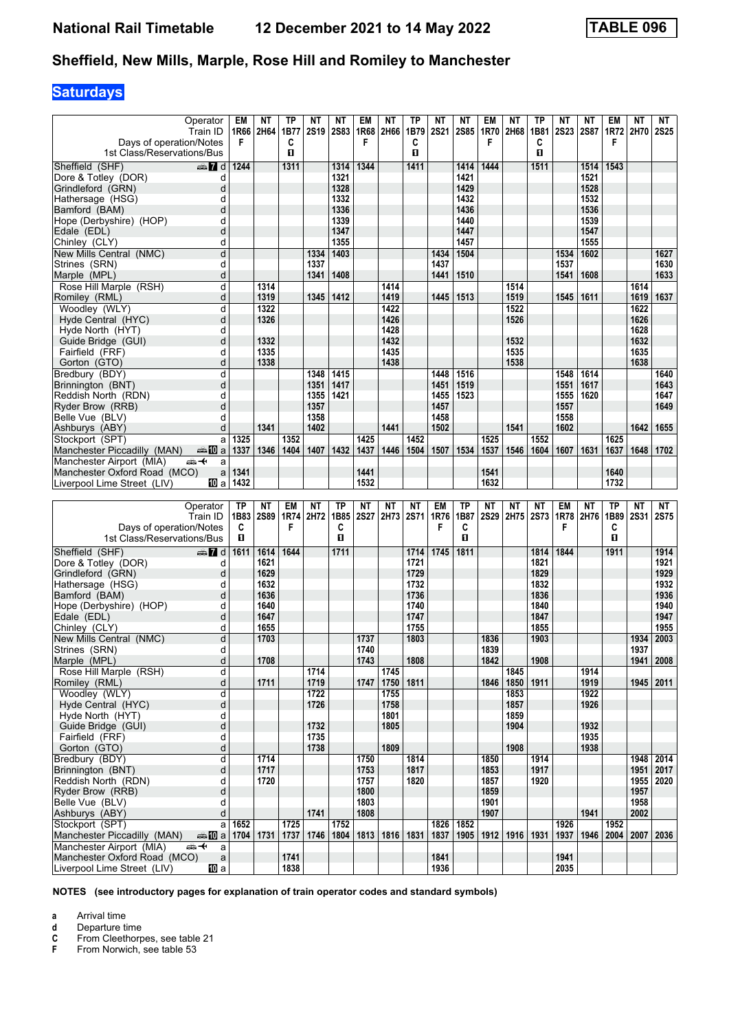# **Saturdays**

|                                                              | Operator<br>Train ID   | EM<br>1R66   | NΤ<br>2H64   | TP<br>1B77   | NΤ<br><b>2S19</b> | ΝT<br><b>2S83</b> | EM<br>1R68  | NΤ<br>2H66   | ΤP<br>1B79   | NΤ<br><b>2S21</b> | NΤ<br><b>2S85</b> | EM<br>1R70  | NΤ<br>2H68   | ΤP<br>1B81   | ΝT<br><b>2S23</b> | NΤ<br>2S87   | EM<br>1R72   | NΤ<br>2H70   | NT<br><b>2S25</b> |
|--------------------------------------------------------------|------------------------|--------------|--------------|--------------|-------------------|-------------------|-------------|--------------|--------------|-------------------|-------------------|-------------|--------------|--------------|-------------------|--------------|--------------|--------------|-------------------|
| Days of operation/Notes<br>1st Class/Reservations/Bus        |                        | F            |              | C<br>П       |                   |                   | F           |              | C<br>0       |                   |                   | F           |              | С<br>п       |                   |              | F            |              |                   |
| Sheffield (SHF)                                              | $\oplus$ 7 d           | 1244         |              | 1311         |                   | 1314              | 1344        |              | 1411         |                   | 1414              | 1444        |              | 1511         |                   | 1514         | 1543         |              |                   |
| Dore & Totley (DOR)                                          | d                      |              |              |              |                   | 1321              |             |              |              |                   | 1421              |             |              |              |                   | 1521         |              |              |                   |
| Grindleford (GRN)                                            | d                      |              |              |              |                   | 1328              |             |              |              |                   | 1429              |             |              |              |                   | 1528         |              |              |                   |
| Hathersage (HSG)                                             | d                      |              |              |              |                   | 1332              |             |              |              |                   | 1432              |             |              |              |                   | 1532         |              |              |                   |
| Bamford (BAM)                                                | d                      |              |              |              |                   | 1336              |             |              |              |                   | 1436              |             |              |              |                   | 1536         |              |              |                   |
| Hope (Derbyshire) (HOP)                                      | d                      |              |              |              |                   | 1339              |             |              |              |                   | 1440              |             |              |              |                   | 1539         |              |              |                   |
| Edale (EDL)                                                  | d                      |              |              |              |                   | 1347<br>1355      |             |              |              |                   | 1447<br>1457      |             |              |              |                   | 1547<br>1555 |              |              |                   |
| Chinley (CLY)<br>New Mills Central (NMC)                     | d<br>d                 |              |              |              | 1334              | 1403              |             |              |              | 1434              | 1504              |             |              |              | 1534              | 1602         |              |              | 1627              |
| Strines (SRN)                                                | d                      |              |              |              | 1337              |                   |             |              |              | 1437              |                   |             |              |              | 1537              |              |              |              | 1630              |
| Marple (MPL)                                                 | d                      |              |              |              | 1341              | 1408              |             |              |              | 1441              | 1510              |             |              |              | 1541              | 1608         |              |              | 1633              |
| Rose Hill Marple (RSH)                                       | d                      |              | 1314         |              |                   |                   |             | 1414         |              |                   |                   |             | 1514         |              |                   |              |              | 1614         |                   |
| Romiley (RML)                                                | d                      |              | 1319         |              | 1345              | 1412              |             | 1419         |              | 1445              | 1513              |             | 1519         |              | 1545              | 1611         |              | 1619         | 1637              |
| Woodley (WLY)                                                | d                      |              | 1322         |              |                   |                   |             | 1422         |              |                   |                   |             | 1522         |              |                   |              |              | 1622         |                   |
| Hyde Central (HYC)                                           | d                      |              | 1326         |              |                   |                   |             | 1426         |              |                   |                   |             | 1526         |              |                   |              |              | 1626         |                   |
| Hyde North (HYT)                                             | d                      |              |              |              |                   |                   |             | 1428         |              |                   |                   |             |              |              |                   |              |              | 1628         |                   |
| Guide Bridge (GUI)<br>Fairfield (FRF)                        | d<br>d                 |              | 1332<br>1335 |              |                   |                   |             | 1432<br>1435 |              |                   |                   |             | 1532<br>1535 |              |                   |              |              | 1632<br>1635 |                   |
| Gorton (GTO)                                                 | d                      |              | 1338         |              |                   |                   |             | 1438         |              |                   |                   |             | 1538         |              |                   |              |              | 1638         |                   |
| Bredbury (BDY)                                               | d                      |              |              |              | 1348              | 1415              |             |              |              | 1448              | 1516              |             |              |              | 1548              | 1614         |              |              | 1640              |
| Brinnington (BNT)                                            | d                      |              |              |              | 1351              | 1417              |             |              |              | 1451              | 1519              |             |              |              | 1551              | 1617         |              |              | 1643              |
| Reddish North (RDN)                                          | d                      |              |              |              | 1355              | 1421              |             |              |              | 1455              | 1523              |             |              |              | 1555              | 1620         |              |              | 1647              |
| Ryder Brow (RRB)                                             | d                      |              |              |              | 1357              |                   |             |              |              | 1457              |                   |             |              |              | 1557              |              |              |              | 1649              |
| Belle Vue (BLV)                                              | d                      |              |              |              | 1358              |                   |             |              |              | 1458              |                   |             |              |              | 1558              |              |              |              |                   |
| Ashburys (ABY)                                               | d                      | 1325         | 1341         |              | 1402              |                   | 1425        | 1441         | 1452         | 1502              |                   | 1525        | 1541         | 1552         | 1602              |              | 1625         | 1642         | 1655              |
| Stockport (SPT)<br>Manchester Piccadilly (MAN)               | a<br>den <b>il</b> Dia | 1337         | 1346         | 1352<br>1404 | 1407              | 1432              | 1437        | 1446         | 1504         | 1507              | 1534              | 1537        | 1546         | 1604         | 1607              | 1631         | 1637         | 1648         | 1702              |
| Manchester Airport (MIA)<br>安                                | a                      |              |              |              |                   |                   |             |              |              |                   |                   |             |              |              |                   |              |              |              |                   |
| Manchester Oxford Road (MCO)                                 | a                      | 1341         |              |              |                   |                   | 1441        |              |              |                   |                   | 1541        |              |              |                   |              | 1640         |              |                   |
| Liverpool Lime Street (LIV)                                  | 100 a                  | 1432         |              |              |                   |                   | 1532        |              |              |                   |                   | 1632        |              |              |                   |              | 1732         |              |                   |
|                                                              |                        |              |              |              |                   |                   |             |              |              |                   |                   |             |              |              |                   |              |              |              |                   |
|                                                              |                        |              |              |              |                   |                   |             |              |              |                   |                   |             |              |              |                   |              |              |              |                   |
|                                                              | Operator               | <b>TP</b>    | NΤ           | EM           | ΝT                | ΤP                | NΤ          | ΝT           | ΝT           | EM                | ТP                | NΤ          | ΝT           | ΝT           | EM                | NΤ           | ТP           | NΤ           | NT                |
|                                                              | Train ID               | 1B83         | <b>2S89</b>  | 1R74         | 2H72              | 1B85              | <b>2S27</b> | 2H73         | <b>2S71</b>  | 1R76              | 1B87              | <b>2S29</b> | 2H75 2S73    |              |                   | 1R78 2H76    | 1B89         | <b>2S31</b>  | 2S75              |
| Days of operation/Notes                                      |                        | C            |              | F            |                   | C                 |             |              |              | F                 | C                 |             |              |              | F                 |              | C            |              |                   |
| 1st Class/Reservations/Bus                                   |                        | п            |              |              |                   | п                 |             |              |              |                   | п                 |             |              |              |                   |              | O            |              |                   |
| Sheffield (SHF)                                              | $\oplus$ 7 d           | 1611         | 1614         | 1644         |                   | 1711              |             |              | 1714         | 1745              | 1811              |             |              | 1814         | 1844              |              | 1911         |              | 1914              |
| Dore & Totley (DOR)<br>Grindleford (GRN)                     | d<br>d                 |              | 1621<br>1629 |              |                   |                   |             |              | 1721<br>1729 |                   |                   |             |              | 1821<br>1829 |                   |              |              |              | 1921<br>1929      |
| Hathersage (HSG)                                             | d                      |              | 1632         |              |                   |                   |             |              | 1732         |                   |                   |             |              | 1832         |                   |              |              |              | 1932              |
| Bamford (BAM)                                                | d                      |              | 1636         |              |                   |                   |             |              | 1736         |                   |                   |             |              | 1836         |                   |              |              |              | 1936              |
| Hope (Derbyshire) (HOP)                                      | d                      |              | 1640         |              |                   |                   |             |              | 1740         |                   |                   |             |              | 1840         |                   |              |              |              | 1940              |
| Edale (EDL)                                                  | d                      |              | 1647         |              |                   |                   |             |              | 1747         |                   |                   |             |              | 1847         |                   |              |              |              | 1947              |
| Chinley (CLY)                                                | d                      |              | 1655         |              |                   |                   |             |              | 1755         |                   |                   |             |              | 1855         |                   |              |              |              | 1955              |
| New Mills Central (NMC)                                      | d                      |              | 1703         |              |                   |                   | 1737        |              | 1803         |                   |                   | 1836        |              | 1903         |                   |              |              | 1934         | 2003              |
| Strines (SRN)                                                | d                      |              |              |              |                   |                   | 1740        |              |              |                   |                   | 1839        |              |              |                   |              |              | 1937         |                   |
| Marple (MPL)<br>Rose Hill Marple (RSH)                       | $\sf d$<br>d           |              | 1708         |              | 1714              |                   | 1743        | 1745         | 1808         |                   |                   | 1842        | 1845         | 1908         |                   | 1914         |              | 1941 2008    |                   |
| Romiley (RML)                                                | d                      |              | 1711         |              | 1719              |                   | 1747        | 1750 1811    |              |                   |                   | 1846        |              | 1850 1911    |                   | 1919         |              | 1945   2011  |                   |
| Woodley (WLY)                                                | d                      |              |              |              | 1722              |                   |             | 1755         |              |                   |                   |             | 1853         |              |                   | 1922         |              |              |                   |
| Hyde Central (HYC)                                           | d                      |              |              |              | 1726              |                   |             | 1758         |              |                   |                   |             | 1857         |              |                   | 1926         |              |              |                   |
| Hyde North (HYT)                                             | d                      |              |              |              |                   |                   |             | 1801         |              |                   |                   |             | 1859         |              |                   |              |              |              |                   |
| Guide Bridge (GUI)                                           | d                      |              |              |              | 1732              |                   |             | 1805         |              |                   |                   |             | 1904         |              |                   | 1932         |              |              |                   |
| Fairfield (FRF)                                              | d                      |              |              |              | 1735<br>1738      |                   |             | 1809         |              |                   |                   |             | 1908         |              |                   | 1935         |              |              |                   |
| Gorton (GTO)<br>Bredbury (BDY)                               | d<br>d                 |              | 1714         |              |                   |                   | 1750        |              | 1814         |                   |                   | 1850        |              | 1914         |                   | 1938         |              | 1948         | 2014              |
| Brinnington (BNT)                                            | d                      |              | 1717         |              |                   |                   | 1753        |              | 1817         |                   |                   | 1853        |              | 1917         |                   |              |              | 1951   2017  |                   |
| Reddish North (RDN)                                          | d                      |              | 1720         |              |                   |                   | 1757        |              | 1820         |                   |                   | 1857        |              | 1920         |                   |              |              | 1955   2020  |                   |
| Ryder Brow (RRB)                                             | d                      |              |              |              |                   |                   | 1800        |              |              |                   |                   | 1859        |              |              |                   |              |              | 1957         |                   |
| Belle Vue (BLV)                                              | d                      |              |              |              |                   |                   | 1803        |              |              |                   |                   | 1901        |              |              |                   |              |              | 1958         |                   |
| Ashburys (ABY)                                               | d                      |              |              |              | 1741              |                   | 1808        |              |              |                   |                   | 1907        |              |              |                   | 1941         |              | 2002         |                   |
| Stockport (SPT)                                              | a                      | 1652<br>1704 | 1731         | 1725         | 1746              | 1752<br>1804      |             | 1816         | 1831         | 1837              | 1826 1852<br>1905 |             |              | 1916   1931  | 1926<br>1937      | 1946         | 1952<br>2004 | 2007   2036  |                   |
| Manchester Piccadilly (MAN)<br>Manchester Airport (MIA)<br>安 | ⇔≞MDa<br>a             |              |              | 1737         |                   |                   | 1813        |              |              |                   |                   | 1912        |              |              |                   |              |              |              |                   |
| Manchester Oxford Road (MCO)<br>Liverpool Lime Street (LIV)  | $\mathsf a$<br>[10] a  |              |              | 1741<br>1838 |                   |                   |             |              |              | 1841<br>1936      |                   |             |              |              | 1941<br>2035      |              |              |              |                   |

**NOTES (see introductory pages for explanation of train operator codes and standard symbols)**

**a** Arrival time

**d** Departure time<br>**C** From Cleethorp<br>**F** From Norwich, **C** From Cleethorpes, see table 21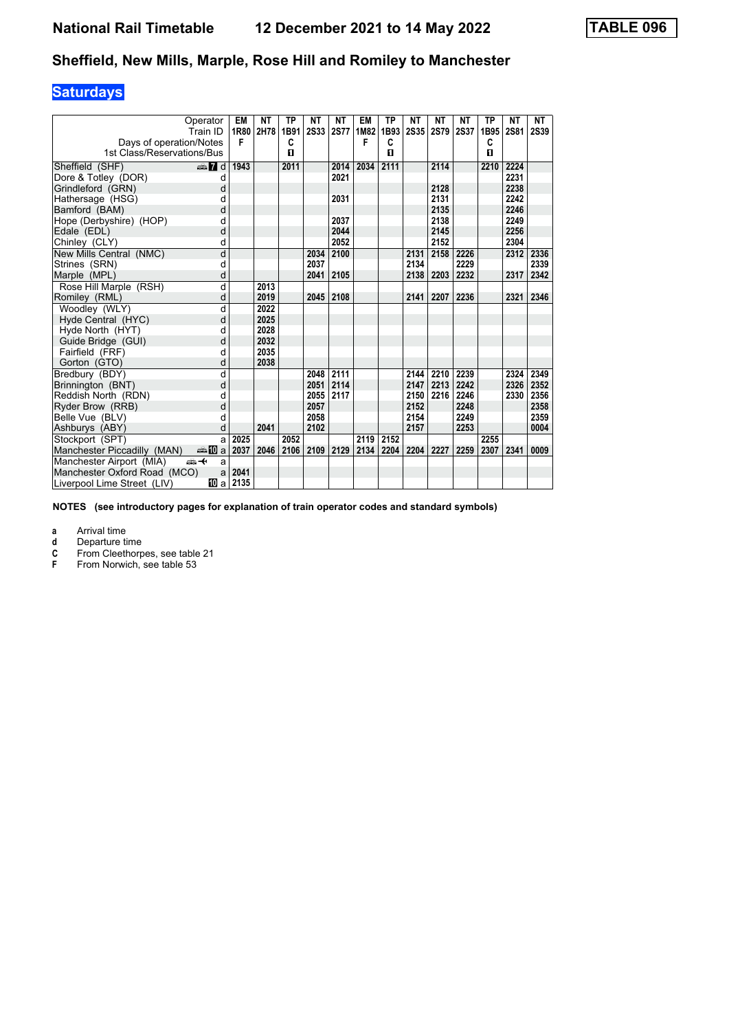# **Saturdays**

| Operator<br>Train ID                 |       | EM<br>1R80 | <b>NT</b><br>2H78 | ТP<br>1B91 | <b>NT</b><br><b>2S33</b> | ΝT<br><b>2S77</b> | EM<br>1M82 | ТP<br>1B93   | NΤ<br><b>2S35</b> | ΝT<br>2S79 | NΤ<br><b>2S37</b> | ТP<br>1B95 | NΤ<br><b>2S81</b> | NT<br><b>2S39</b> |
|--------------------------------------|-------|------------|-------------------|------------|--------------------------|-------------------|------------|--------------|-------------------|------------|-------------------|------------|-------------------|-------------------|
| Days of operation/Notes              |       | F          |                   | C          |                          |                   | F          | C            |                   |            |                   | C          |                   |                   |
| 1st Class/Reservations/Bus           |       |            |                   | п          |                          |                   |            | $\mathbf{u}$ |                   |            |                   | п          |                   |                   |
| Sheffield (SHF)<br>$\oplus$ 7 d      |       | 1943       |                   | 2011       |                          | 2014              | 2034       | 2111         |                   | 2114       |                   | 2210       | 2224              |                   |
| Dore & Totley (DOR)                  | d     |            |                   |            |                          | 2021              |            |              |                   |            |                   |            | 2231              |                   |
| Grindleford (GRN)                    | d     |            |                   |            |                          |                   |            |              |                   | 2128       |                   |            | 2238              |                   |
| Hathersage (HSG)                     | d     |            |                   |            |                          | 2031              |            |              |                   | 2131       |                   |            | 2242              |                   |
| Bamford (BAM)                        | d     |            |                   |            |                          |                   |            |              |                   | 2135       |                   |            | 2246              |                   |
| Hope (Derbyshire) (HOP)              | d     |            |                   |            |                          | 2037              |            |              |                   | 2138       |                   |            | 2249              |                   |
| Edale (EDL)                          | d     |            |                   |            |                          | 2044              |            |              |                   | 2145       |                   |            | 2256              |                   |
| Chinley (CLY)                        | d     |            |                   |            |                          | 2052              |            |              |                   | 2152       |                   |            | 2304              |                   |
| New Mills Central (NMC)              | d     |            |                   |            | 2034                     | 2100              |            |              | 2131              | 2158       | 2226              |            | 2312              | 2336              |
| Strines (SRN)                        | d     |            |                   |            | 2037                     |                   |            |              | 2134              |            | 2229              |            |                   | 2339              |
| Marple (MPL)                         | d     |            |                   |            | 2041                     | 2105              |            |              | 2138              | 2203       | 2232              |            | 2317              | 2342              |
| Rose Hill Marple (RSH)               | d     |            | 2013              |            |                          |                   |            |              |                   |            |                   |            |                   |                   |
| Romiley (RML)                        | d     |            | 2019              |            | 2045                     | 2108              |            |              | 2141              | 2207       | 2236              |            | 2321              | 2346              |
| Woodley (WLY)                        | d     |            | 2022              |            |                          |                   |            |              |                   |            |                   |            |                   |                   |
| Hyde Central (HYC)                   | d     |            | 2025              |            |                          |                   |            |              |                   |            |                   |            |                   |                   |
| Hyde North (HYT)                     | d     |            | 2028              |            |                          |                   |            |              |                   |            |                   |            |                   |                   |
| Guide Bridge (GUI)                   | d     |            | 2032              |            |                          |                   |            |              |                   |            |                   |            |                   |                   |
| Fairfield (FRF)                      | d     |            | 2035              |            |                          |                   |            |              |                   |            |                   |            |                   |                   |
| Gorton (GTO)                         | d     |            | 2038              |            |                          |                   |            |              |                   |            |                   |            |                   |                   |
| Bredbury (BDY)                       | d     |            |                   |            | 2048                     | 2111              |            |              | 2144              | 2210       | 2239              |            | 2324              | 2349              |
| Brinnington (BNT)                    | d     |            |                   |            | 2051                     | 2114              |            |              | 2147              | 2213       | 2242              |            | 2326              | 2352              |
| Reddish North (RDN)                  | d     |            |                   |            | 2055                     | 2117              |            |              | 2150              | 2216       | 2246              |            | 2330              | 2356              |
| Ryder Brow (RRB)                     | d     |            |                   |            | 2057                     |                   |            |              | 2152              |            | 2248              |            |                   | 2358              |
| Belle Vue (BLV)                      | d     |            |                   |            | 2058                     |                   |            |              | 2154              |            | 2249              |            |                   | 2359              |
| Ashburys (ABY)                       | d     |            | 2041              |            | 2102                     |                   |            |              | 2157              |            | 2253              |            |                   | 0004              |
| Stockport (SPT)                      | a     | 2025       |                   | 2052       |                          |                   | 2119       | 2152         |                   |            |                   | 2255       |                   |                   |
| Manchester Piccadilly (MAN)<br>an⊪Ma |       | 2037       | 2046              | 2106       | 2109                     | 2129              | 2134       | 2204         | 2204              | 2227       | 2259              | 2307       | 2341              | 0009              |
| Manchester Airport (MIA)<br>ക—⊬      | a     |            |                   |            |                          |                   |            |              |                   |            |                   |            |                   |                   |
| Manchester Oxford Road (MCO)         | a     | 2041       |                   |            |                          |                   |            |              |                   |            |                   |            |                   |                   |
| Liverpool Lime Street (LIV)          | 100 a | 2135       |                   |            |                          |                   |            |              |                   |            |                   |            |                   |                   |

**NOTES (see introductory pages for explanation of train operator codes and standard symbols)**

**a** Arrival time<br>**d** Departure ti

**d** Departure time<br>**C** From Cleethorp **C** From Cleethorpes, see table 21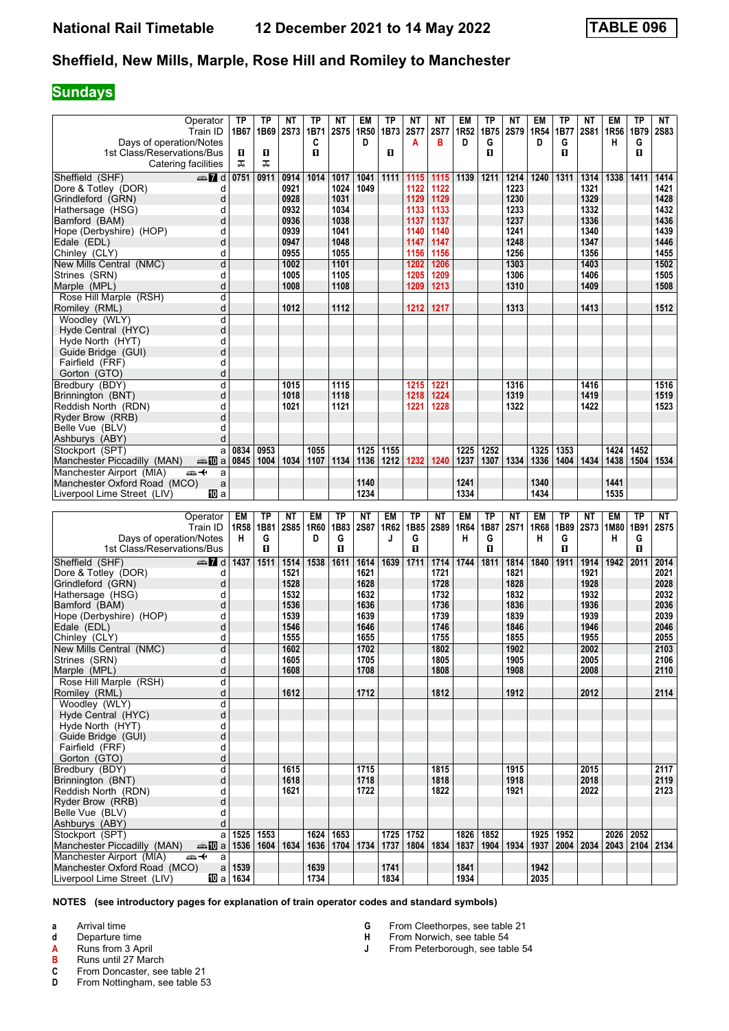### **Sundays**

| Operator                                                    | ТP                     | ТP        | NΤ          | ΤP           | ΝT           | EM               | TP           | NΤ                 | ΝT          | EM           | ΤP             | NΤ          | EM           | TP        | NΤ        | EM                                                           | <b>TP</b>    | NT          |
|-------------------------------------------------------------|------------------------|-----------|-------------|--------------|--------------|------------------|--------------|--------------------|-------------|--------------|----------------|-------------|--------------|-----------|-----------|--------------------------------------------------------------|--------------|-------------|
| Train ID                                                    | 1B67                   | 1B69      | <b>2S73</b> | 1B71         | <b>2S75</b>  | 1R <sub>50</sub> | 1B73         | <b>2S77</b>        | <b>2S77</b> | 1R52         | 1B75           | 2S79        | 1R54         | 1B77      | 2S81      | 1R <sub>56</sub>                                             | 1B79         | <b>2S83</b> |
| Days of operation/Notes                                     |                        |           |             | C            |              | D                |              | А                  | в           | D            | G              |             | D            | G         |           | н                                                            | G            |             |
| 1st Class/Reservations/Bus                                  | D.                     | П         |             | $\mathbf{u}$ |              |                  | 0            |                    |             |              | п              |             |              | 0         |           |                                                              | O            |             |
| Catering facilities                                         | ᠼ                      | ᠼ         |             |              |              |                  |              |                    |             |              |                |             |              |           |           |                                                              |              |             |
|                                                             |                        |           |             |              |              |                  |              |                    |             |              |                |             |              |           |           |                                                              |              |             |
| Sheffield (SHF)<br>dan 7d                                   | 0751                   | 0911      | 0914        | 1014         | 1017         | 1041             | 1111         | 1115               | 1115        | 1139         | 1211           | 1214        | 1240         | 1311      | 1314      | 1338                                                         | 1411         | 1414        |
| Dore & Totley (DOR)<br>d                                    |                        |           | 0921        |              | 1024         | 1049             |              | 1122               | 1122        |              |                | 1223        |              |           | 1321      |                                                              |              | 1421        |
| d<br>Grindleford (GRN)                                      |                        |           | 0928        |              | 1031         |                  |              | 1129               | 1129        |              |                | 1230        |              |           | 1329      |                                                              |              | 1428        |
| Hathersage (HSG)<br>d                                       |                        |           | 0932        |              | 1034         |                  |              | 1133               | 1133        |              |                | 1233        |              |           | 1332      |                                                              |              | 1432        |
| Bamford (BAM)<br>d                                          |                        |           | 0936        |              | 1038         |                  |              | 1137               | 1137        |              |                | 1237        |              |           | 1336      |                                                              |              | 1436        |
| Hope (Derbyshire) (HOP)<br>d                                |                        |           | 0939        |              | 1041         |                  |              | 1140               | 1140        |              |                | 1241        |              |           | 1340      |                                                              |              | 1439        |
|                                                             |                        |           | 0947        |              | 1048         |                  |              | 1147               | 1147        |              |                | 1248        |              |           | 1347      |                                                              |              | 1446        |
| Edale (EDL)<br>d                                            |                        |           |             |              |              |                  |              |                    |             |              |                |             |              |           |           |                                                              |              |             |
| d<br>Chinley (CLY)                                          |                        |           | 0955        |              | 1055         |                  |              | 1156               | 1156        |              |                | 1256        |              |           | 1356      |                                                              |              | 1455        |
| d<br>New Mills Central (NMC)                                |                        |           | 1002        |              | 1101         |                  |              | 1202               | 1206        |              |                | 1303        |              |           | 1403      |                                                              |              | 1502        |
| Strines (SRN)<br>d                                          |                        |           | 1005        |              | 1105         |                  |              | 1205               | 1209        |              |                | 1306        |              |           | 1406      |                                                              |              | 1505        |
| d<br>Marple (MPL)                                           |                        |           | 1008        |              | 1108         |                  |              | 1209               | 1213        |              |                | 1310        |              |           | 1409      |                                                              |              | 1508        |
| Rose Hill Marple (RSH)<br>d                                 |                        |           |             |              |              |                  |              |                    |             |              |                |             |              |           |           |                                                              |              |             |
| d                                                           |                        |           | 1012        |              | 1112         |                  |              | 1212               | 1217        |              |                | 1313        |              |           | 1413      |                                                              |              | 1512        |
| Romiley (RML)                                               |                        |           |             |              |              |                  |              |                    |             |              |                |             |              |           |           |                                                              |              |             |
| Woodley (WLY)<br>d                                          |                        |           |             |              |              |                  |              |                    |             |              |                |             |              |           |           |                                                              |              |             |
| d<br>Hyde Central (HYC)                                     |                        |           |             |              |              |                  |              |                    |             |              |                |             |              |           |           |                                                              |              |             |
| Hyde North (HYT)<br>d                                       |                        |           |             |              |              |                  |              |                    |             |              |                |             |              |           |           |                                                              |              |             |
| d<br>Guide Bridge (GUI)                                     |                        |           |             |              |              |                  |              |                    |             |              |                |             |              |           |           |                                                              |              |             |
| d<br>Fairfield (FRF)                                        |                        |           |             |              |              |                  |              |                    |             |              |                |             |              |           |           |                                                              |              |             |
| d<br>Gorton (GTO)                                           |                        |           |             |              |              |                  |              |                    |             |              |                |             |              |           |           |                                                              |              |             |
| d                                                           |                        |           |             |              |              |                  |              |                    |             |              |                |             |              |           |           |                                                              |              |             |
| Bredbury (BDY)                                              |                        |           | 1015        |              | 1115         |                  |              | 1215               | 1221        |              |                | 1316        |              |           | 1416      |                                                              |              | 1516        |
| d<br>Brinnington (BNT)                                      |                        |           | 1018        |              | 1118         |                  |              | 1218               | 1224        |              |                | 1319        |              |           | 1419      |                                                              |              | 1519        |
| d<br>Reddish North (RDN)                                    |                        |           | 1021        |              | 1121         |                  |              | 1221               | 1228        |              |                | 1322        |              |           | 1422      |                                                              |              | 1523        |
| d<br>Ryder Brow (RRB)                                       |                        |           |             |              |              |                  |              |                    |             |              |                |             |              |           |           |                                                              |              |             |
| Belle Vue (BLV)<br>d                                        |                        |           |             |              |              |                  |              |                    |             |              |                |             |              |           |           |                                                              |              |             |
| Ashburys (ABY)<br>d                                         |                        |           |             |              |              |                  |              |                    |             |              |                |             |              |           |           |                                                              |              |             |
| Stockport (SPT)<br>a                                        | 0834                   | 0953      |             | 1055         |              | 1125             | 1155         |                    |             | 1225         | 1252           |             | 1325         | 1353      |           | 1424                                                         | 1452         |             |
| Manchester Piccadilly (MAN)<br><del>美</del> 四a              | 0845                   | 1004      | 1034        | 1107         | 1134         | 1136             | 1212         | 1232               | 1240        | 1237         | 1307           | 1334        | 1336         | 1404      | 1434      | 1438                                                         | 1504         | 1534        |
|                                                             |                        |           |             |              |              |                  |              |                    |             |              |                |             |              |           |           |                                                              |              |             |
| Manchester Airport (MIA)<br>安<br>a                          |                        |           |             |              |              |                  |              |                    |             |              |                |             |              |           |           |                                                              |              |             |
| Manchester Oxford Road (MCO)<br>a                           |                        |           |             |              |              | 1140             |              |                    |             | 1241         |                |             | 1340         |           |           | 1441                                                         |              |             |
| 100 a<br>Liverpool Lime Street (LIV)                        |                        |           |             |              |              | 1234             |              |                    |             |              |                |             |              |           |           |                                                              |              |             |
|                                                             |                        |           |             |              |              |                  |              |                    |             | 1334         |                |             | 1434         |           |           | 1535                                                         |              |             |
|                                                             |                        |           |             |              |              |                  |              |                    |             |              |                |             |              |           |           |                                                              |              |             |
|                                                             |                        |           |             |              |              |                  |              |                    |             |              |                |             |              |           |           |                                                              |              |             |
| Operator                                                    | <b>EM</b>              | <b>TP</b> | <b>NT</b>   | <b>EM</b>    | <b>TP</b>    | <b>NT</b>        | <b>EM</b>    | TP                 | <b>NT</b>   | <b>EM</b>    | TP             | ΝT          | <b>EM</b>    | <b>TP</b> | <b>NT</b> | <b>EM</b>                                                    | <b>TP</b>    | NT          |
| Train ID                                                    | 1R58                   | 1B81      | <b>2S85</b> | 1R60         | 1B83         | <b>2S87</b>      | 1R62         | 1B85               | <b>2S89</b> | 1R64         | 1B87           | <b>2S71</b> | 1R68         | 1B89      |           | 2S73   1M80                                                  | 1B91         | <b>2S75</b> |
| Days of operation/Notes                                     | н                      | G         |             | D            | G            |                  | J            | G                  |             | н            | G              |             | н            | G         |           | н                                                            | G            |             |
| 1st Class/Reservations/Bus                                  |                        | О         |             |              | $\mathbf{u}$ |                  |              | П                  |             |              | $\blacksquare$ |             |              | 0         |           |                                                              | $\mathbf{u}$ |             |
| Sheffield (SHF)<br>dan 7d                                   | 1437                   | 1511      | 1514        | 1538         | 1611         | 1614             | 1639         | 1711               | 1714        | 1744         | 1811           | 1814        | 1840         | 1911      | 1914      | 1942                                                         | 2011         | 2014        |
| Dore & Totley (DOR)<br>d                                    |                        |           | 1521        |              |              | 1621             |              |                    | 1721        |              |                | 1821        |              |           | 1921      |                                                              |              | 2021        |
|                                                             |                        |           |             |              |              |                  |              |                    |             |              |                |             |              |           |           |                                                              |              |             |
| d<br>Grindleford (GRN)                                      |                        |           | 1528        |              |              | 1628             |              |                    | 1728        |              |                | 1828        |              |           | 1928      |                                                              |              | 2028        |
| Hathersage (HSG)<br>d                                       |                        |           | 1532        |              |              | 1632             |              |                    | 1732        |              |                | 1832        |              |           | 1932      |                                                              |              | 2032        |
| d<br>Bamford (BAM)                                          |                        |           | 1536        |              |              | 1636             |              |                    | 1736        |              |                | 1836        |              |           | 1936      |                                                              |              | 2036        |
| Hope (Derbyshire) (HOP)<br>d                                |                        |           | 1539        |              |              | 1639             |              |                    | 1739        |              |                | 1839        |              |           | 1939      |                                                              |              | 2039        |
| d<br>Edale (EDL)                                            |                        |           | 1546        |              |              | 1646             |              |                    | 1746        |              |                | 1846        |              |           | 1946      |                                                              |              | 2046        |
| d<br>Chinley (CLY)                                          |                        |           | 1555        |              |              | 1655             |              |                    | 1755        |              |                | 1855        |              |           | 1955      |                                                              |              | 2055        |
| d<br>New Mills Central (NMC)                                |                        |           | 1602        |              |              | 1702             |              |                    | 1802        |              |                | 1902        |              |           | 2002      |                                                              |              | 2103        |
| d                                                           |                        |           | 1605        |              |              | 1705             |              |                    | 1805        |              |                | 1905        |              |           | 2005      |                                                              |              | 2106        |
| Strines (SRN)                                               |                        |           |             |              |              |                  |              |                    |             |              |                |             |              |           |           |                                                              |              |             |
| $\sf d$<br>Marple (MPL)                                     |                        |           | 1608        |              |              | 1708             |              |                    | 1808        |              |                | 1908        |              |           | 2008      |                                                              |              | 2110        |
| Rose Hill Marple (RSH)<br>d                                 |                        |           |             |              |              |                  |              |                    |             |              |                |             |              |           |           |                                                              |              |             |
| d<br>Romiley (RML)                                          |                        |           | 1612        |              |              | 1712             |              |                    | 1812        |              |                | 1912        |              |           | 2012      |                                                              |              | 2114        |
| Woodley (WLY)<br>þ                                          |                        |           |             |              |              |                  |              |                    |             |              |                |             |              |           |           |                                                              |              |             |
| Hyde Central (HYC)<br>d                                     |                        |           |             |              |              |                  |              |                    |             |              |                |             |              |           |           |                                                              |              |             |
| d<br>Hyde North (HYT)                                       |                        |           |             |              |              |                  |              |                    |             |              |                |             |              |           |           |                                                              |              |             |
|                                                             |                        |           |             |              |              |                  |              |                    |             |              |                |             |              |           |           |                                                              |              |             |
| d<br>Guide Bridge (GUI)                                     |                        |           |             |              |              |                  |              |                    |             |              |                |             |              |           |           |                                                              |              |             |
| Fairfield (FRF)<br>d                                        |                        |           |             |              |              |                  |              |                    |             |              |                |             |              |           |           |                                                              |              |             |
| d<br>Gorton (GTO)                                           |                        |           |             |              |              |                  |              |                    |             |              |                |             |              |           |           |                                                              |              |             |
| Bredbury (BDY)<br>q                                         |                        |           | 1615        |              |              | 1715             |              |                    | 1815        |              |                | 1915        |              |           | 2015      |                                                              |              | 2117        |
| d<br>Brinnington (BNT)                                      |                        |           | 1618        |              |              | 1718             |              |                    | 1818        |              |                | 1918        |              |           | 2018      |                                                              |              | 2119        |
| Reddish North (RDN)<br>d                                    |                        |           | 1621        |              |              | 1722             |              |                    | 1822        |              |                | 1921        |              |           | 2022      |                                                              |              | 2123        |
| d<br>Ryder Brow (RRB)                                       |                        |           |             |              |              |                  |              |                    |             |              |                |             |              |           |           |                                                              |              |             |
| Belle Vue (BLV)<br>d                                        |                        |           |             |              |              |                  |              |                    |             |              |                |             |              |           |           |                                                              |              |             |
| d                                                           |                        |           |             |              |              |                  |              |                    |             |              |                |             |              |           |           |                                                              |              |             |
| Ashburys (ABY)                                              |                        |           |             |              |              |                  |              |                    |             |              |                |             |              |           |           |                                                              |              |             |
| Stockport (SPT)                                             | a 1525                 | 1553      |             | 1624         | 1653         |                  | 1725         | 1752               |             |              | 1826 1852      |             | 1925 1952    |           |           | 2026 2052                                                    |              |             |
| Manchester Piccadilly (MAN)<br><b>□□□</b> a 1536            |                        |           | 1604 1634   | 1636         |              | 1704 1734        |              | 1737   1804   1834 |             |              |                |             |              |           |           | 1837   1904   1934   1937   2004   2034   2043   2104   2134 |              |             |
| Manchester Airport (MIA)<br><del>∰ ≮</del><br>a             |                        |           |             |              |              |                  |              |                    |             |              |                |             |              |           |           |                                                              |              |             |
| Manchester Oxford Road (MCO)<br>Liverpool Lime Street (LIV) | a 1539<br>100 a   1634 |           |             | 1639<br>1734 |              |                  | 1741<br>1834 |                    |             | 1841<br>1934 |                |             | 1942<br>2035 |           |           |                                                              |              |             |

**NOTES (see introductory pages for explanation of train operator codes and standard symbols)**

**a** Arrival time<br>**d** Departure t

**d** Departure time<br>**A** Runs from 3 Ap

**A** Runs from 3 April<br>**B** Runs until 27 Mar

**B** Runs until 27 March<br>**C** From Doncaster, see

**C** From Doncaster, see table 21<br>**D** From Nottingham, see table 5 From Nottingham, see table 53 **G** From Cleethorpes, see table 21<br>**H** From Norwich, see table 54

- **H** From Norwich, see table 54<br>**J** From Peterborough, see table
- From Peterborough, see table 54